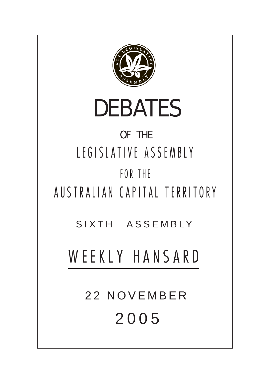

# DEBATES

## OF THE LEGISLATIVE ASSEMBLY FOR THE

AUSTRALIAN CAPITAL TERRITORY

SIXTH ASSEMBLY

## WEEKLY HANSARD

22 NOVEMBER 200 5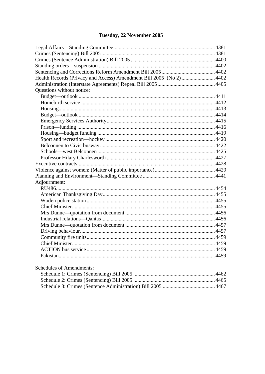## Tuesday, 22 November 2005

| Health Records (Privacy and Access) Amendment Bill 2005 (No 2) 4402 |  |
|---------------------------------------------------------------------|--|
|                                                                     |  |
| Questions without notice:                                           |  |
|                                                                     |  |
|                                                                     |  |
|                                                                     |  |
|                                                                     |  |
|                                                                     |  |
|                                                                     |  |
|                                                                     |  |
|                                                                     |  |
|                                                                     |  |
|                                                                     |  |
|                                                                     |  |
|                                                                     |  |
|                                                                     |  |
|                                                                     |  |
| Adjournment:                                                        |  |
|                                                                     |  |
|                                                                     |  |
|                                                                     |  |
|                                                                     |  |
|                                                                     |  |
|                                                                     |  |
|                                                                     |  |
|                                                                     |  |
|                                                                     |  |
|                                                                     |  |
|                                                                     |  |
|                                                                     |  |
|                                                                     |  |

| <b>Schedules of Amendments:</b> |
|---------------------------------|
|                                 |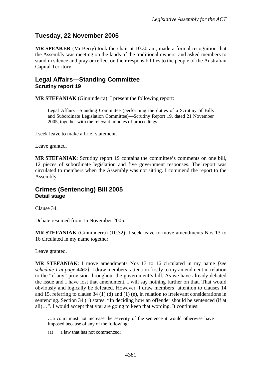## <span id="page-2-0"></span>**Tuesday, 22 November 2005**

**MR SPEAKER** (Mr Berry) took the chair at 10.30 am, made a formal recognition that the Assembly was meeting on the lands of the traditional owners, and asked members to stand in silence and pray or reflect on their responsibilities to the people of the Australian Capital Territory.

## **Legal Affairs—Standing Committee Scrutiny report 19**

**MR STEFANIAK** (Ginninderra): I present the following report:

Legal Affairs—Standing Committee (performing the duties of a Scrutiny of Bills and Subordinate Legislation Committee)—Scrutiny Report 19*,* dated 21 November 2005, together with the relevant minutes of proceedings.

I seek leave to make a brief statement.

Leave granted.

**MR STEFANIAK**: Scrutiny report 19 contains the committee's comments on one bill, 12 pieces of subordinate legislation and five government responses. The report was circulated to members when the Assembly was not sitting. I commend the report to the Assembly.

### **Crimes (Sentencing) Bill 2005 Detail stage**

Clause 34.

Debate resumed from 15 November 2005.

**MR STEFANIAK** (Ginninderra) (10.32): I seek leave to move amendments Nos 13 to 16 circulated in my name together.

Leave granted.

**MR STEFANIAK**: I move amendments Nos 13 to 16 circulated in my name *[see schedule 1 at page 4462]*. I draw members' attention firstly to my amendment in relation to the "if any" provision throughout the government's bill. As we have already debated the issue and I have lost that amendment, I will say nothing further on that. That would obviously and logically be defeated. However, I draw members' attention to clauses 14 and 15, referring to clause  $34 \cdot (1) \cdot (d)$  and  $(1) \cdot (e)$ , in relation to irrelevant considerations in sentencing. Section 34 (1) states: "In deciding how an offender should be sentenced (if at all)…". I would accept that you are going to keep that wording. It continues:

…a court must not increase the severity of the sentence it would otherwise have imposed because of any of the following:

(a) a law that has not commenced;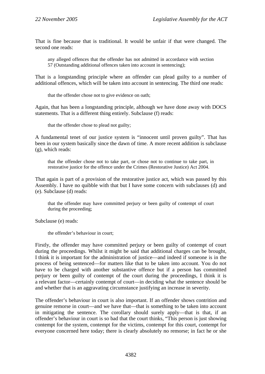That is fine because that is traditional. It would be unfair if that were changed. The second one reads:

any alleged offences that the offender has not admitted in accordance with section 57 (Outstanding additional offences taken into account in sentencing);

That is a longstanding principle where an offender can plead guilty to a number of additional offences, which will be taken into account in sentencing. The third one reads:

that the offender chose not to give evidence on oath;

Again, that has been a longstanding principle, although we have done away with DOCS statements. That is a different thing entirely. Subclause (f) reads:

that the offender chose to plead not guilty;

A fundamental tenet of our justice system is "innocent until proven guilty". That has been in our system basically since the dawn of time. A more recent addition is subclause (g), which reads:

that the offender chose not to take part, or chose not to continue to take part, in restorative justice for the offence under the Crimes (Restorative Justice) Act 2004.

That again is part of a provision of the restorative justice act, which was passed by this Assembly. I have no quibble with that but I have some concern with subclauses (d) and (e). Subclause (d) reads:

that the offender may have committed perjury or been guilty of contempt of court during the proceeding;

Subclause (e) reads:

the offender's behaviour in court;

Firstly, the offender may have committed perjury or been guilty of contempt of court during the proceedings. Whilst it might be said that additional charges can be brought, I think it is important for the administration of justice—and indeed if someone is in the process of being sentenced—for matters like that to be taken into account. You do not have to be charged with another substantive offence but if a person has committed perjury or been guilty of contempt of the court during the proceedings, I think it is a relevant factor—certainly contempt of court—in deciding what the sentence should be and whether that is an aggravating circumstance justifying an increase in severity.

The offender's behaviour in court is also important. If an offender shows contrition and genuine remorse in court—and we have that—that is something to be taken into account in mitigating the sentence. The corollary should surely apply—that is that, if an offender's behaviour in court is so bad that the court thinks, "This person is just showing contempt for the system, contempt for the victims, contempt for this court, contempt for everyone concerned here today; there is clearly absolutely no remorse; in fact he or she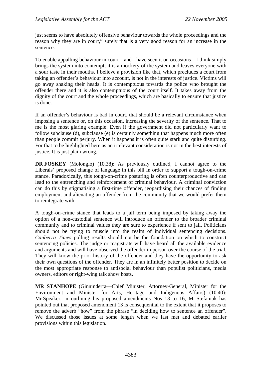just seems to have absolutely offensive behaviour towards the whole proceedings and the reason why they are in court," surely that is a very good reason for an increase in the sentence.

To enable appalling behaviour in court—and I have seen it on occasions—I think simply brings the system into contempt; it is a mockery of the system and leaves everyone with a sour taste in their mouths. I believe a provision like that, which precludes a court from taking an offender's behaviour into account, is not in the interests of justice. Victims will go away shaking their heads. It is contemptuous towards the police who brought the offender there and it is also contemptuous of the court itself. It takes away from the dignity of the court and the whole proceedings, which are basically to ensure that justice is done.

If an offender's behaviour is bad in court, that should be a relevant circumstance when imposing a sentence or, on this occasion, increasing the severity of the sentence. That to me is the most glaring example. Even if the government did not particularly want to follow subclause (d), subclause (e) is certainly something that happens much more often than people commit perjury. When it happens it is often quite stark and quite disturbing. For that to be highlighted here as an irrelevant consideration is not in the best interests of justice. It is just plain wrong.

**DR FOSKEY** (Molonglo) (10.38): As previously outlined, I cannot agree to the Liberals' proposed change of language in this bill in order to support a tough-on-crime stance. Paradoxically, this tough-on-crime posturing is often counterproductive and can lead to the entrenching and reinforcement of criminal behaviour. A criminal conviction can do this by stigmatising a first-time offender, jeopardising their chances of finding employment and alienating an offender from the community that we would prefer them to reintegrate with.

A tough-on-crime stance that leads to a jail term being imposed by taking away the option of a non-custodial sentence will introduce an offender to the broader criminal community and to criminal values they are sure to experience if sent to jail. Politicians should not be trying to muscle into the realm of individual sentencing decisions. *Canberra Times* polling results should not be the foundation on which to construct sentencing policies. The judge or magistrate will have heard all the available evidence and arguments and will have observed the offender in person over the course of the trial. They will know the prior history of the offender and they have the opportunity to ask their own questions of the offender. They are in an infinitely better position to decide on the most appropriate response to antisocial behaviour than populist politicians, media owners, editors or right-wing talk show hosts.

**MR STANHOPE** (Ginninderra—Chief Minister, Attorney-General, Minister for the Environment and Minister for Arts, Heritage and Indigenous Affairs) (10.40): Mr Speaker, in outlining his proposed amendments Nos 13 to 16, Mr Stefaniak has pointed out that proposed amendment 13 is consequential to the extent that it proposes to remove the adverb "how" from the phrase "in deciding how to sentence an offender". We discussed those issues at some length when we last met and debated earlier provisions within this legislation.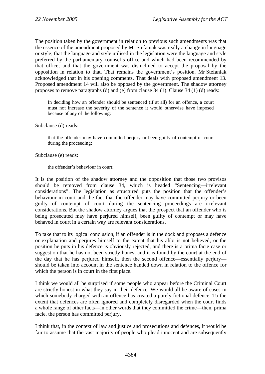The position taken by the government in relation to previous such amendments was that the essence of the amendment proposed by Mr Stefaniak was really a change in language or style; that the language and style utilised in the legislation were the language and style preferred by the parliamentary counsel's office and which had been recommended by that office; and that the government was disinclined to accept the proposal by the opposition in relation to that. That remains the government's position. Mr Stefaniak acknowledged that in his opening comments. That deals with proposed amendment 13. Proposed amendment 14 will also be opposed by the government. The shadow attorney proposes to remove paragraphs (d) and (e) from clause 34 (1). Clause 34 (1) (d) reads:

In deciding how an offender should be sentenced (if at all) for an offence, a court must not increase the severity of the sentence it would otherwise have imposed because of any of the following:

Subclause (d) reads:

that the offender may have committed perjury or been guilty of contempt of court during the proceeding;

Subclause (e) reads:

the offender's behaviour in court;

It is the position of the shadow attorney and the opposition that those two provisos should be removed from clause 34, which is headed "Sentencing—irrelevant considerations". The legislation as structured puts the position that the offender's behaviour in court and the fact that the offender may have committed perjury or been guilty of contempt of court during the sentencing proceedings are irrelevant considerations. But the shadow attorney argues that the prospect that an offender who is being prosecuted may have perjured himself, been guilty of contempt or may have behaved in court in a certain way are relevant considerations.

To take that to its logical conclusion, if an offender is in the dock and proposes a defence or explanation and perjures himself to the extent that his alibi is not believed, or the position he puts in his defence is obviously rejected, and there is a prima facie case or suggestion that he has not been strictly honest and it is found by the court at the end of the day that he has perjured himself, then the second offence—essentially perjury should be taken into account in the sentence handed down in relation to the offence for which the person is in court in the first place.

I think we would all be surprised if some people who appear before the Criminal Court are strictly honest in what they say in their defence. We would all be aware of cases in which somebody charged with an offence has created a purely fictional defence. To the extent that defences are often ignored and completely disregarded when the court finds a whole range of other facts—in other words that they committed the crime—then, prima facie, the person has committed perjury.

I think that, in the context of law and justice and prosecutions and defences, it would be fair to assume that the vast majority of people who plead innocent and are subsequently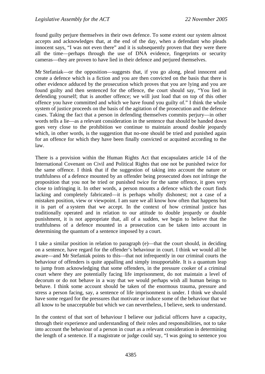found guilty perjure themselves in their own defence. To some extent our system almost accepts and acknowledges that, at the end of the day, when a defendant who pleads innocent says, "I was not even there" and it is subsequently proven that they were there all the time—perhaps through the use of DNA evidence, fingerprints or security cameras—they are proven to have lied in their defence and perjured themselves.

Mr Stefaniak—or the opposition—suggests that, if you go along, plead innocent and create a defence which is a fiction and you are then convicted on the basis that there is other evidence adduced by the prosecution which proves that you are lying and you are found guilty and then sentenced for the offence, the court should say, "You lied in defending yourself; that is another offence; we will just load that on top of this other offence you have committed and which we have found you guilty of." I think the whole system of justice proceeds on the basis of the agitation of the prosecution and the defence cases. Taking the fact that a person in defending themselves commits perjury—in other words tells a lie—as a relevant consideration in the sentence that should be handed down goes very close to the prohibition we continue to maintain around double jeopardy which, in other words, is the suggestion that no-one should be tried and punished again for an offence for which they have been finally convicted or acquitted according to the law.

There is a provision within the Human Rights Act that encapsulates article 14 of the International Covenant on Civil and Political Rights that one not be punished twice for the same offence. I think that if the suggestion of taking into account the nature or truthfulness of a defence mounted by an offender being prosecuted does not infringe the proposition that you not be tried or punished twice for the same offence, it goes very close to infringing it. In other words, a person mounts a defence which the court finds lacking and completely fabricated—it is perhaps wholly dishonest; not a case of a mistaken position, view or viewpoint. I am sure we all know how often that happens but it is part of a system that we accept. In the context of how criminal justice has traditionally operated and in relation to our attitude to double jeopardy or double punishment, it is not appropriate that, all of a sudden, we begin to believe that the truthfulness of a defence mounted in a prosecution can be taken into account in determining the quantum of a sentence imposed by a court.

I take a similar position in relation to paragraph (e)—that the court should, in deciding on a sentence, have regard for the offender's behaviour in court. I think we would all be aware—and Mr Stefaniak points to this—that not infrequently in our criminal courts the behaviour of offenders is quite appalling and simply insupportable. It is a quantum leap to jump from acknowledging that some offenders, in the pressure cooker of a criminal court where they are potentially facing life imprisonment, do not maintain a level of decorum or do not behave in a way that we would perhaps wish all human beings to behave. I think some account should be taken of the enormous trauma, pressure and stress a person facing, say, a sentence of life imprisonment is under. I think we should have some regard for the pressures that motivate or induce some of the behaviour that we all know to be unacceptable but which we can nevertheless, I believe, seek to understand.

In the context of that sort of behaviour I believe our judicial officers have a capacity, through their experience and understanding of their roles and responsibilities, not to take into account the behaviour of a person in court as a relevant consideration in determining the length of a sentence. If a magistrate or judge could say, "I was going to sentence you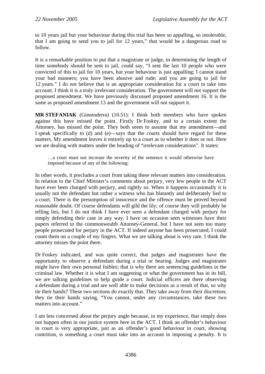to 10 years jail but your behaviour during this trial has been so appalling, so intolerable, that I am going to send you to jail for 12 years," that would be a dangerous road to follow.

It is a remarkable position to put that a magistrate or judge, in determining the length of time somebody should be sent to jail, could say, "I sent the last 10 people who were convicted of this to jail for 10 years, but your behaviour is just appalling; I cannot stand your bad manners; you have been abusive and rude; and you are going to jail for 12 years." I do not believe that is an appropriate consideration for a court to take into account. I think it is a truly irrelevant consideration. The government will not support the proposed amendment. We have previously discussed proposed amendment 16. It is the same as proposed amendment 13 and the government will not support it.

**MR STEFANIAK** (Ginninderra) (10.51): I think both members who have spoken against this have missed the point. Firstly Dr Foskey, and to a certain extent the Attorney, has missed the point. They both seem to assume that my amendment—and I speak specifically to (d) and (e)—says that the courts should have regard for these matters. My amendment leaves it entirely up to a court as to whether it does or not. Here we are dealing with matters under the heading of "irrelevant considerations". It states:

…a court must not increase the severity of the sentence it would otherwise have imposed because of any of the following:

In other words, it precludes a court from taking these relevant matters into consideration. In relation to the Chief Minister's comments about perjury, very few people in the ACT have ever been charged with perjury, and rightly so. When it happens occasionally it is usually not the defendant but rather a witness who has blatantly and deliberately lied to a court. There is the presumption of innocence and the offence must be proved beyond reasonable doubt. Of course defendants will gild the lily; of course they will probably be telling lies, but I do not think I have ever seen a defendant charged with perjury for simply defending their case in any way. I have on occasion seen witnesses have their papers referred to the commonwealth Attorney-General, but I have not seen too many people prosecuted for perjury in the ACT. If indeed anyone has been prosecuted, I could count them on a couple of my fingers. What we are talking about is very rare. I think the attorney misses the point there.

Dr Foskey indicated, and was quite correct, that judges and magistrates have the opportunity to observe a defendant during a trial or hearing. Judges and magistrates might have their own personal foibles; that is why there are sentencing guidelines in the criminal law. Whether it is what I am suggesting or what the government has in its bill, we are talking guidelines to help guide a court. Judicial officers are there observing a defendant during a trial and are well able to make decisions as a result of that, so why tie their hands? These two sections do exactly that. They take away from their discretion; they tie their hands saying, "You cannot, under any circumstances, take these two matters into account."

I am less concerned about the perjury angle because, in my experience, that simply does not happen often in our justice system here in the ACT. I think an offender's behaviour in court is very appropriate, just as an offender's good behaviour in court, showing contrition, is something a court must take into an account in imposing a penalty. It is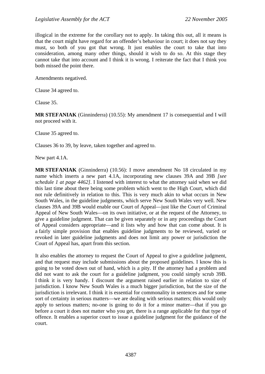illogical in the extreme for the corollary not to apply. In taking this out, all it means is that the court might have regard for an offender's behaviour in court; it does not say they must, so both of you got that wrong. It just enables the court to take that into consideration, among many other things, should it wish to do so. At this stage they cannot take that into account and I think it is wrong. I reiterate the fact that I think you both missed the point there.

Amendments negatived.

Clause 34 agreed to.

Clause 35.

**MR STEFANIAK** (Ginninderra) (10.55): My amendment 17 is consequential and I will not proceed with it.

Clause 35 agreed to.

Clauses 36 to 39, by leave, taken together and agreed to.

New part 4.1A.

**MR STEFANIAK** (Ginninderra) (10.56): I move amendment No 18 circulated in my name which inserts a new part 4.1A, incorporating new clauses 39A and 39B *[see schedule 1 at page 4462]*. I listened with interest to what the attorney said when we did this last time about there being some problem which went to the High Court, which did not rule definitively in relation to this. This is very much akin to what occurs in New South Wales, in the guideline judgments, which serve New South Wales very well. New clauses 39A and 39B would enable our Court of Appeal—just like the Court of Criminal Appeal of New South Wales—on its own initiative, or at the request of the Attorney, to give a guideline judgment. That can be given separately or in any proceedings the Court of Appeal considers appropriate—and it lists why and how that can come about. It is a fairly simple provision that enables guideline judgments to be reviewed, varied or revoked in later guideline judgments and does not limit any power or jurisdiction the Court of Appeal has, apart from this section.

It also enables the attorney to request the Court of Appeal to give a guideline judgment, and that request may include submissions about the proposed guidelines. I know this is going to be voted down out of hand, which is a pity. If the attorney had a problem and did not want to ask the court for a guideline judgment, you could simply scrub 39B. I think it is very handy. I discount the argument raised earlier in relation to size of jurisdiction. I know New South Wales is a much bigger jurisdiction, but the size of the jurisdiction is irrelevant. I think it is essential for commonality in sentences and for some sort of certainty in serious matters—we are dealing with serious matters; this would only apply to serious matters; no-one is going to do it for a minor matter—that if you go before a court it does not matter who you get, there is a range applicable for that type of offence. It enables a superior court to issue a guideline judgment for the guidance of the court.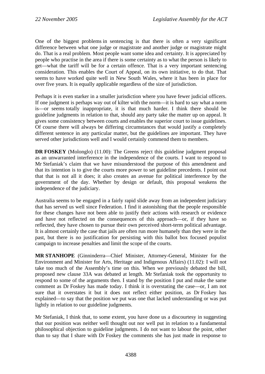One of the biggest problems in sentencing is that there is often a very significant difference between what one judge or magistrate and another judge or magistrate might do. That is a real problem. Most people want some idea and certainty. It is appreciated by people who practise in the area if there is some certainty as to what the person is likely to get—what the tariff will be for a certain offence. That is a very important sentencing consideration. This enables the Court of Appeal, on its own initiative, to do that. That seems to have worked quite well in New South Wales, where it has been in place for over five years. It is equally applicable regardless of the size of jurisdiction.

Perhaps it is even starker in a smaller jurisdiction where you have fewer judicial officers. If one judgment is perhaps way out of kilter with the norm—it is hard to say what a norm is—or seems totally inappropriate, it is that much harder. I think there should be guideline judgments in relation to that, should any party take the matter up on appeal. It gives some consistency between courts and enables the superior court to issue guidelines. Of course there will always be differing circumstances that would justify a completely different sentence in any particular matter, but the guidelines are important. They have served other jurisdictions well and I would certainly commend them to members.

**DR FOSKEY** (Molonglo) (11.00): The Greens reject this guideline judgment proposal as an unwarranted interference in the independence of the courts. I want to respond to Mr Stefaniak's claim that we have misunderstood the purpose of this amendment and that its intention is to give the courts more power to set guideline precedents. I point out that that is not all it does; it also creates an avenue for political interference by the government of the day. Whether by design or default, this proposal weakens the independence of the judiciary.

Australia seems to be engaged in a fairly rapid slide away from an independent judiciary that has served us well since Federation. I find it astonishing that the people responsible for these changes have not been able to justify their actions with research or evidence and have not reflected on the consequences of this approach—or, if they have so reflected, they have chosen to pursue their own perceived short-term political advantage. It is almost certainly the case that jails are often run more humanely than they were in the past, but there is no justification for persisting with this ballot box focused populist campaign to increase penalties and limit the scope of the courts.

**MR STANHOPE** (Ginninderra—Chief Minister, Attorney-General, Minister for the Environment and Minister for Arts, Heritage and Indigenous Affairs) (11.02): I will not take too much of the Assembly's time on this. When we previously debated the bill, proposed new clause 33A was debated at length. Mr Stefaniak took the opportunity to respond to some of the arguments then. I stand by the position I put and make the same comment as Dr Foskey has made today. I think it is overstating the case—or, I am not sure that it overstates it but it does not reflect either position, as Dr Foskey has explained—to say that the position we put was one that lacked understanding or was put lightly in relation to our guideline judgments.

Mr Stefaniak, I think that, to some extent, you have done us a discourtesy in suggesting that our position was neither well thought out nor well put in relation to a fundamental philosophical objection to guideline judgments. I do not want to labour the point, other than to say that I share with Dr Foskey the comments she has just made in response to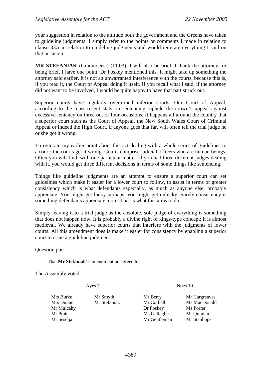your suggestion in relation to the attitude both the government and the Greens have taken to guideline judgments. I simply refer to the points or comments I made in relation to clause 33A in relation to guideline judgments and would reiterate everything I said on that occasion.

**MR STEFANIAK** (Ginninderra) (11.03): I will also be brief. I thank the attorney for being brief. I have one point. Dr Foskey mentioned this. It might take up something the attorney said earlier. It is not an unwarranted interference with the courts, because this is, if you read it, the Court of Appeal doing it itself. If you recall what I said, if the attorney did not want to be involved, I would be quite happy to have that part struck out.

Superior courts have regularly overturned inferior courts. Our Court of Appeal, according to the most recent stats on sentencing, upheld the crown's appeal against excessive leniency on three out of four occasions. It happens all around the country that a superior court such as the Court of Appeal, the New South Wales Court of Criminal Appeal or indeed the High Court, if anyone goes that far, will often tell the trial judge he or she got it wrong.

To reiterate my earlier point about this act dealing with a whole series of guidelines to a court: the courts get it wrong. Courts comprise judicial officers who are human beings. Often you will find, with one particular matter, if you had three different judges dealing with it, you would get three different decisions in terms of some things like sentencing.

Things like guideline judgments are an attempt to ensure a superior court can set guidelines which make it easier for a lower court to follow, to assist in terms of greater consistency which is what defendants especially, as much as anyone else, probably appreciate. You might get lucky perhaps; you might get unlucky. Surely consistency is something defendants appreciate more. That is what this aims to do.

Simply leaving it to a trial judge as the absolute, sole judge of everything is something that does not happen now. It is probably a divine right of kings-type concept; it is almost medieval. We already have superior courts that interfere with the judgments of lower courts. All this amendment does is make it easier for consistency by enabling a superior court to issue a guideline judgment.

Question put:

That **Mr Stefaniak's** amendment be agreed to.

The Assembly voted—

Ayes 7 Noes 10

Mrs Burke Mr Smyth Mr Berry Mr Hargreaves

Mrs Dunne Mr Stefaniak Mr Corbell Ms MacDonald Mr Mulcahy Dr Foskey Ms Porter Mr Pratt Mr Gallagher Mr Ouinlan Mr Seselja Mr Gentleman Mr Stanhope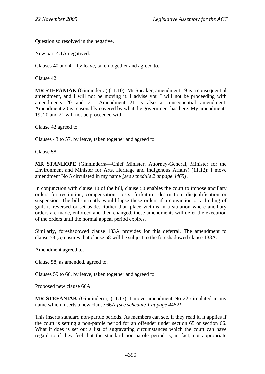Question so resolved in the negative.

New part 4.1A negatived.

Clauses 40 and 41, by leave, taken together and agreed to.

Clause 42.

**MR STEFANIAK** (Ginninderra) (11.10): Mr Speaker, amendment 19 is a consequential amendment, and I will not be moving it. I advise you I will not be proceeding with amendments 20 and 21. Amendment 21 is also a consequential amendment. Amendment 20 is reasonably covered by what the government has here. My amendments 19, 20 and 21 will not be proceeded with.

Clause 42 agreed to.

Clauses 43 to 57, by leave, taken together and agreed to.

Clause 58.

**MR STANHOPE** (Ginninderra—Chief Minister, Attorney-General, Minister for the Environment and Minister for Arts, Heritage and Indigenous Affairs) (11.12): I move amendment No 5 circulated in my name *[see schedule 2 at page 4465]*.

In conjunction with clause 18 of the bill, clause 58 enables the court to impose ancillary orders for restitution, compensation, costs, forfeiture, destruction, disqualification or suspension. The bill currently would lapse these orders if a conviction or a finding of guilt is reversed or set aside. Rather than place victims in a situation where ancillary orders are made, enforced and then changed, these amendments will defer the execution of the orders until the normal appeal period expires.

Similarly, foreshadowed clause 133A provides for this deferral. The amendment to clause 58 (5) ensures that clause 58 will be subject to the foreshadowed clause 133A.

Amendment agreed to.

Clause 58, as amended, agreed to.

Clauses 59 to 66, by leave, taken together and agreed to.

Proposed new clause 66A.

**MR STEFANIAK** (Ginninderra) (11.13): I move amendment No 22 circulated in my name which inserts a new clause 66A *[see schedule 1 at page 4462]*.

This inserts standard non-parole periods. As members can see, if they read it, it applies if the court is setting a non-parole period for an offender under section 65 or section 66. What it does is set out a list of aggravating circumstances which the court can have regard to if they feel that the standard non-parole period is, in fact, not appropriate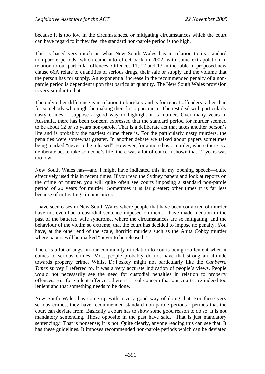because it is too low in the circumstances, or mitigating circumstances which the court can have regard to if they feel the standard non-parole period is too high.

This is based very much on what New South Wales has in relation to its standard non-parole periods, which came into effect back in 2002, with some extrapolation in relation to our particular offences. Offences 11, 12 and 13 in the table in proposed new clause 66A relate to quantities of serious drugs, their sale or supply and the volume that the person has for supply. An exponential increase in the recommended penalty of a nonparole period is dependent upon that particular quantity. The New South Wales provision is very similar to that.

The only other difference is in relation to burglary and is for repeat offenders rather than for somebody who might be making their first appearance. The rest deal with particularly nasty crimes. I suppose a good way to highlight it is murder. Over many years in Australia, there has been concern expressed that the standard period for murder seemed to be about 12 or so years non-parole. That is a deliberate act that takes another person's life and is probably the nastiest crime there is. For the particularly nasty murders, the penalties were somewhat greater. In another debate we talked about papers sometimes being marked "never to be released". However, for a more basic murder, where there is a deliberate act to take someone's life, there was a lot of concern shown that 12 years was too low.

New South Wales has—and I might have indicated this in my opening speech—quite effectively used this in recent times. If you read the Sydney papers and look at reports on the crime of murder, you will quite often see courts imposing a standard non-parole period of 20 years for murder. Sometimes it is far greater; other times it is far less because of mitigating circumstances.

I have seen cases in New South Wales where people that have been convicted of murder have not even had a custodial sentence imposed on them. I have made mention in the past of the battered wife syndrome, where the circumstances are so mitigating, and the behaviour of the victim so extreme, that the court has decided to impose no penalty. You have, at the other end of the scale, horrific murders such as the Anita Cobby murder where papers will be marked "never to be released."

There is a lot of angst in our community in relation to courts being too lenient when it comes to serious crimes. Most people probably do not have that strong an attitude towards property crime. Whilst Dr Foskey might not particularly like the *Canberra Times* survey I referred to, it was a very accurate indication of people's views. People would not necessarily see the need for custodial penalties in relation to property offences. But for violent offences, there is a real concern that our courts are indeed too lenient and that something needs to be done.

New South Wales has come up with a very good way of doing that. For these very serious crimes, they have recommended standard non-parole periods—periods that the court can deviate from. Basically a court has to show some good reason to do so. It is not mandatory sentencing. Those opposite in the past have said, "That is just mandatory sentencing." That is nonsense; it is not. Quite clearly, anyone reading this can see that. It has these guidelines. It imposes recommended non-parole periods which can be deviated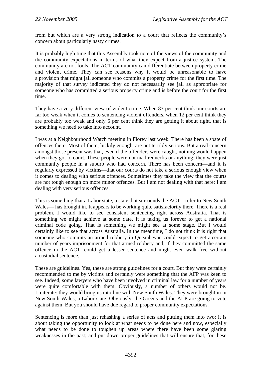from but which are a very strong indication to a court that reflects the community's concern about particularly nasty crimes.

It is probably high time that this Assembly took note of the views of the community and the community expectations in terms of what they expect from a justice system. The community are not fools. The ACT community can differentiate between property crime and violent crime. They can see reasons why it would be unreasonable to have a provision that might jail someone who commits a property crime for the first time. The majority of that survey indicated they do not necessarily see jail as appropriate for someone who has committed a serious property crime and is before the court for the first time.

They have a very different view of violent crime. When 83 per cent think our courts are far too weak when it comes to sentencing violent offenders, when 12 per cent think they are probably too weak and only 5 per cent think they are getting it about right, that is something we need to take into account.

I was at a Neighbourhood Watch meeting in Florey last week. There has been a spate of offences there. Most of them, luckily enough, are not terribly serious. But a real concern amongst those present was that, even if the offenders were caught, nothing would happen when they got to court. These people were not mad rednecks or anything; they were just community people in a suburb who had concern. There has been concern—and it is regularly expressed by victims—that our courts do not take a serious enough view when it comes to dealing with serious offences. Sometimes they take the view that the courts are not tough enough on more minor offences. But I am not dealing with that here; I am dealing with very serious offences.

This is something that a Labor state, a state that surrounds the ACT—refer to New South Wales— has brought in. It appears to be working quite satisfactorily there. There is a real problem. I would like to see consistent sentencing right across Australia. That is something we might achieve at some date. It is taking us forever to get a national criminal code going. That is something we might see at some stage. But I would certainly like to see that across Australia. In the meantime, I do not think it is right that someone who commits an armed robbery in Queanbeyan could expect to get a certain number of years imprisonment for that armed robbery and, if they committed the same offence in the ACT, could get a lesser sentence and might even walk free without a custodial sentence.

These are guidelines. Yes, these are strong guidelines for a court. But they were certainly recommended to me by victims and certainly were something that the AFP was keen to see. Indeed, some lawyers who have been involved in criminal law for a number of years were quite comfortable with them. Obviously, a number of others would not be. I reiterate: they would bring us into line with New South Wales. They were brought in in New South Wales, a Labor state. Obviously, the Greens and the ALP are going to vote against them. But you should have due regard to proper community expectations.

Sentencing is more than just rehashing a series of acts and putting them into two; it is about taking the opportunity to look at what needs to be done here and now, especially what needs to be done to toughen up areas where there have been some glaring weaknesses in the past; and put down proper guidelines that will ensure that, for these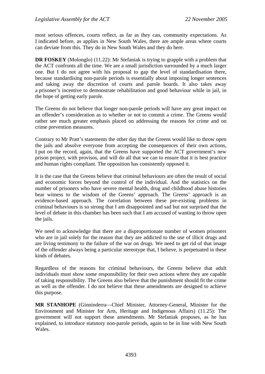most serious offences, courts reflect, as far as they can, community expectations. As I indicated before, as applies in New South Wales, there are ample areas where courts can deviate from this. They do in New South Wales and they do here.

**DR FOSKEY** (Molonglo) (11.22): Mr Stefaniak is trying to grapple with a problem that the ACT confronts all the time. We are a small jurisdiction surrounded by a much larger one. But I do not agree with his proposal to gap the level of standardisation there, because standardising non-parole periods is essentially about imposing longer sentences and taking away the discretion of courts and parole boards. It also takes away a prisoner's incentive to demonstrate rehabilitation and good behaviour while in jail, in the hope of getting early parole.

The Greens do not believe that longer non-parole periods will have any great impact on an offender's consideration as to whether or not to commit a crime. The Greens would rather see much greater emphasis placed on addressing the reasons for crime and on crime prevention measures.

Contrary to Mr Pratt's statements the other day that the Greens would like to throw open the jails and absolve everyone from accepting the consequences of their own actions, I put on the record, again, that the Greens have supported the ACT government's new prison project, with provisos, and will do all that we can to ensure that it is best practice and human rights compliant. The opposition has consistently opposed it.

It is the case that the Greens believe that criminal behaviours are often the result of social and economic forces beyond the control of the individual. And the statistics on the number of prisoners who have severe mental health, drug and childhood abuse histories bear witness to the wisdom of the Greens' approach. The Greens' approach is an evidence-based approach. The correlation between these pre-existing problems in criminal behaviours is so strong that I am disappointed and sad but not surprised that the level of debate in this chamber has been such that I am accused of wanting to throw open the jails.

We need to acknowledge that there are a disproportionate number of women prisoners who are in jail solely for the reason that they are addicted to the use of illicit drugs and are living testimony to the failure of the war on drugs. We need to get rid of that image of the offender always being a particular stereotype that, I believe, is perpetuated in these kinds of debates.

Regardless of the reasons for criminal behaviours, the Greens believe that adult individuals must show some responsibility for their own actions where they are capable of taking responsibility. The Greens also believe that the punishment should fit the crime as well as the offender. I do not believe that these amendments are designed to achieve this purpose.

**MR STANHOPE** (Ginninderra—Chief Minister, Attorney-General, Minister for the Environment and Minister for Arts, Heritage and Indigenous Affairs) (11.25): The government will not support these amendments. Mr Stefaniak proposes, as he has explained, to introduce statutory non-parole periods, again to be in line with New South Wales.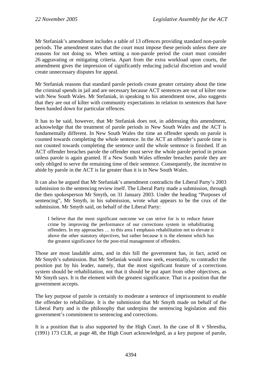Mr Stefaniak's amendment includes a table of 13 offences providing standard non-parole periods. The amendment states that the court must impose these periods unless there are reasons for not doing so. When setting a non-parole period the court must consider 26 aggravating or mitigating criteria. Apart from the extra workload upon courts, the amendment gives the impression of significantly reducing judicial discretion and would create unnecessary disputes for appeal.

Mr Stefaniak reasons that standard parole periods create greater certainty about the time the criminal spends in jail and are necessary because ACT sentences are out of kilter now with New South Wales. Mr Stefaniak, in speaking to his amendment now, also suggests that they are out of kilter with community expectations in relation to sentences that have been handed down for particular offences.

It has to be said, however, that Mr Stefaniak does not, in addressing this amendment, acknowledge that the treatment of parole periods in New South Wales and the ACT is fundamentally different. In New South Wales the time an offender spends on parole is counted towards completing the whole sentence. In the ACT an offender's parole time is not counted towards completing the sentence until the whole sentence is finished. If an ACT offender breaches parole the offender must serve the whole parole period in prison unless parole is again granted. If a New South Wales offender breaches parole they are only obliged to serve the remaining time of their sentence. Consequently, the incentive to abide by parole in the ACT is far greater than it is in New South Wales.

It can also be argued that Mr Stefaniak's amendment contradicts the Liberal Party's 2003 submission to the sentencing review itself. The Liberal Party made a submission, through the then spokesperson Mr Smyth, on 31 January 2003. Under the heading "Purposes of sentencing", Mr Smyth, in his submission, wrote what appears to be the crux of the submission. Mr Smyth said, on behalf of the Liberal Party:

I believe that the most significant outcome we can strive for is to reduce future crime by improving the performance of our corrections system in rehabilitating offenders. In my approaches … to this area I emphasis rehabilitation not to elevate it above the other statutory objectives, but rather because it is the element which has the greatest significance for the post-trial management of offenders.

Those are most laudable aims, and in this bill the government has, in fact, acted on Mr Smyth's submission. But Mr Stefaniak would now seek, essentially, to contradict the position put by his leader, namely, that the most significant feature of a corrections system should be rehabilitation, not that it should be put apart from other objectives, as Mr Smyth says. It is the element with the greatest significance. That is a position that the government accepts.

The key purpose of parole is certainly to moderate a sentence of imprisonment to enable the offender to rehabilitate. It is the submission that Mr Smyth made on behalf of the Liberal Party and is the philosophy that underpins the sentencing legislation and this government's commitment to sentencing and corrections.

It is a position that is also supported by the High Court. In the case of  $R \text{ v Shresha}$ , (1991) 173 CLR, at page 48, the High Court acknowledged, as a key purpose of parole,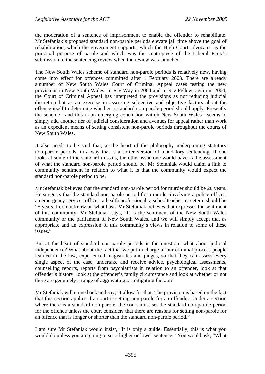the moderation of a sentence of imprisonment to enable the offender to rehabilitate. Mr Stefaniak's proposed standard non-parole periods elevate jail time above the goal of rehabilitation, which the government supports, which the High Court advocates as the principal purpose of parole and which was the centrepiece of the Liberal Party's submission to the sentencing review when the review was launched.

The New South Wales scheme of standard non-parole periods is relatively new, having come into effect for offences committed after 1 February 2003. There are already a number of New South Wales Court of Criminal Appeal cases testing the new provisions in New South Wales. In R v Way in 2004 and in R v Pellew, again in 2004, the Court of Criminal Appeal has interpreted the provisions as not reducing judicial discretion but as an exercise in assessing subjective and objective factors about the offence itself to determine whether a standard non-parole period should apply. Presently the scheme—and this is an emerging conclusion within New South Wales—seems to simply add another tier of judicial consideration and avenues for appeal rather than work as an expedient means of setting consistent non-parole periods throughout the courts of New South Wales.

It also needs to be said that, at the heart of the philosophy underpinning statutory non-parole periods, in a way that is a softer version of mandatory sentencing. If one looks at some of the standard missals, the other issue one would have is the assessment of what the standard non-parole period should be. Mr Stefaniak would claim a link to community sentiment in relation to what it is that the community would expect the standard non-parole period to be.

Mr Stefaniak believes that the standard non-parole period for murder should be 20 years. He suggests that the standard non-parole period for a murder involving a police officer, an emergency services officer, a health professional, a schoolteacher, et cetera, should be 25 years. I do not know on what basis Mr Stefaniak believes that expresses the sentiment of this community. Mr Stefaniak says, "It is the sentiment of the New South Wales community or the parliament of New South Wales, and we will simply accept that as appropriate and an expression of this community's views in relation to some of these issues."

But at the heart of standard non-parole periods is the question: what about judicial independence? What about the fact that we put in charge of our criminal process people learned in the law, experienced magistrates and judges, so that they can assess every single aspect of the case, undertake and receive advice, psychological assessments, counselling reports, reports from psychiatrists in relation to an offender, look at that offender's history, look at the offender's family circumstance and look at whether or not there are genuinely a range of aggravating or mitigating factors?

Mr Stefaniak will come back and say, "I allow for that. The provision is based on the fact that this section applies if a court is setting non-parole for an offender. Under a section where there is a standard non-parole, the court must set the standard non-parole period for the offence unless the court considers that there are reasons for setting non-parole for an offence that is longer or shorter than the standard non-parole period."

I am sure Mr Stefaniak would insist, "It is only a guide. Essentially, this is what you would do unless you are going to set a higher or lower sentence." You would ask, "What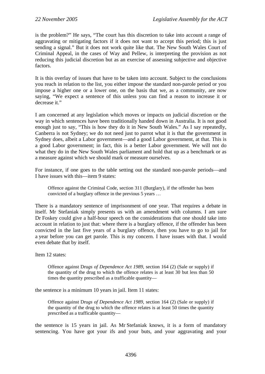is the problem?" He says, "The court has this discretion to take into account a range of aggravating or mitigating factors if it does not want to accept this period; this is just sending a signal." But it does not work quite like that. The New South Wales Court of Criminal Appeal, in the cases of Way and Pellew, is interpreting the provision as not reducing this judicial discretion but as an exercise of assessing subjective and objective factors.

It is this overlay of issues that have to be taken into account. Subject to the conclusions you reach in relation to the list, you either impose the standard non-parole period or you impose a higher one or a lower one, on the basis that we, as a community, are now saying, "We expect a sentence of this unless you can find a reason to increase it or decrease it."

I am concerned at any legislation which moves or impacts on judicial discretion or the way in which sentences have been traditionally handed down in Australia. It is not good enough just to say, "This is how they do it in New South Wales." As I say repeatedly, Canberra is not Sydney; we do not need just to parrot what it is that the government in Sydney does, albeit a Labor government—and a good Labor government, at that. This is a good Labor government; in fact, this is a better Labor government. We will not do what they do in the New South Wales parliament and hold that up as a benchmark or as a measure against which we should mark or measure ourselves.

For instance, if one goes to the table setting out the standard non-parole periods—and I have issues with this—item 9 states:

Offence against the Criminal Code, section 311 (Burglary), if the offender has been convicted of a burglary offence in the previous 5 years …

There is a mandatory sentence of imprisonment of one year. That requires a debate in itself. Mr Stefaniak simply presents us with an amendment with columns. I am sure Dr Foskey could give a half-hour speech on the considerations that one should take into account in relation to just that: where there is a burglary offence, if the offender has been convicted in the last five years of a burglary offence, then you have to go to jail for a year before you can get parole. This is my concern. I have issues with that. I would even debate that by itself.

Item 12 states:

Offence against Dru*gs of Dependence Act 1989*, section 164 (2) (Sale or supply) if the quantity of the drug to which the offence relates is at least 30 but less than 50 times the quantity prescribed as a trafficable quantity—

the sentence is a minimum 10 years in jail. Item 11 states:

Offence against Dru*gs of Dependence Act 1989*, section 164 (2) (Sale or supply) if the quantity of the drug to which the offence relates is at least 50 times the quantity prescribed as a trafficable quantity—

the sentence is 15 years in jail. As Mr Stefaniak knows, it is a form of mandatory sentencing. You have got your ifs and your buts, and your aggravating and your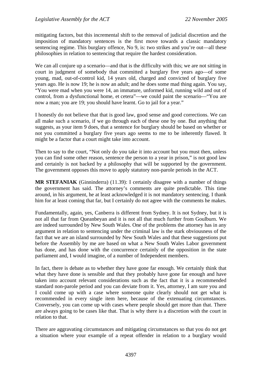mitigating factors, but this incremental shift to the removal of judicial discretion and the imposition of mandatory sentences is the first move towards a classic mandatory sentencing regime. This burglary offence, No 9, is: two strikes and you're out—all these philosophies in relation to sentencing that require the hardest consideration.

We can all conjure up a scenario—and that is the difficulty with this; we are not sitting in court in judgment of somebody that committed a burglary five years ago—of some young, mad, out-of-control kid, 14 years old, charged and convicted of burglary five years ago. He is now 19; he is now an adult; and he does some mad thing again. You say, "You were mad when you were 14, an immature, unformed kid, running wild and out of control, from a dysfunctional home, et cetera"—we could paint the scenario—"You are now a man; you are 19; you should have learnt. Go to jail for a year."

I honestly do not believe that that is good law, good sense and good corrections. We can all make such a scenario, if we go through each of these one by one. But anything that suggests, as your item 9 does, that a sentence for burglary should be based on whether or not you committed a burglary five years ago seems to me to be inherently flawed. It might be a factor that a court might take into account.

Then to say to the court, "Not only do you take it into account but you must then, unless you can find some other reason, sentence the person to a year in prison," is not good law and certainly is not backed by a philosophy that will be supported by the government. The government opposes this move to apply statutory non-parole periods in the ACT.

**MR STEFANIAK** (Ginninderra) (11.39): I certainly disagree with a number of things the government has said. The attorney's comments are quite predictable. This time around, in his argument, he at least acknowledged it is not mandatory sentencing. I thank him for at least coming that far, but I certainly do not agree with the comments he makes.

Fundamentally, again, yes, Canberra is different from Sydney. It is not Sydney, but it is not all that far from Queanbeyan and it is not all that much further from Goulburn. We are indeed surrounded by New South Wales. One of the problems the attorney has in any argument in relation to sentencing under the criminal law is the stark obviousness of the fact that we are an island surrounded by New South Wales and that these suggestions put before the Assembly by me are based on what a New South Wales Labor government has done, and has done with the concurrence certainly of the opposition in the state parliament and, I would imagine, of a number of Independent members.

In fact, there is debate as to whether they have gone far enough. We certainly think that what they have done is sensible and that they probably have gone far enough and have taken into account relevant considerations such as the fact that it is a recommended standard non-parole period and you can deviate from it. Yes, attorney, I am sure you and I could come up with a case where someone quite clearly should not get what is recommended in every single item here, because of the extenuating circumstances. Conversely, you can come up with cases where people should get more than that. There are always going to be cases like that. That is why there is a discretion with the court in relation to that.

There are aggravating circumstances and mitigating circumstances so that you do not get a situation where your example of a repeat offender in relation to a burglary would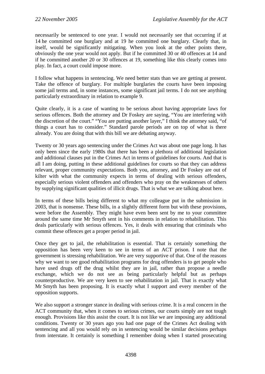necessarily be sentenced to one year. I would not necessarily see that occurring if at 14 he committed one burglary and at 19 he committed one burglary. Clearly that, in itself, would be significantly mitigating. When you look at the other points there, obviously the one year would not apply. But if he committed 30 or 40 offences at 14 and if he committed another 20 or 30 offences at 19, something like this clearly comes into play. In fact, a court could impose more.

I follow what happens in sentencing. We need better stats than we are getting at present. Take the offence of burglary. For multiple burglaries the courts have been imposing some jail terms and, in some instances, some significant jail terms. I do not see anything particularly extraordinary in relation to example 9.

Quite clearly, it is a case of wanting to be serious about having appropriate laws for serious offences. Both the attorney and Dr Foskey are saying, "You are interfering with the discretion of the court." "You are putting another layer," I think the attorney said, "of things a court has to consider." Standard parole periods are on top of what is there already. You are doing that with this bill we are debating anyway.

Twenty or 30 years ago sentencing under the Crimes Act was about one page long. It has only been since the early 1980s that there has been a plethora of additional legislation and additional clauses put in the Crimes Act in terms of guidelines for courts. And that is all I am doing, putting in these additional guidelines for courts so that they can address relevant, proper community expectations. Both you, attorney, and Dr Foskey are out of kilter with what the community expects in terms of dealing with serious offenders, especially serious violent offenders and offenders who pray on the weaknesses of others by supplying significant qualities of illicit drugs. That is what we are talking about here.

In terms of these bills being different to what my colleague put in the submission in 2003, that is nonsense. These bills, in a slightly different form but with these provisions, were before the Assembly. They might have even been sent by me to your committee around the same time Mr Smyth sent in his comments in relation to rehabilitation. This deals particularly with serious offences. Yes, it deals with ensuring that criminals who commit these offences get a proper period in jail.

Once they get to jail, the rehabilitation is essential. That is certainly something the opposition has been very keen to see in terms of an ACT prison. I note that the government is stressing rehabilitation. We are very supportive of that. One of the reasons why we want to see good rehabilitation programs for drug offenders is to get people who have used drugs off the drug whilst they are in jail, rather than propose a needle exchange, which we do not see as being particularly helpful but as perhaps counterproductive. We are very keen to see rehabilitation in jail. That is exactly what Mr Smyth has been proposing. It is exactly what I support and every member of the opposition supports.

We also support a stronger stance in dealing with serious crime. It is a real concern in the ACT community that, when it comes to serious crimes, our courts simply are not tough enough. Provisions like this assist the court. It is not like we are imposing any additional conditions. Twenty or 30 years ago you had one page of the Crimes Act dealing with sentencing and all you would rely on in sentencing would be similar decisions perhaps from interstate. It certainly is something I remember doing when I started prosecuting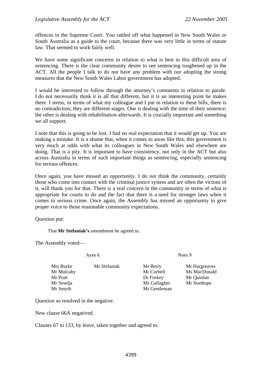offences in the Supreme Court. You rattled off what happened in New South Wales or South Australia as a guide to the court, because there was very little in terms of statute law. That seemed to work fairly well.

We have some significant concerns in relation to what is best in this difficult area of sentencing. There is the clear community desire to see sentencing toughened up in the ACT. All the people I talk to do not have any problem with our adopting the strong measures that the New South Wales Labor government has adopted.

I would be interested to follow through the attorney's comments in relation to parole. I do not necessarily think it is all that different, but it is an interesting point he makes there. I stress, in terms of what my colleague and I put in relation to these bills, there is no contradiction; they are different stages. One is dealing with the time of their sentence; the other is dealing with rehabilitation afterwards. It is crucially important and something we all support.

I note that this is going to be lost. I had no real expectation that it would get up. You are making a mistake. It is a shame that, when it comes to areas like this, this government is very much at odds with what its colleagues in New South Wales and elsewhere are doing. That is a pity. It is important to have consistency, not only in the ACT but also across Australia in terms of such important things as sentencing, especially sentencing for serious offences.

Once again, you have missed an opportunity. I do not think the community, certainly those who come into contact with the criminal justice system and are often the victims of it, will thank you for that. There is a real concern in the community in terms of what is appropriate for courts to do and the fact that there is a need for stronger laws when it comes to serious crime. Once again, the Assembly has missed an opportunity to give proper voice to those reasonable community expectations.

Question put:

That **Mr Stefaniak's** amendment be agreed to.

The Assembly voted—

Ayes 6 Noes 9

Mrs Burke Mr Stefaniak Mr Berry Mr Hargreaves Mr Mulcahy Mr Corbell Ms MacDonald Mr Pratt Dr Foskey Mr Quinlan Mr Seselja Ms Gallagher Mr Stanhope Mr Smyth Mr Gentleman

- 
- 

Question so resolved in the negative.

New clause 66A negatived.

Clauses 67 to 133, by leave, taken together and agreed to.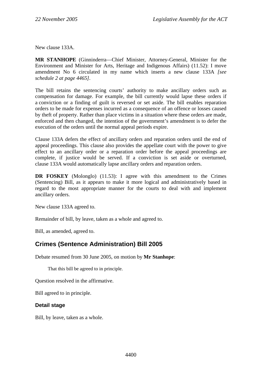<span id="page-21-0"></span>New clause 133A.

**MR STANHOPE** (Ginninderra—Chief Minister, Attorney-General, Minister for the Environment and Minister for Arts, Heritage and Indigenous Affairs) (11.52): I move amendment No 6 circulated in my name which inserts a new clause 133A *[see schedule 2 at page 4465]*.

The bill retains the sentencing courts' authority to make ancillary orders such as compensation for damage. For example, the bill currently would lapse these orders if a conviction or a finding of guilt is reversed or set aside. The bill enables reparation orders to be made for expenses incurred as a consequence of an offence or losses caused by theft of property. Rather than place victims in a situation where these orders are made, enforced and then changed, the intention of the government's amendment is to defer the execution of the orders until the normal appeal periods expire.

Clause 133A defers the effect of ancillary orders and reparation orders until the end of appeal proceedings. This clause also provides the appellate court with the power to give effect to an ancillary order or a reparation order before the appeal proceedings are complete, if justice would be served. If a conviction is set aside or overturned, clause 133A would automatically lapse ancillary orders and reparation orders.

**DR FOSKEY** (Molonglo) (11.53): I agree with this amendment to the Crimes (Sentencing) Bill, as it appears to make it more logical and administratively based in regard to the most appropriate manner for the courts to deal with and implement ancillary orders.

New clause 133A agreed to.

Remainder of bill, by leave, taken as a whole and agreed to.

Bill, as amended, agreed to.

## **Crimes (Sentence Administration) Bill 2005**

Debate resumed from 30 June 2005, on motion by **Mr Stanhope**:

That this bill be agreed to in principle.

Question resolved in the affirmative.

Bill agreed to in principle.

#### **Detail stage**

Bill, by leave, taken as a whole.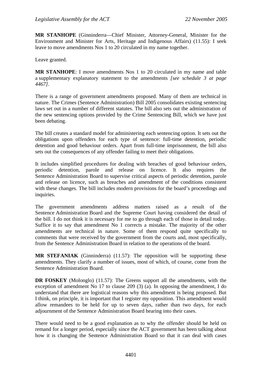**MR STANHOPE** (Ginninderra—Chief Minister, Attorney-General, Minister for the Environment and Minister for Arts, Heritage and Indigenous Affairs) (11.55): I seek leave to move amendments Nos 1 to 20 circulated in my name together.

Leave granted.

**MR STANHOPE**: I move amendments Nos 1 to 20 circulated in my name and table a supplementary explanatory statement to the amendments *[see schedule 3 at page 4467]*.

There is a range of government amendments proposed. Many of them are technical in nature. The Crimes (Sentence Administration) Bill 2005 consolidates existing sentencing laws set out in a number of different statutes. The bill also sets out the administration of the new sentencing options provided by the Crime Sentencing Bill, which we have just been debating.

The bill creates a standard model for administering each sentencing option. It sets out the obligations upon offenders for each type of sentence: full-time detention, periodic detention and good behaviour orders. Apart from full-time imprisonment, the bill also sets out the consequences of any offender failing to meet their obligations.

It includes simplified procedures for dealing with breaches of good behaviour orders, periodic detention, parole and release on licence. It also requires the Sentence Administration Board to supervise critical aspects of periodic detention, parole and release on licence, such as breaches and amendment of the conditions consistent with these changes. The bill includes modern provisions for the board's proceedings and inquiries.

The government amendments address matters raised as a result of the Sentence Administration Board and the Supreme Court having considered the detail of the bill. I do not think it is necessary for me to go through each of those in detail today. Suffice it to say that amendment No 1 corrects a mistake. The majority of the other amendments are technical in nature. Some of them respond quite specifically to comments that were received by the government from the courts and, most specifically, from the Sentence Administration Board in relation to the operations of the board.

**MR STEFANIAK** (Ginninderra) (11.57): The opposition will be supporting these amendments. They clarify a number of issues, most of which, of course, come from the Sentence Administration Board.

**DR FOSKEY** (Molonglo) (11.57): The Greens support all the amendments, with the exception of amendment No 17 to clause 209 (3) (a). In opposing the amendment, I do understand that there are logistical reasons why this amendment is being proposed. But I think, on principle, it is important that I register my opposition. This amendment would allow remandees to be held for up to seven days, rather than two days, for each adjournment of the Sentence Administration Board hearing into their cases.

There would need to be a good explanation as to why the offender should be held on remand for a longer period, especially since the ACT government has been talking about how it is changing the Sentence Administration Board so that it can deal with cases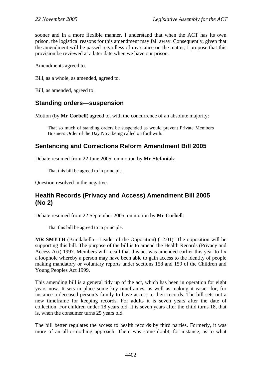<span id="page-23-0"></span>sooner and in a more flexible manner. I understand that when the ACT has its own prison, the logistical reasons for this amendment may fall away. Consequently, given that the amendment will be passed regardless of my stance on the matter, I propose that this provision be reviewed at a later date when we have our prison.

Amendments agreed to.

Bill, as a whole, as amended, agreed to.

Bill, as amended, agreed to.

## **Standing orders—suspension**

Motion (by **Mr Corbell**) agreed to, with the concurrence of an absolute majority:

That so much of standing orders be suspended as would prevent Private Members Business Order of the Day No 3 being called on forthwith.

## **Sentencing and Corrections Reform Amendment Bill 2005**

Debate resumed from 22 June 2005, on motion by **Mr Stefaniak:**

That this bill be agreed to in principle.

Question resolved in the negative.

## **Health Records (Privacy and Access) Amendment Bill 2005 (No 2)**

Debate resumed from 22 September 2005, on motion by **Mr Corbell**:

That this bill be agreed to in principle.

**MR SMYTH** (Brindabella—Leader of the Opposition) (12.01): The opposition will be supporting this bill. The purpose of the bill is to amend the Health Records (Privacy and Access Act) 1997. Members will recall that this act was amended earlier this year to fix a loophole whereby a person may have been able to gain access to the identity of people making mandatory or voluntary reports under sections 158 and 159 of the Children and Young Peoples Act 1999.

This amending bill is a general tidy up of the act, which has been in operation for eight years now. It sets in place some key timeframes, as well as making it easier for, for instance a deceased person's family to have access to their records. The bill sets out a new timeframe for keeping records. For adults it is seven years after the date of collection. For children under 18 years old, it is seven years after the child turns 18, that is, when the consumer turns 25 years old.

The bill better regulates the access to health records by third parties. Formerly, it was more of an all-or-nothing approach. There was some doubt, for instance, as to what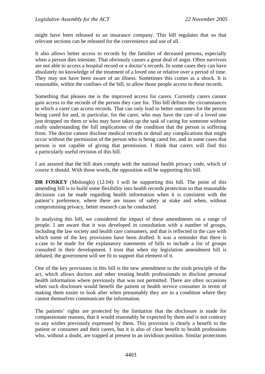might have been released to an insurance company. This bill regulates that so that relevant sections can be released for the convenience and use of all.

It also allows better access to records by the families of deceased persons, especially when a person dies intestate. That obviously causes a great deal of angst. Often survivors are not able to access a hospital record or a doctor's records. In some cases they can have absolutely no knowledge of the treatment of a loved one or relative over a period of time. They may not have been aware of an illness. Sometimes this comes as a shock. It is reasonable, within the confines of the bill, to allow those people access to these records.

Something that pleases me is the improved access for carers. Currently carers cannot gain access to the records of the person they care for. This bill defines the circumstances in which a carer can access records. That can only lead to better outcomes for the person being cared for and, in particular, for the carer, who may have the care of a loved one just dropped on them or who may have taken up the task of caring for someone without really understanding the full implications of the condition that the person is suffering from. The doctor cannot disclose medical records or detail any complications that might occur without the permission of the person who is being cared for, and in some cases that person is not capable of giving that permission. I think that carers will find this a particularly useful revision of this bill.

I am assured that the bill does comply with the national health privacy code, which of course it should. With those words, the opposition will be supporting this bill.

**DR FOSKEY** (Molonglo) (12.04): I will be supporting this bill. The point of this amending bill is to build some flexibility into health records protection so that reasonable decisions can be made regarding health information when it is consistent with the patient's preference, where there are issues of safety at stake and when, without compromising privacy, better research can be conducted.

In analysing this bill, we considered the impact of these amendments on a range of people. I am aware that it was developed in consultation with a number of groups, including the law society and health care consumers, and that is reflected in the care with which some of the key provisions have been drafted. It was a reminder that there is a case to be made for the explanatory statements of bills to include a list of groups consulted in their development. I trust that when my legislation amendment bill is debated, the government will see fit to support that element of it.

One of the key provisions in this bill is the new amendment to the sixth principle of the act, which allows doctors and other treating health professionals to disclose personal health information where previously that was not permitted. There are often occasions when such disclosure would benefit the patient or health service consumer in terms of making them easier to look after when presumably they are in a condition where they cannot themselves communicate the information.

The patients' rights are protected by the limitation that the disclosure is made for compassionate reasons, that it would reasonably be expected by them and is not contrary to any wishes previously expressed by them. This provision is clearly a benefit to the patient or consumer and their carers, but it is also of clear benefit to health professions who, without a doubt, are trapped at present in an invidious position. Similar protections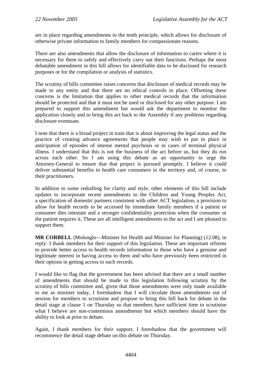are in place regarding amendments to the tenth principle, which allows for disclosure of otherwise private information to family members for compassionate reasons.

There are also amendments that allow the disclosure of information to carers where it is necessary for them to safely and effectively carry out their functions. Perhaps the most debatable amendment in this bill allows for identifiable data to be disclosed for research purposes or for the compilation or analysis of statistics.

The scrutiny of bills committee raises concerns that disclosure of medical records may be made to any entity and that there are no ethical controls in place. Offsetting these concerns is the limitation that applies to other medical records that the information should be protected and that it must not be used or disclosed for any other purpose. I am prepared to support this amendment but would ask the department to monitor the application closely and to bring this act back to the Assembly if any problems regarding disclosure eventuate.

I note that there is a broad project in train that is about improving the legal status and the practice of creating advance agreements that people may wish to put in place in anticipation of episodes of intense mental psychosis or in cases of terminal physical illness. I understand that this is not the business of the act before us, but they do run across each other. So I am using this debate as an opportunity to urge the Attorney-General to ensure that that project is pursued promptly. I believe it could deliver substantial benefits to health care consumers in the territory and, of course, to their practitioners.

In addition to some redrafting for clarity and style, other elements of this bill include updates to incorporate recent amendments to the Children and Young Peoples Act, a specification of domestic partners consistent with other ACT legislation, a provision to allow for health records to be accessed by immediate family members if a patient or consumer dies intestate and a stronger confidentiality protection when the consumer or the patient requires it. These are all intelligent amendments to the act and I am pleased to support them.

**MR CORBELL** (Molonglo—Minister for Health and Minister for Planning) (12.08), in reply: I thank members for their support of this legislation. These are important reforms to provide better access to health records information to those who have a genuine and legitimate interest in having access to them and who have previously been restricted in their options in getting access to such records.

I would like to flag that the government has been advised that there are a small number of amendments that should be made to this legislation following scrutiny by the scrutiny of bills committee and, given that those amendments were only made available to me as minister today, I foreshadow that I will circulate those amendments out of session for members to scrutinise and propose to bring this bill back for debate in the detail stage at clause 1 on Thursday so that members have sufficient time to scrutinise what I believe are non-contentious amendments but which members should have the ability to look at prior to debate.

Again, I thank members for their support. I foreshadow that the government will recommence the detail stage debate on this debate on Thursday.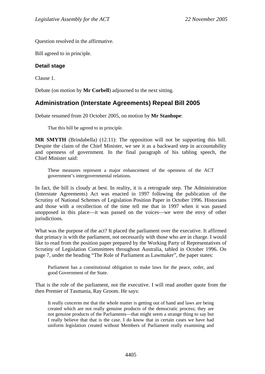<span id="page-26-0"></span>Question resolved in the affirmative.

Bill agreed to in principle.

#### **Detail stage**

Clause 1.

Debate (on motion by **Mr Corbell**) adjourned to the next sitting.

## **Administration (Interstate Agreements) Repeal Bill 2005**

Debate resumed from 20 October 2005, on motion by **Mr Stanhope**:

That this bill be agreed to in principle.

**MR SMYTH** (Brindabella) (12.11): The opposition will not be supporting this bill. Despite the claim of the Chief Minister, we see it as a backward step in accountability and openness of government. In the final paragraph of his tabling speech, the Chief Minister said:

These measures represent a major enhancement of the openness of the ACT government's intergovernmental relations.

In fact, the bill is cloudy at best. In reality, it is a retrograde step. The Administration (Interstate Agreements) Act was enacted in 1997 following the publication of the Scrutiny of National Schemes of Legislation Position Paper in October 1996. Historians and those with a recollection of the time tell me that in 1997 when it was passed unopposed in this place—it was passed on the voices—we were the envy of other jurisdictions.

What was the purpose of the act? It placed the parliament over the executive. It affirmed that primacy is with the parliament, not necessarily with those who are in charge. I would like to read from the position paper prepared by the Working Party of Representatives of Scrutiny of Legislation Committees throughout Australia, tabled in October 1996. On page 7, under the heading "The Role of Parliament as Lawmaker", the paper states:

Parliament has a constitutional obligation to make laws for the peace, order, and good Government of the State.

That is the role of the parliament, not the executive. I will read another quote from the then Premier of Tasmania, Ray Groom. He says:

It really concerns me that the whole matter is getting out of hand and laws are being created which are not really genuine products of the democratic process; they are not genuine products of the Parliaments—that might seem a strange thing to say but I really believe that that is the case. I do know that in certain cases we have had uniform legislation created without Members of Parliament really examining and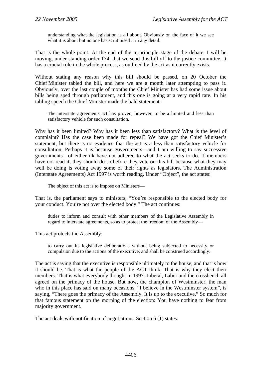understanding what the legislation is all about. Obviously on the face of it we see what it is about but no one has scrutinised it in any detail.

That is the whole point. At the end of the in-principle stage of the debate, I will be moving, under standing order 174, that we send this bill off to the justice committee. It has a crucial role in the whole process, as outlined by the act as it currently exists.

Without stating any reason why this bill should be passed, on 20 October the Chief Minister tabled the bill, and here we are a month later attempting to pass it. Obviously, over the last couple of months the Chief Minister has had some issue about bills being sped through parliament, and this one is going at a very rapid rate. In his tabling speech the Chief Minister made the bald statement:

The interstate agreements act has proven, however, to be a limited and less than satisfactory vehicle for such consultation.

Why has it been limited? Why has it been less than satisfactory? What is the level of complaint? Has the case been made for repeal? We have got the Chief Minister's statement, but there is no evidence that the act is a less than satisfactory vehicle for consultation. Perhaps it is because governments—and I am willing to say successive governments—of either ilk have not adhered to what the act seeks to do. If members have not read it, they should do so before they vote on this bill because what they may well be doing is voting away some of their rights as legislators. The Administration (Interstate Agreements) Act 1997 is worth reading. Under "Object", the act states:

The object of this act is to impose on Ministers—

That is, the parliament says to ministers, "You're responsible to the elected body for your conduct. You're not over the elected body." The act continues:

duties to inform and consult with other members of the Legislative Assembly in regard to interstate agreements, so as to protect the freedom of the Assembly—

This act protects the Assembly:

to carry out its legislative deliberations without being subjected to necessity or compulsion due to the actions of the executive, and shall be construed accordingly.

The act is saying that the executive is responsible ultimately to the house, and that is how it should be. That is what the people of the ACT think. That is why they elect their members. That is what everybody thought in 1997. Liberal, Labor and the crossbench all agreed on the primacy of the house. But now, the champion of Westminster, the man who in this place has said on many occasions, "I believe in the Westminster system", is saying, "There goes the primacy of the Assembly. It is up to the executive." So much for that famous statement on the morning of the election: You have nothing to fear from majority government.

The act deals with notification of negotiations. Section 6 (1) states: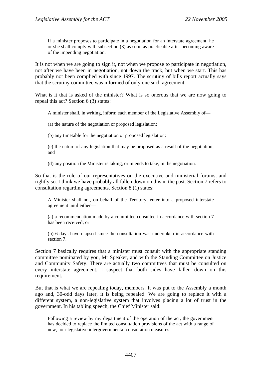If a minister proposes to participate in a negotiation for an interstate agreement, he or she shall comply with subsection (3) as soon as practicable after becoming aware of the impending negotiation.

It is not when we are going to sign it, not when we propose to participate in negotiation, not after we have been in negotiation, not down the track, but when we start. This has probably not been complied with since 1997. The scrutiny of bills report actually says that the scrutiny committee was informed of only one such agreement.

What is it that is asked of the minister? What is so onerous that we are now going to repeal this act? Section 6 (3) states:

A minister shall, in writing, inform each member of the Legislative Assembly of—

(a) the nature of the negotiation or proposed legislation;

(b) any timetable for the negotiation or proposed legislation;

(c) the nature of any legislation that may be proposed as a result of the negotiation; and

(d) any position the Minister is taking, or intends to take, in the negotiation.

So that is the role of our representatives on the executive and ministerial forums, and rightly so. I think we have probably all fallen down on this in the past. Section 7 refers to consultation regarding agreements. Section 8 (1) states:

A Minister shall not, on behalf of the Territory, enter into a proposed interstate agreement until either—

(a) a recommendation made by a committee consulted in accordance with section 7 has been received; or

(b) 6 days have elapsed since the consultation was undertaken in accordance with section 7.

Section 7 basically requires that a minister must consult with the appropriate standing committee nominated by you, Mr Speaker, and with the Standing Committee on Justice and Community Safety. There are actually two committees that must be consulted on every interstate agreement. I suspect that both sides have fallen down on this requirement.

But that is what we are repealing today, members. It was put to the Assembly a month ago and, 30-odd days later, it is being repealed. We are going to replace it with a different system, a non-legislative system that involves placing a lot of trust in the government. In his tabling speech, the Chief Minister said:

Following a review by my department of the operation of the act, the government has decided to replace the limited consultation provisions of the act with a range of new, non-legislative intergovernmental consultation measures.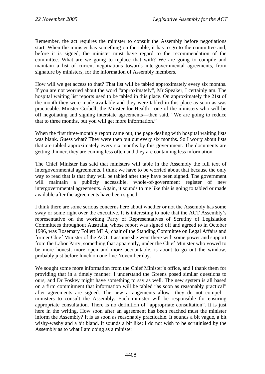Remember, the act requires the minister to consult the Assembly before negotiations start. When the minister has something on the table, it has to go to the committee and, before it is signed, the minister must have regard to the recommendation of the committee. What are we going to replace that with? We are going to compile and maintain a list of current negotiations towards intergovernmental agreements, from signature by ministers, for the information of Assembly members.

How will we get access to that? That list will be tabled approximately every six months. If you are not worried about the word "approximately", Mr Speaker, I certainly am. The hospital waiting list reports used to be tabled in this place. On approximately the 21st of the month they were made available and they were tabled in this place as soon as was practicable. Minster Corbell, the Minster for Health—one of the ministers who will be off negotiating and signing interstate agreements—then said, "We are going to reduce that to three months, but you will get more information."

When the first three-monthly report came out, the page dealing with hospital waiting lists was blank. Guess what? They were then put out every six months. So I worry about lists that are tabled approximately every six months by this government. The documents are getting thinner, they are coming less often and they are containing less information.

The Chief Minister has said that ministers will table in the Assembly the full text of intergovernmental agreements. I think we have to be worried about that because the only way to read that is that they will be tabled after they have been signed. The government will maintain a publicly accessible, whole-of-government register of new intergovernmental agreements. Again, it sounds to me like this is going to tabled or made available after the agreements have been signed.

I think there are some serious concerns here about whether or not the Assembly has some sway or some right over the executive. It is interesting to note that the ACT Assembly's representative on the working Party of Representatives of Scrutiny of Legislation Committees throughout Australia, whose report was signed off and agreed to in October 1996, was Rosemary Follett MLA, chair of the Standing Committee on Legal Affairs and former Chief Minister of the ACT. I assume she went there with some power and support from the Labor Party, something that apparently, under the Chief Minister who vowed to be more honest, more open and more accountable, is about to go out the window, probably just before lunch on one fine November day.

We sought some more information from the Chief Minister's office, and I thank them for providing that in a timely manner. I understand the Greens posed similar questions to ours, and Dr Foskey might have something to say as well. The new system is all based on a firm commitment that information will be tabled "as soon as reasonably practical" after agreements are signed. The new arrangements allow—they do not compel ministers to consult the Assembly. Each minister will be responsible for ensuring appropriate consultation. There is no definition of "appropriate consultation". It is just here in the writing. How soon after an agreement has been reached must the minister inform the Assembly? It is as soon as reasonably practicable. It sounds a bit vague, a bit wishy-washy and a bit bland. It sounds a bit like: I do not wish to be scrutinised by the Assembly as to what I am doing as a minister.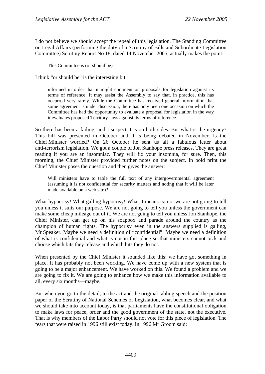I do not believe we should accept the repeal of this legislation. The Standing Committee on Legal Affairs (performing the duty of a Scrutiny of Bills and Subordinate Legislation Committee) Scrutiny Report No 18, dated 14 November 2005, actually makes the point:

This Committee is (or should be)—

I think "or should be" is the interesting bit:

informed in order that it might comment on proposals for legislation against its terms of reference. It may assist the Assembly to say that, in practice, this has occurred very rarely. While the Committee has received general information that some agreement is under discussion, there has only been one occasion on which the Committee has had the opportunity to evaluate a proposal for legislation in the way it evaluates proposed Territory laws against its terms of reference.

So there has been a failing, and I suspect it is on both sides. But what is the urgency? This bill was presented in October and it is being debated in November. Is the Chief Minister worried? On 26 October he sent us all a fabulous letter about anti-terrorism legislation. We got a couple of Jon Stanhope press releases. They are great reading if you are an insomniac. They will fix your insomnia, for sure. Then, this morning, the Chief Minister provided further notes on the subject. In bold print the Chief Minister poses the question and then gives the answer:

Will ministers have to table the full text of any intergovernmental agreement (assuming it is not confidential for security matters and noting that it will be later made available on a web site)?

What hypocrisy! What galling hypocrisy! What it means is: no, we are not going to tell you unless it suits our purpose. We are not going to tell you unless the government can make some cheap mileage out of it. We are not going to tell you unless Jon Stanhope, the Chief Minister, can get up on his soapbox and parade around the country as the champion of human rights. The hypocrisy even in the answers supplied is galling, Mr Speaker. Maybe we need a definition of "confidential". Maybe we need a definition of what is confidential and what is not in this place so that ministers cannot pick and choose which bits they release and which bits they do not.

When presented by the Chief Minister it sounded like this: we have got something in place. It has probably not been working. We have come up with a new system that is going to be a major enhancement. We have worked on this. We found a problem and we are going to fix it. We are going to enhance how we make this information available to all, every six months—maybe.

But when you go to the detail, to the act and the original tabling speech and the position paper of the Scrutiny of National Schemes of Legislation, what becomes clear, and what we should take into account today, is that parliaments have the constitutional obligation to make laws for peace, order and the good government of the state, not the executive. That is why members of the Labor Party should not vote for this piece of legislation. The fears that were raised in 1996 still exist today. In 1996 Mr Groom said: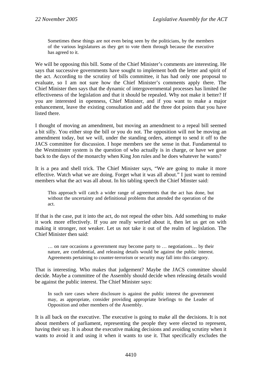Sometimes these things are not even being seen by the politicians, by the members of the various legislatures as they get to vote them through because the executive has agreed to it.

We will be opposing this bill. Some of the Chief Minister's comments are interesting. He says that successive governments have sought to implement both the letter and spirit of the act. According to the scrutiny of bills committee, it has had only one proposal to evaluate, so I am not sure how the Chief Minister's comments apply there. The Chief Minister then says that the dynamic of intergovernmental processes has limited the effectiveness of the legislation and that it should be repealed. Why not make it better? If you are interested in openness, Chief Minister, and if you want to make a major enhancement, leave the existing consultation and add the three dot points that you have listed there.

I thought of moving an amendment, but moving an amendment to a repeal bill seemed a bit silly. You either stop the bill or you do not. The opposition will not be moving an amendment today, but we will, under the standing orders, attempt to send it off to the JACS committee for discussion. I hope members see the sense in that. Fundamental to the Westminster system is the question of who actually is in charge, or have we gone back to the days of the monarchy when King Jon rules and he does whatever he wants?

It is a pea and shell trick. The Chief Minister says, "We are going to make it more effective. Watch what we are doing. Forget what it was all about." I just want to remind members what the act was all about. In his tabling speech the Chief Minster said:

This approach will catch a wider range of agreements that the act has done, but without the uncertainty and definitional problems that attended the operation of the act.

If that is the case, put it into the act, do not repeal the other bits. Add something to make it work more effectively. If you are really worried about it, then let us get on with making it stronger, not weaker. Let us not take it out of the realm of legislation. The Chief Minister then said:

… on rare occasions a government may become party to … negotiations… by their nature, are confidential, and releasing details would be against the public interest. Agreements pertaining to counter-terrorism or security may fall into this category.

That is interesting. Who makes that judgement? Maybe the JACS committee should decide. Maybe a committee of the Assembly should decide when releasing details would be against the public interest. The Chief Minister says:

In such rare cases where disclosure is against the public interest the government may, as appropriate, consider providing appropriate briefings to the Leader of Opposition and other members of the Assembly.

It is all back on the executive. The executive is going to make all the decisions. It is not about members of parliament, representing the people they were elected to represent, having their say. It is about the executive making decisions and avoiding scrutiny when it wants to avoid it and using it when it wants to use it. That specifically excludes the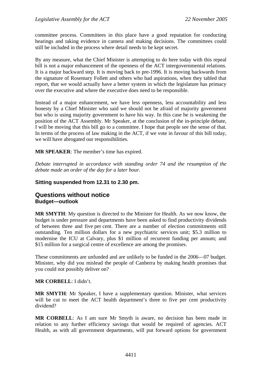<span id="page-32-0"></span>committee process. Committees in this place have a good reputation for conducting hearings and taking evidence in camera and making decisions. The committees could still be included in the process where detail needs to be kept secret.

By any measure, what the Chief Minister is attempting to do here today with this repeal bill is not a major enhancement of the openness of the ACT intergovernmental relations. It is a major backward step. It is moving back to pre-1996. It is moving backwards from the signature of Rosemary Follett and others who had aspirations, when they tabled that report, that we would actually have a better system in which the legislature has primacy over the executive and where the executive does need to be responsible.

Instead of a major enhancement, we have less openness, less accountability and less honesty by a Chief Minister who said we should not be afraid of majority government but who is using majority government to have his way. In this case he is weakening the position of the ACT Assembly. Mr Speaker, at the conclusion of the in-principle debate, I will be moving that this bill go to a committee. I hope that people see the sense of that. In terms of the process of law making in the ACT, if we vote in favour of this bill today, we will have abrogated our responsibilities.

**MR SPEAKER**: The member's time has expired.

*Debate interrupted in accordance with standing order 74 and the resumption of the debate made an order of the day for a later hour.* 

#### **Sitting suspended from 12.31 to 2.30 pm.**

#### **Questions without notice Budget—outlook**

**MR SMYTH**: My question is directed to the Minister for Health. As we now know, the budget is under pressure and departments have been asked to find productivity dividends of between three and five per cent. There are a number of election commitments still outstanding. Ten million dollars for a new psychiatric services unit; \$5.3 million to modernise the ICU at Calvary, plus \$1 million of recurrent funding per annum; and \$15 million for a surgical centre of excellence are among the promises.

These commitments are unfunded and are unlikely to be funded in the 2006—07 budget. Minister, why did you mislead the people of Canberra by making health promises that you could not possibly deliver on?

#### **MR CORBELL**: I didn't.

**MR SMYTH**: Mr Speaker, I have a supplementary question. Minister, what services will be cut to meet the ACT health department's three to five per cent productivity dividend?

**MR CORBELL**: As I am sure Mr Smyth is aware, no decision has been made in relation to any further efficiency savings that would be required of agencies. ACT Health, as with all government departments, will put forward options for government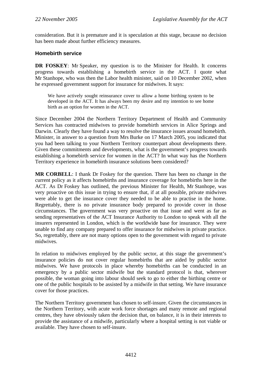<span id="page-33-0"></span>consideration. But it is premature and it is speculation at this stage, because no decision has been made about further efficiency measures.

#### **Homebirth service**

**DR FOSKEY**: Mr Speaker, my question is to the Minister for Health. It concerns progress towards establishing a homebirth service in the ACT. I quote what Mr Stanhope, who was then the Labor health minister, said on 10 December 2002, when he expressed government support for insurance for midwives. It says:

We have actively sought reinsurance cover to allow a home birthing system to be developed in the ACT. It has always been my desire and my intention to see home birth as an option for women in the ACT.

Since December 2004 the Northern Territory Department of Health and Community Services has contracted midwives to provide homebirth services in Alice Springs and Darwin. Clearly they have found a way to resolve the insurance issues around homebirth. Minister, in answer to a question from Mrs Burke on 17 March 2005, you indicated that you had been talking to your Northern Territory counterpart about developments there. Given these commitments and developments, what is the government's progress towards establishing a homebirth service for women in the ACT? In what way has the Northern Territory experience in homebirth insurance solutions been considered?

**MR CORBELL**: I thank Dr Foskey for the question. There has been no change in the current policy as it affects homebirths and insurance coverage for homebirths here in the ACT. As Dr Foskey has outlined, the previous Minister for Health, Mr Stanhope, was very proactive on this issue in trying to ensure that, if at all possible, private midwives were able to get the insurance cover they needed to be able to practise in the home. Regrettably, there is no private insurance body prepared to provide cover in those circumstances. The government was very proactive on that issue and went as far as sending representatives of the ACT Insurance Authority to London to speak with all the insurers represented in London, which is the worldwide base for insurance. They were unable to find any company prepared to offer insurance for midwives in private practice. So, regrettably, there are not many options open to the government with regard to private midwives.

In relation to midwives employed by the public sector, at this stage the government's insurance policies do not cover regular homebirths that are aided by public sector midwives. We have protocols in place whereby homebirths can be conducted in an emergency by a public sector midwife but the standard protocol is that, wherever possible, the woman going into labour should seek to go to either the birthing centre or one of the public hospitals to be assisted by a midwife in that setting. We have insurance cover for those practices.

The Northern Territory government has chosen to self-insure. Given the circumstances in the Northern Territory, with acute work force shortages and many remote and regional centres, they have obviously taken the decision that, on balance, it is in their interests to provide the assistance of a midwife, particularly where a hospital setting is not viable or available. They have chosen to self-insure.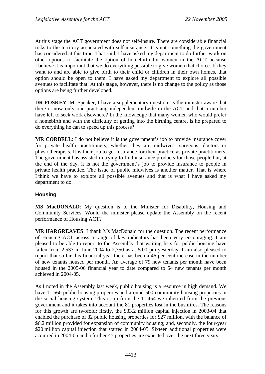<span id="page-34-0"></span>At this stage the ACT government does not self-insure. There are considerable financial risks to the territory associated with self-insurance. It is not something the government has considered at this time. That said, I have asked my department to do further work on other options to facilitate the option of homebirth for women in the ACT because I believe it is important that we do everything possible to give women that choice. If they want to and are able to give birth to their child or children in their own homes, that option should be open to them. I have asked my department to explore all possible avenues to facilitate that. At this stage, however, there is no change to the policy as those options are being further developed.

**DR FOSKEY**: Mr Speaker, I have a supplementary question. Is the minister aware that there is now only one practising independent midwife in the ACT and that a number have left to seek work elsewhere? In the knowledge that many women who would prefer a homebirth and with the difficulty of getting into the birthing centre, is he prepared to do everything he can to speed up this process?

**MR CORBELL**: I do not believe it is the government's job to provide insurance cover for private health practitioners, whether they are midwives, surgeons, doctors or physiotherapists. It is their job to get insurance for their practice as private practitioners. The government has assisted in trying to find insurance products for those people but, at the end of the day, it is not the government's job to provide insurance to people in private health practice. The issue of public midwives is another matter. That is where I think we have to explore all possible avenues and that is what I have asked my department to do.

#### **Housing**

**MS MacDONALD**: My question is to the Minister for Disability, Housing and Community Services. Would the minister please update the Assembly on the recent performance of Housing ACT?

**MR HARGREAVES**: I thank Ms MacDonald for the question. The recent performance of Housing ACT across a range of key indicators has been very encouraging. I am pleased to be able to report to the Assembly that waiting lists for public housing have fallen from 2,537 in June 2004 to 2,350 as at 5.00 pm yesterday. I am also pleased to report that so far this financial year there has been a 46 per cent increase in the number of new tenants housed per month. An average of 79 new tenants per month have been housed in the 2005-06 financial year to date compared to 54 new tenants per month achieved in 2004-05.

As I noted in the Assembly last week, public housing is a resource in high demand. We have 11,560 public housing properties and around 500 community housing properties in the social housing system. This is up from the 11,454 we inherited from the previous government and it takes into account the 81 properties lost in the bushfires. The reasons for this growth are twofold: firstly, the \$33.2 million capital injection in 2003-04 that enabled the purchase of 82 public housing properties for \$27 million, with the balance of \$6.2 million provided for expansion of community housing; and, secondly, the four-year \$20 million capital injection that started in 2004-05. Sixteen additional properties were acquired in 2004-05 and a further 45 properties are expected over the next three years.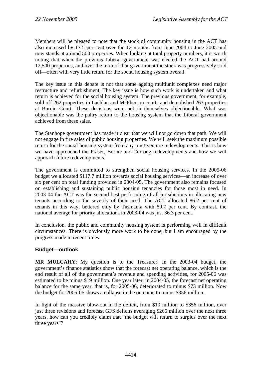<span id="page-35-0"></span>Members will be pleased to note that the stock of community housing in the ACT has also increased by 17.5 per cent over the 12 months from June 2004 to June 2005 and now stands at around 500 properties. When looking at total property numbers, it is worth noting that when the previous Liberal government was elected the ACT had around 12,500 properties, and over the term of that government the stock was progressively sold off—often with very little return for the social housing system overall.

The key issue in this debate is not that some ageing multiunit complexes need major restructure and refurbishment. The key issue is how such work is undertaken and what return is achieved for the social housing system. The previous government, for example, sold off 262 properties in Lachlan and McPherson courts and demolished 263 properties at Burnie Court. These decisions were not in themselves objectionable. What was objectionable was the paltry return to the housing system that the Liberal government achieved from these sales.

The Stanhope government has made it clear that we will not go down that path. We will not engage in fire sales of public housing properties. We will seek the maximum possible return for the social housing system from any joint venture redevelopments. This is how we have approached the Fraser, Burnie and Currong redevelopments and how we will approach future redevelopments.

The government is committed to strengthen social housing services. In the 2005-06 budget we allocated \$117.7 million towards social housing services—an increase of over six per cent on total funding provided in 2004-05. The government also remains focused on establishing and sustaining public housing tenancies for those most in need. In 2003-04 the ACT was the second best performing of all jurisdictions in allocating new tenants according to the severity of their need. The ACT allocated 86.2 per cent of tenants in this way, bettered only by Tasmania with 89.7 per cent. By contrast, the national average for priority allocations in 2003-04 was just 36.3 per cent.

In conclusion, the public and community housing system is performing well in difficult circumstances. There is obviously more work to be done, but I am encouraged by the progress made in recent times.

#### **Budget—outlook**

**MR MULCAHY**: My question is to the Treasurer. In the 2003-04 budget, the government's finance statistics show that the forecast net operating balance, which is the end result of all of the government's revenue and spending activities, for 2005-06 was estimated to be minus \$19 million. One year later, in 2004-05, the forecast net operating balance for the same year, that is, for 2005-06, deteriorated to minus \$73 million. Now the budget for 2005-06 shows a collapse in the outcome to minus \$356 million.

In light of the massive blow-out in the deficit, from \$19 million to \$356 million, over just three revisions and forecast GFS deficits averaging \$265 million over the next three years, how can you credibly claim that "the budget will return to surplus over the next three years"?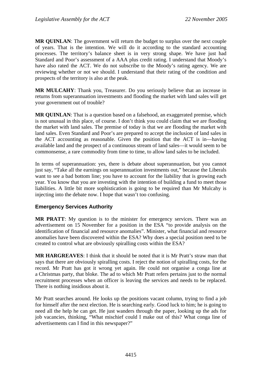**MR QUINLAN**: The government will return the budget to surplus over the next couple of years. That is the intention. We will do it according to the standard accounting processes. The territory's balance sheet is in very strong shape. We have just had Standard and Poor's assessment of a AAA plus credit rating. I understand that Moody's have also rated the ACT. We do not subscribe to the Moody's rating agency. We are reviewing whether or not we should. I understand that their rating of the condition and prospects of the territory is also at the peak.

**MR MULCAHY**: Thank you, Treasurer. Do you seriously believe that an increase in returns from superannuation investments and flooding the market with land sales will get your government out of trouble?

**MR QUINLAN**: That is a question based on a falsehood, an exaggerated premise, which is not unusual in this place, of course. I don't think you could claim that we are flooding the market with land sales. The premise of today is that we are flooding the market with land sales. Even Standard and Poor's are prepared to accept the inclusion of land sales in the ACT accounting as reasonable. Given the position that the ACT is in—having available land and the prospect of a continuous stream of land sales—it would seem to be commonsense, a rare commodity from time to time, to allow land sales to be included.

In terms of superannuation: yes, there is debate about superannuation, but you cannot just say, "Take all the earnings on superannuation investments out," because the Liberals want to see a bad bottom line; you have to account for the liability that is growing each year. You know that you are investing with the intention of building a fund to meet those liabilities. A little bit more sophistication is going to be required than Mr Mulcahy is injecting into the debate now. I hope that wasn't too confusing.

# **Emergency Services Authority**

**MR PRATT**: My question is to the minister for emergency services. There was an advertisement on 15 November for a position in the ESA "to provide analysis on the identification of financial and resource anomalies". Minister, what financial and resource anomalies have been discovered within the ESA? Why does a special position need to be created to control what are obviously spiralling costs within the ESA?

**MR HARGREAVES**: I think that it should be noted that it is Mr Pratt's straw man that says that there are obviously spiralling costs. I reject the notion of spiralling costs, for the record. Mr Pratt has got it wrong yet again. He could not organise a conga line at a Christmas party, that bloke. The ad to which Mr Pratt refers pertains just to the normal recruitment processes when an officer is leaving the services and needs to be replaced. There is nothing insidious about it.

Mr Pratt searches around. He looks up the positions vacant column, trying to find a job for himself after the next election. He is searching early. Good luck to him; he is going to need all the help he can get. He just wanders through the paper, looking up the ads for job vacancies, thinking, "What mischief could I make out of this? What conga line of advertisements can I find in this newspaper?"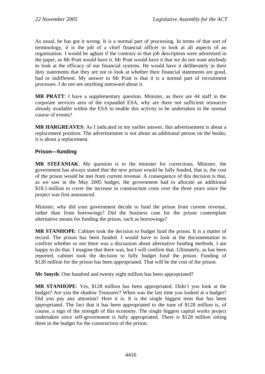As usual, he has got it wrong. It is a normal part of processing. In terms of that sort of terminology, it is the job of a chief financial officer to look at all aspects of an organisation. I would be aghast if the contrary to that job description were advertised in the paper, as Mr Pratt would have it. Mr Pratt would have it that we do not want anybody to look at the efficacy of our financial systems. He would have it deliberately in their duty statements that they are not to look at whether their financial statements are good, bad or indifferent. My answer to Mr Pratt is that it is a normal part of recruitment processes. I do not see anything untoward about it.

**MR PRATT**: I have a supplementary question. Minister, as there are 44 staff in the corporate services area of the expanded ESA, why are there not sufficient resources already available within the ESA to enable this activity to be undertaken in the normal course of events?

**MR HARGREAVES**: As I indicated in my earlier answer, this advertisement is about a replacement position. The advertisement is not about an additional person on the books; it is about a replacement.

# **Prison—funding**

**MR STEFANIAK**: My question is to the minister for corrections. Minister, the government has always stated that the new prison would be fully funded, that is, the cost of the prison would be met from current revenue. A consequence of this decision is that, as we saw in the May 2005 budget, the government had to allocate an additional \$18.5 million to cover the increase in construction costs over the three years since the project was first announced.

Minister, why did your government decide to fund the prison from current revenue, rather than from borrowings? Did the business case for the prison contemplate alternative means for funding the prison, such as borrowings?

**MR STANHOPE**: Cabinet took the decision to budget fund the prison. It is a matter of record. The prison has been funded. I would have to look at the documentation to confirm whether or not there was a discussion about alternative funding methods. I am happy to do that. I imagine that there was, but I will confirm that. Ultimately, as has been reported, cabinet took the decision to fully budget fund the prison. Funding of \$128 million for the prison has been appropriated. That will be the cost of the prison.

**Mr Smyth**: One hundred and twenty eight million has been appropriated?

**MR STANHOPE**: Yes, \$128 million has been appropriated. Didn't you look at the budget? Are you the shadow Treasurer? When was the last time you looked at a budget? Did you pay any attention? Here it is. It is the single biggest item that has been appropriated. The fact that it has been appropriated to the tune of \$128 million is, of course, a sign of the strength of this economy. The single biggest capital works project undertaken since self-government is fully appropriated. There is \$128 million sitting there in the budget for the construction of the prison.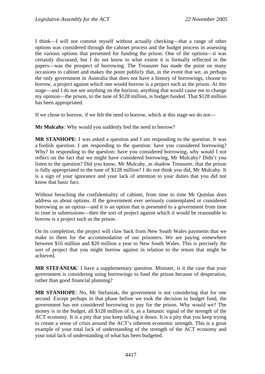I think—I will not commit myself without actually checking—that a range of other options was considered through the cabinet process and the budget process in assessing the various options that presented for funding the prison. One of the options—it was certainly discussed, but I do not know to what extent it is formally reflected in the papers—was the prospect of borrowing. The Treasurer has made the point on many occasions to cabinet and makes the point publicly that, in the event that we, as perhaps the only government in Australia that does not have a history of borrowings, choose to borrow, a project against which one would borrow is a project such as the prison. At this stage—and I do not see anything on the horizon, anything that would cause me to change my opinion—the prison, to the tune of \$128 million, is budget funded. That \$128 million has been appropriated.

If we chose to borrow, if we felt the need to borrow, which at this stage we do not—

**Mr Mulcahy**: Why would you suddenly feel the need to borrow?

**MR STANHOPE**: I was asked a question and I am responding to the question. It was a foolish question. I am responding to the question: have you considered borrowing? Why? In responding to the question: have you considered borrowing, why would I not reflect on the fact that we might have considered borrowing, Mr Mulcahy? Didn't you listen to the question? Did you know, Mr Mulcahy, as shadow Treasurer, that the prison is fully appropriated to the tune of \$128 million? I do not think you did, Mr Mulcahy. It is a sign of your ignorance and your lack of attention to your duties that you did not know that basic fact.

Without breaching the confidentiality of cabinet, from time to time Mr Quinlan does address us about options. If the government ever seriously contemplated or considered borrowing as an option—and it is an option that is presented to a government from time to time in submissions—then the sort of project against which it would be reasonable to borrow is a project such as the prison.

On its completion, the project will claw back from New South Wales payments that we make to them for the accommodation of our prisoners. We are paying somewhere between \$16 million and \$20 million a year to New South Wales. This is precisely the sort of project that you might borrow against in relation to the return that might be achieved.

**MR STEFANIAK**: I have a supplementary question. Minister, is it the case that your government is considering using borrowings to fund the prison because of desperation, rather than good financial planning?

**MR STANHOPE**: No, Mr Stefaniak, the government is not considering that for one second. Except perhaps in that phase before we took the decision to budget fund, the government has not considered borrowing to pay for the prison. Why would we? The money is in the budget, all \$128 million of it, as a fantastic signal of the strength of the ACT economy. It is a pity that you keep talking it down. It is a pity that you keep trying to create a sense of crisis around the ACT's inherent economic strength. This is a great example of your total lack of understanding of the strength of the ACT economy and your total lack of understanding of what has been budgeted.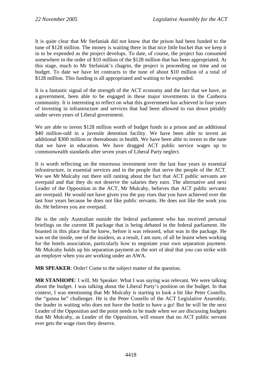It is quite clear that Mr Stefaniak did not know that the prison had been funded to the tune of \$128 million. The money is waiting there in that nice little bucket that we keep it in to be expended as the project develops. To date, of course, the project has consumed somewhere in the order of \$10 million of the \$128 million that has been appropriated. At this stage, much to Mr Stefaniak's chagrin, the project is proceeding on time and on budget. To date we have let contracts to the tune of about \$10 million of a total of \$128 million. This funding is all appropriated and waiting to be expended.

It is a fantastic signal of the strength of the ACT economy and the fact that we have, as a government, been able to be engaged in these major investments in the Canberra community. It is interesting to reflect on what this government has achieved in four years of investing in infrastructure and services that had been allowed to run down pitiably under seven years of Liberal government.

We are able to invest \$128 million worth of budget funds in a prison and an additional \$40 million-odd in a juvenile detention facility. We have been able to invest an additional \$300 million or thereabouts in health. We have been able to invest to the tune that we have in education. We have dragged ACT public service wages up to commonwealth standards after seven years of Liberal Party neglect.

It is worth reflecting on the enormous investment over the last four years in essential infrastructure, in essential services and in the people that serve the people of the ACT. We see Mr Mulcahy out there still ranting about the fact that ACT public servants are overpaid and that they do not deserve the salaries they earn. The alternative and next Leader of the Opposition in the ACT, Mr Mulcahy, believes that ACT public servants are overpaid. He would not have given you the pay rises that you have achieved over the last four years because he does not like public servants. He does not like the work you do. He believes you are overpaid.

He is the only Australian outside the federal parliament who has received personal briefings on the current IR package that is being debated in the federal parliament. He boasted in this place that he knew, before it was released, what was in the package. He was on the inside, one of the insiders, as a result, I am sure, of all he learnt when working for the hotels association, particularly how to negotiate your own separation payment. Mr Mulcahy holds up his separation payment as the sort of deal that you can strike with an employer when you are working under an AWA.

**MR SPEAKER**: Order! Come to the subject matter of the question.

**MR STANHOPE**: I will, Mr Speaker. What I was saying was relevant. We were talking about the budget. I was talking about the Liberal Party's position on the budget. In that context, I was mentioning that Mr Mulcahy is starting to look a bit like Peter Costello, the "gunna be" challenger. He is the Peter Costello of the ACT Legislative Assembly, the leader in waiting who does not have the bottle to have a go! But he will be the next Leader of the Opposition and the point needs to be made when we are discussing budgets that Mr Mulcahy, as Leader of the Opposition, will ensure that no ACT public servant ever gets the wage rises they deserve.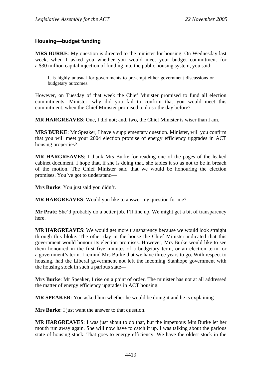# **Housing—budget funding**

**MRS BURKE**: My question is directed to the minister for housing. On Wednesday last week, when I asked you whether you would meet your budget commitment for a \$30 million capital injection of funding into the public housing system, you said:

It is highly unusual for governments to pre-empt either government discussions or budgetary outcomes.

However, on Tuesday of that week the Chief Minister promised to fund all election commitments. Minister, why did you fail to confirm that you would meet this commitment, when the Chief Minister promised to do so the day before?

**MR HARGREAVES**: One, I did not; and, two, the Chief Minister is wiser than I am.

**MRS BURKE**: Mr Speaker, I have a supplementary question. Minister, will you confirm that you will meet your 2004 election promise of energy efficiency upgrades in ACT housing properties?

**MR HARGREAVES**: I thank Mrs Burke for reading one of the pages of the leaked cabinet document. I hope that, if she is doing that, she tables it so as not to be in breach of the motion. The Chief Minister said that we would be honouring the election promises. You've got to understand—

**Mrs Burke**: You just said you didn't.

**MR HARGREAVES**: Would you like to answer my question for me?

**Mr Pratt**: She'd probably do a better job. I'll line up. We might get a bit of transparency here.

**MR HARGREAVES**: We would get more transparency because we would look straight through this bloke. The other day in the house the Chief Minister indicated that this government would honour its election promises. However, Mrs Burke would like to see them honoured in the first five minutes of a budgetary term, or an election term, or a government's term. I remind Mrs Burke that we have three years to go. With respect to housing, had the Liberal government not left the incoming Stanhope government with the housing stock in such a parlous state—

**Mrs Burke**: Mr Speaker, I rise on a point of order. The minister has not at all addressed the matter of energy efficiency upgrades in ACT housing.

**MR SPEAKER**: You asked him whether he would be doing it and he is explaining—

**Mrs Burke:** I just want the answer to that question.

**MR HARGREAVES**: I was just about to do that, but the impetuous Mrs Burke let her mouth run away again. She will now have to catch it up. I was talking about the parlous state of housing stock. That goes to energy efficiency. We have the oldest stock in the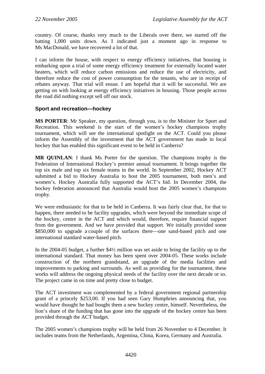country. Of course, thanks very much to the Liberals over there, we started off the batting 1,000 units down. As I indicated just a moment ago in response to Ms MacDonald, we have recovered a lot of that.

I can inform the house, with respect to energy efficiency initiatives, that housing is embarking upon a trial of some energy efficiency treatment for externally located water heaters, which will reduce carbon emissions and reduce the use of electricity, and therefore reduce the cost of power consumption for the tenants, who are in receipt of rebates anyway. That trial will ensue. I am hopeful that it will be successful. We are getting on with looking at energy efficiency initiatives in housing. Those people across the road did nothing except sell off our stock.

# **Sport and recreation—hockey**

**MS PORTER**: Mr Speaker, my question, through you, is to the Minister for Sport and Recreation. This weekend is the start of the women's hockey champions trophy tournament, which will see the international spotlight on the ACT. Could you please inform the Assembly of the investment that the ACT government has made in local hockey that has enabled this significant event to be held in Canberra?

**MR QUINLAN**: I thank Ms Porter for the question. The champions trophy is the Federation of International Hockey's premier annual tournament. It brings together the top six male and top six female teams in the world. In September 2002, Hockey ACT submitted a bid to Hockey Australia to host the 2005 tournament, both men's and women's. Hockey Australia fully supported the ACT's bid. In December 2004, the hockey federation announced that Australia would host the 2005 women's champions trophy.

We were enthusiastic for that to be held in Canberra. It was fairly clear that, for that to happen, there needed to be facility upgrades, which were beyond the immediate scope of the hockey, centre in the ACT and which would, therefore, require financial support from the government. And we have provided that support. We initially provided some \$850,000 to upgrade a couple of the surfaces there—one sand-based pitch and one international standard water-based pitch.

In the 2004-05 budget, a further \$4½ million was set aside to bring the facility up to the international standard. That money has been spent over 2004-05. These works include construction of the northern grandstand, an upgrade of the media facilities and improvements to parking and surrounds. As well as providing for the tournament, these works will address the ongoing physical needs of the facility over the next decade or so. The project came in on time and pretty close to budget.

The ACT investment was complemented by a federal government regional partnership grant of a princely \$253,00. If you had seen Gary Humphries announcing that, you would have thought he had bought them a new hockey centre, himself. Nevertheless, the lion's share of the funding that has gone into the upgrade of the hockey centre has been provided through the ACT budget.

The 2005 women's champions trophy will be held from 26 November to 4 December. It includes teams from the Netherlands, Argentina, China, Korea, Germany and Australia.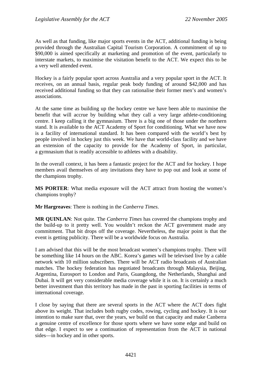As well as that funding, like major sports events in the ACT, additional funding is being provided through the Australian Capital Tourism Corporation. A commitment of up to \$90,000 is aimed specifically at marketing and promotion of the event, particularly to interstate markets, to maximise the visitation benefit to the ACT. We expect this to be a very well attended event.

Hockey is a fairly popular sport across Australia and a very popular sport in the ACT. It receives, on an annual basis, regular peak body funding of around \$42,000 and has received additional funding so that they can rationalise their former men's and women's associations.

At the same time as building up the hockey centre we have been able to maximise the benefit that will accrue by building what they call a very large athlete-conditioning centre. I keep calling it the gymnasium. There is a big one of those under the northern stand. It is available to the ACT Academy of Sport for conditioning. What we have now is a facility of international standard. It has been compared with the world's best by people involved in hockey just this week. We have that world-class facility and we have an extension of the capacity to provide for the Academy of Sport, in particular, a gymnasium that is readily accessible to athletes with a disability.

In the overall context, it has been a fantastic project for the ACT and for hockey. I hope members avail themselves of any invitations they have to pop out and look at some of the champions trophy.

**MS PORTER**: What media exposure will the ACT attract from hosting the women's champions trophy?

**Mr Hargreaves**: There is nothing in the *Canberra Times*.

**MR QUINLAN**: Not quite. The *Canberra Times* has covered the champions trophy and the build-up to it pretty well. You wouldn't reckon the ACT government made any commitment. That bit drops off the coverage. Nevertheless, the major point is that the event is getting publicity. There will be a worldwide focus on Australia.

I am advised that this will be the most broadcast women's champions trophy. There will be something like 14 hours on the ABC. Korea's games will be televised live by a cable network with 10 million subscribers. There will be ACT radio broadcasts of Australian matches. The hockey federation has negotiated broadcasts through Malaysia, Beijing, Argentina, Eurosport to London and Paris, Guangdong, the Netherlands, Shanghai and Dubai. It will get very considerable media coverage while it is on. It is certainly a much better investment than this territory has made in the past in sporting facilities in terms of international coverage.

I close by saying that there are several sports in the ACT where the ACT does fight above its weight. That includes both rugby codes, rowing, cycling and hockey. It is our intention to make sure that, over the years, we build on that capacity and make Canberra a genuine centre of excellence for those sports where we have some edge and build on that edge. I expect to see a continuation of representation from the ACT in national sides—in hockey and in other sports.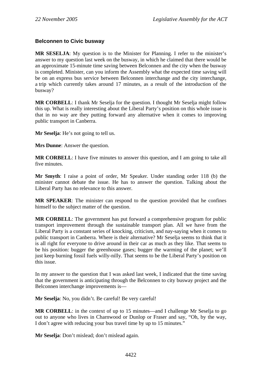# **Belconnen to Civic busway**

**MR SESELJA**: My question is to the Minister for Planning. I refer to the minister's answer to my question last week on the busway, in which he claimed that there would be an approximate 15-minute time saving between Belconnen and the city when the busway is completed. Minister, can you inform the Assembly what the expected time saving will be on an express bus service between Belconnen interchange and the city interchange, a trip which currently takes around 17 minutes, as a result of the introduction of the busway?

**MR CORBELL**: I thank Mr Seselja for the question. I thought Mr Seselja might follow this up. What is really interesting about the Liberal Party's position on this whole issue is that in no way are they putting forward any alternative when it comes to improving public transport in Canberra.

**Mr Seselja**: He's not going to tell us.

**Mrs Dunne**: Answer the question.

**MR CORBELL**: I have five minutes to answer this question, and I am going to take all five minutes.

**Mr Smyth**: I raise a point of order, Mr Speaker. Under standing order 118 (b) the minister cannot debate the issue. He has to answer the question. Talking about the Liberal Party has no relevance to this answer.

**MR SPEAKER**: The minister can respond to the question provided that he confines himself to the subject matter of the question.

**MR CORBELL**: The government has put forward a comprehensive program for public transport improvement through the sustainable transport plan. All we have from the Liberal Party is a constant series of knocking, criticism, and nay-saying when it comes to public transport in Canberra. Where is their alternative? Mr Seselja seems to think that it is all right for everyone to drive around in their car as much as they like. That seems to be his position: bugger the greenhouse gases; bugger the warming of the planet; we'll just keep burning fossil fuels willy-nilly. That seems to be the Liberal Party's position on this issue.

In my answer to the question that I was asked last week, I indicated that the time saving that the government is anticipating through the Belconnen to city busway project and the Belconnen interchange improvements is—

**Mr Seselja**: No, you didn't. Be careful! Be very careful!

**MR CORBELL:** in the context of up to 15 minutes—and I challenge Mr Seselja to go out to anyone who lives in Charnwood or Dunlop or Fraser and say, "Oh, by the way, I don't agree with reducing your bus travel time by up to 15 minutes."

**Mr Seselja**: Don't mislead; don't mislead again.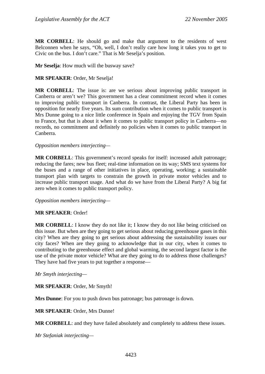**MR CORBELL**: He should go and make that argument to the residents of west Belconnen when he says, "Oh, well, I don't really care how long it takes you to get to Civic on the bus. I don't care." That is Mr Seselja's position.

**Mr Seselja**: How much will the busway save?

## **MR SPEAKER**: Order, Mr Seselja!

**MR CORBELL**: The issue is: are we serious about improving public transport in Canberra or aren't we? This government has a clear commitment record when it comes to improving public transport in Canberra. In contrast, the Liberal Party has been in opposition for nearly five years. Its sum contribution when it comes to public transport is Mrs Dunne going to a nice little conference in Spain and enjoying the TGV from Spain to France, but that is about it when it comes to public transport policy in Canberra—no records, no commitment and definitely no policies when it comes to public transport in Canberra.

#### *Opposition members interjecting—*

**MR CORBELL**: This government's record speaks for itself: increased adult patronage; reducing the fares; new bus fleet; real-time information on its way; SMS text systems for the buses and a range of other initiatives in place, operating, working; a sustainable transport plan with targets to constrain the growth in private motor vehicles and to increase public transport usage. And what do we have from the Liberal Party? A big fat zero when it comes to public transport policy.

#### *Opposition members interjecting—*

#### **MR SPEAKER**: Order!

**MR CORBELL:** I know they do not like it; I know they do not like being criticised on this issue. But when are they going to get serious about reducing greenhouse gases in this city? When are they going to get serious about addressing the sustainability issues our city faces? When are they going to acknowledge that in our city, when it comes to contributing to the greenhouse effect and global warming, the second largest factor is the use of the private motor vehicle? What are they going to do to address those challenges? They have had five years to put together a response—

*Mr Smyth interjecting—* 

**MR SPEAKER**: Order, Mr Smyth!

**Mrs Dunne**: For you to push down bus patronage; bus patronage is down.

**MR SPEAKER**: Order, Mrs Dunne!

**MR CORBELL**: and they have failed absolutely and completely to address these issues.

*Mr Stefaniak interjecting—*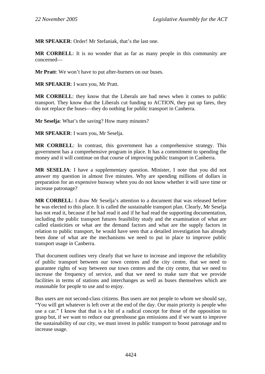**MR SPEAKER**: Order! Mr Stefaniak, that's the last one.

**MR CORBELL**: It is no wonder that as far as many people in this community are concerned—

**Mr Pratt**: We won't have to put after-burners on our buses.

**MR SPEAKER**: I warn you, Mr Pratt.

**MR CORBELL**: they know that the Liberals are bad news when it comes to public transport. They know that the Liberals cut funding to ACTION, they put up fares, they do not replace the buses—they do nothing for public transport in Canberra.

**Mr Seselja**: What's the saving? How many minutes?

**MR SPEAKER**: I warn you, Mr Seselja.

**MR CORBELL**: In contrast, this government has a comprehensive strategy. This government has a comprehensive program in place. It has a commitment to spending the money and it will continue on that course of improving public transport in Canberra.

**MR SESELJA**: I have a supplementary question. Minister, I note that you did not answer my question in almost five minutes. Why are spending millions of dollars in preparation for an expensive busway when you do not know whether it will save time or increase patronage?

**MR CORBELL**: I draw Mr Seselja's attention to a document that was released before he was elected to this place. It is called the sustainable transport plan. Clearly, Mr Seselja has not read it, because if he had read it and if he had read the supporting documentation, including the public transport futures feasibility study and the examination of what are called elasticities or what are the demand factors and what are the supply factors in relation to public transport, he would have seen that a detailed investigation has already been done of what are the mechanisms we need to put in place to improve public transport usage in Canberra.

That document outlines very clearly that we have to increase and improve the reliability of public transport between our town centres and the city centre, that we need to guarantee rights of way between our town centres and the city centre, that we need to increase the frequency of service, and that we need to make sure that we provide facilities in terms of stations and interchanges as well as buses themselves which are reasonable for people to use and to enjoy.

Bus users are not second-class citizens. Bus users are not people to whom we should say, "You will get whatever is left over at the end of the day. Our main priority is people who use a car." I know that that is a bit of a radical concept for those of the opposition to grasp but, if we want to reduce our greenhouse gas emissions and if we want to improve the sustainability of our city, we must invest in public transport to boost patronage and to increase usage.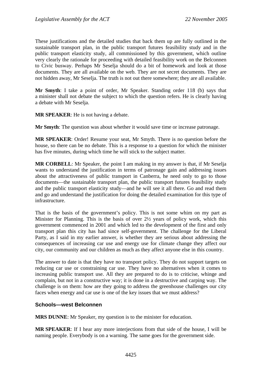These justifications and the detailed studies that back them up are fully outlined in the sustainable transport plan, in the public transport futures feasibility study and in the public transport elasticity study, all commissioned by this government, which outline very clearly the rationale for proceeding with detailed feasibility work on the Belconnen to Civic busway. Perhaps Mr Seselja should do a bit of homework and look at those documents. They are all available on the web. They are not secret documents. They are not hidden away, Mr Seselja. The truth is not out there somewhere; they are all available.

**Mr Smyth**: I take a point of order, Mr Speaker. Standing order 118 (b) says that a minister shall not debate the subject to which the question refers. He is clearly having a debate with Mr Seselja.

**MR SPEAKER**: He is not having a debate.

**Mr Smyth**: The question was about whether it would save time or increase patronage.

**MR SPEAKER**: Order! Resume your seat, Mr Smyth. There is no question before the house, so there can be no debate. This is a response to a question for which the minister has five minutes, during which time he will stick to the subject matter.

**MR CORBELL**: Mr Speaker, the point I am making in my answer is that, if Mr Seselja wants to understand the justification in terms of patronage gain and addressing issues about the attractiveness of public transport in Canberra, he need only to go to those documents—the sustainable transport plan, the public transport futures feasibility study and the public transport elasticity study—and he will see it all there. Go and read them and go and understand the justification for doing the detailed examination for this type of infrastructure.

That is the basis of the government's policy. This is not some whim on my part as Minister for Planning. This is the basis of over 2½ years of policy work, which this government commenced in 2001 and which led to the development of the first and only transport plan this city has had since self-government. The challenge for the Liberal Party, as I said in my earlier answer, is whether they are serious about addressing the consequences of increasing car use and energy use for climate change they affect our city, our community and our children as much as they affect anyone else in this country.

The answer to date is that they have no transport policy. They do not support targets on reducing car use or constraining car use. They have no alternatives when it comes to increasing public transport use. All they are prepared to do is to criticise, whinge and complain, but not in a constructive way; it is done in a destructive and carping way. The challenge is on them: how are they going to address the greenhouse challenges our city faces when energy and car use is one of the key issues that we must address?

# **Schools—west Belconnen**

**MRS DUNNE**: Mr Speaker, my question is to the minister for education.

**MR SPEAKER**: If I hear any more interjections from that side of the house, I will be naming people. Everybody is on a warning. The same goes for the government side.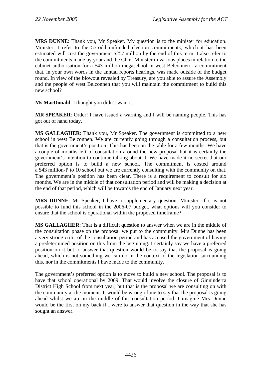**MRS DUNNE**: Thank you, Mr Speaker. My question is to the minister for education. Minister, I refer to the 55-odd unfunded election commitments, which it has been estimated will cost the government \$257 million by the end of this term. I also refer to the commitments made by your and the Chief Minister in various places in relation to the cabinet authorisation for a \$43 million megaschool in west Belconnen—a commitment that, in your own words in the annual reports hearings, was made outside of the budget round. In view of the blowout revealed by Treasury, are you able to assure the Assembly and the people of west Belconnen that you will maintain the commitment to build this new school?

**Ms MacDonald**: I thought you didn't want it!

**MR SPEAKER**: Order! I have issued a warning and I will be naming people. This has got out of hand today.

**MS GALLAGHER**: Thank you, Mr Speaker. The government is committed to a new school in west Belconnen. We are currently going through a consultation process, but that is the government's position. This has been on the table for a few months. We have a couple of months left of consultation around the new proposal but it is certainly the government's intention to continue talking about it. We have made it no secret that our preferred option is to build a new school. The commitment is costed around a \$43 million-P to 10 school but we are currently consulting with the community on that. The government's position has been clear. There is a requirement to consult for six months. We are in the middle of that consultation period and will be making a decision at the end of that period, which will be towards the end of January next year.

**MRS DUNNE**: Mr Speaker, I have a supplementary question. Minister, if it is not possible to fund this school in the 2006-07 budget, what options will you consider to ensure that the school is operational within the proposed timeframe?

**MS GALLAGHER**: That is a difficult question to answer when we are in the middle of the consultation phase on the proposal we put to the community. Mrs Dunne has been a very strong critic of the consultation period and has accused the government of having a predetermined position on this from the beginning. I certainly say we have a preferred position on it but to answer that question would be to say that the proposal is going ahead, which is not something we can do in the context of the legislation surrounding this, nor in the commitments I have made to the community.

The government's preferred option is to move to build a new school. The proposal is to have that school operational by 2009. That would involve the closure of Ginninderra District High School from next year, but that is the proposal we are consulting on with the community at the moment. It would be wrong of me to say that the proposal is going ahead whilst we are in the middle of this consultation period. I imagine Mrs Dunne would be the first on my back if I were to answer that question in the way that she has sought an answer.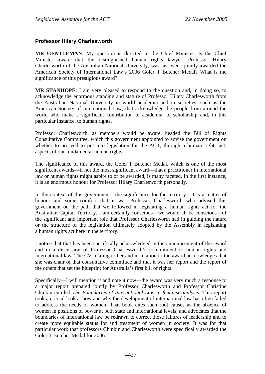# **Professor Hilary Charlesworth**

**MR GENTLEMAN**: My question is directed to the Chief Minister. Is the Chief Minister aware that the distinguished human rights lawyer, Professor Hilary Charlesworth of the Australian National University, was last week jointly awarded the American Society of International Law's 2006 Goler T Butcher Medal? What is the significance of this prestigious award?

**MR STANHOPE**: I am very pleased to respond to the question and, in doing so, to acknowledge the enormous standing and stature of Professor Hilary Charlesworth from the Australian National University in world academia and in societies, such as the American Society of International Law, that acknowledge the people from around the world who make a significant contribution to academia, to scholarship and, in this particular instance, to human rights.

Professor Charlesworth, as members would be aware, headed the Bill of Rights Consultative Committee, which this government appointed to advise the government on whether to proceed to put into legislation for the ACT, through a human rights act, aspects of our fundamental human rights.

The significance of this award, the Goler T Butcher Medal, which is one of the most significant awards—if not the most significant award—that a practitioner in international law or human rights might aspire to or be awarded, is many faceted. In the first instance, it is an enormous honour for Professor Hilary Charlesworth personally.

In the context of this government—the significance for the territory—it is a matter of honour and some comfort that it was Professor Charlesworth who advised this government on the path that we followed in legislating a human rights act for the Australian Capital Territory. I am certainly conscious—we would all be conscious—of the significant and important role that Professor Charlesworth had in guiding the nature or the structure of the legislation ultimately adopted by the Assembly in legislating a human rights act here in the territory.

I notice that that has been specifically acknowledged in the announcement of the award and in a discussion of Professor Charlesworth's commitment to human rights and international law. The CV relating to her and in relation to the award acknowledges that she was chair of that consultative committee and that it was her report and the report of the others that set the blueprint for Australia's first bill of rights.

Specifically—I will mention it and note it now—the award was very much a response to a major report prepared jointly by Professor Charlesworth and Professor Christine Chinkin entitled *The Boundaries of International Law: a feminist analysis*. This report took a critical look at how and why the development of international law has often failed to address the needs of women. That book cites such root causes as the absence of women in positions of power at both state and international levels, and advocates that the boundaries of international law be redrawn to correct those failures of leadership and to create more equitable status for and treatment of women in society. It was for that particular work that professors Chinkin and Charlesworth were specifically awarded the Goler T Butcher Medal for 2006.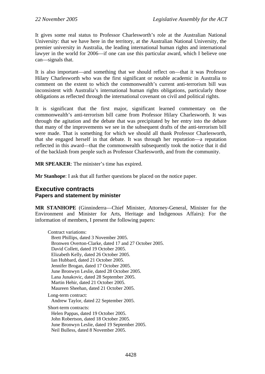It gives some real status to Professor Charlesworth's role at the Australian National University: that we have here in the territory, at the Australian National University, the premier university in Australia, the leading international human rights and international lawyer in the world for 2006—if one can use this particular award, which I believe one can—signals that.

It is also important—and something that we should reflect on—that it was Professor Hilary Charlesworth who was the first significant or notable academic in Australia to comment on the extent to which the commonwealth's current anti-terrorism bill was inconsistent with Australia's international human rights obligations, particularly those obligations as reflected through the international covenant on civil and political rights.

It is significant that the first major, significant learned commentary on the commonwealth's anti-terrorism bill came from Professor Hilary Charlesworth. It was through the agitation and the debate that was precipitated by her entry into the debate that many of the improvements we see in the subsequent drafts of the anti-terrorism bill were made. That is something for which we should all thank Professor Charlesworth, that she engaged herself in that debate. It was through her reputation—a reputation reflected in this award—that the commonwealth subsequently took the notice that it did of the backlash from people such as Professor Charlesworth, and from the community.

**MR SPEAKER**: The minister's time has expired.

**Mr Stanhope**: I ask that all further questions be placed on the notice paper.

# **Executive contracts Papers and statement by minister**

**MR STANHOPE** (Ginninderra—Chief Minister, Attorney-General, Minister for the Environment and Minister for Arts, Heritage and Indigenous Affairs): For the information of members, I present the following papers:

Contract variations: Brett Phillips, dated 3 November 2005. Bronwen Overton-Clarke, dated 17 and 27 October 2005. David Collett, dated 19 October 2005. Elizabeth Kelly, dated 26 October 2005. Ian Hubbard, dated 21 October 2005. Jennifer Brogan, dated 17 October 2005. June Bronwyn Leslie, dated 28 October 2005. Lana Junakovic, dated 28 September 2005. Martin Hehir, dated 21 October 2005. Maureen Sheehan, dated 21 October 2005. Long-term contract: Andrew Taylor, dated 22 September 2005. Short-term contracts: Helen Pappas, dated 19 October 2005. John Robertson, dated 18 October 2005. June Bronwyn Leslie, dated 19 September 2005.

Neil Bulless, dated 8 November 2005.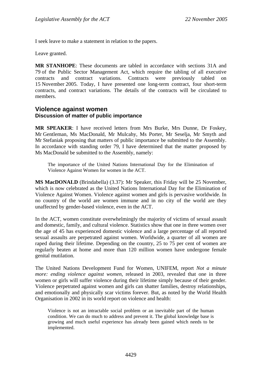I seek leave to make a statement in relation to the papers.

Leave granted.

**MR STANHOPE**: These documents are tabled in accordance with sections 31A and 79 of the Public Sector Management Act, which require the tabling of all executive contracts and contract variations. Contracts were previously tabled on 15 November 2005. Today, I have presented one long-term contract, four short-term contracts, and contract variations. The details of the contracts will be circulated to members.

# **Violence against women Discussion of matter of public importance**

**MR SPEAKER**: I have received letters from Mrs Burke, Mrs Dunne, Dr Foskey, Mr Gentleman, Ms MacDonald, Mr Mulcahy, Ms Porter, Mr Seselja, Mr Smyth and Mr Stefaniak proposing that matters of public importance be submitted to the Assembly. In accordance with standing order 79, I have determined that the matter proposed by Ms MacDonald be submitted to the Assembly, namely:

The importance of the United Nations International Day for the Elimination of Violence Against Women for women in the ACT.

**MS MacDONALD** (Brindabella) (3.37): Mr Speaker, this Friday will be 25 November, which is now celebrated as the United Nations International Day for the Elimination of Violence Against Women. Violence against women and girls is pervasive worldwide. In no country of the world are women immune and in no city of the world are they unaffected by gender-based violence, even in the ACT.

In the ACT, women constitute overwhelmingly the majority of victims of sexual assault and domestic, family, and cultural violence. Statistics show that one in three women over the age of 45 has experienced domestic violence and a large percentage of all reported sexual assaults are perpetrated against women. Worldwide, a quarter of all women are raped during their lifetime. Depending on the country, 25 to 75 per cent of women are regularly beaten at home and more than 120 million women have undergone female genital mutilation.

The United Nations Development Fund for Women, UNIFEM, report *Not a minute more: ending violence against women*, released in 2003, revealed that one in three women or girls will suffer violence during their lifetime simply because of their gender. Violence perpetrated against women and girls can shatter families, destroy relationships, and emotionally and physically scar victims forever. But, as noted by the World Health Organisation in 2002 in its world report on violence and health:

Violence is not an intractable social problem or an inevitable part of the human condition. We can do much to address and prevent it. The global knowledge base is growing and much useful experience has already been gained which needs to be implemented.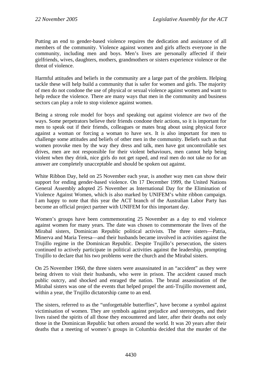Putting an end to gender-based violence requires the dedication and assistance of all members of the community. Violence against women and girls affects everyone in the community, including men and boys. Men's lives are personally affected if their girlfriends, wives, daughters, mothers, grandmothers or sisters experience violence or the threat of violence.

Harmful attitudes and beliefs in the community are a large part of the problem. Helping tackle these will help build a community that is safer for women and girls. The majority of men do not condone the use of physical or sexual violence against women and want to help reduce the violence. There are many ways that men in the community and business sectors can play a role to stop violence against women.

Being a strong role model for boys and speaking out against violence are two of the ways. Some perpetrators believe their friends condone their actions, so it is important for men to speak out if their friends, colleagues or mates brag about using physical force against a woman or forcing a woman to have sex. It is also important for men to challenge some attitudes and beliefs of other men in the community. Beliefs such as that women provoke men by the way they dress and talk, men have got uncontrollable sex drives, men are not responsible for their violent behaviours, men cannot help being violent when they drink, nice girls do not get raped, and real men do not take no for an answer are completely unacceptable and should be spoken out against.

White Ribbon Day, held on 25 November each year, is another way men can show their support for ending gender-based violence. On 17 December 1999, the United Nations General Assembly adopted 25 November as International Day for the Elimination of Violence Against Women, which is also marked by UNIFEM's white ribbon campaign. I am happy to note that this year the ACT branch of the Australian Labor Party has become an official project partner with UNIFEM for this important day.

Women's groups have been commemorating 25 November as a day to end violence against women for many years. The date was chosen to commemorate the lives of the Mirabal sisters, Dominican Republic political activists. The three sisters—Patria, Minerva and Maria Teresa—and their husbands became involved in activities against the Trujillo regime in the Dominican Republic. Despite Trujillo's persecution, the sisters continued to actively participate in political activities against the leadership, prompting Trujillo to declare that his two problems were the church and the Mirabal sisters.

On 25 November 1960, the three sisters were assassinated in an "accident" as they were being driven to visit their husbands, who were in prison. The accident caused much public outcry, and shocked and enraged the nation. The brutal assassination of the Mirabal sisters was one of the events that helped propel the anti-Trujillo movement and, within a year, the Trujillo dictatorship came to an end.

The sisters, referred to as the "unforgettable butterflies", have become a symbol against victimisation of women. They are symbols against prejudice and stereotypes, and their lives raised the spirits of all those they encountered and later, after their deaths not only those in the Dominican Republic but others around the world. It was 20 years after their deaths that a meeting of women's groups in Columbia decided that the murder of the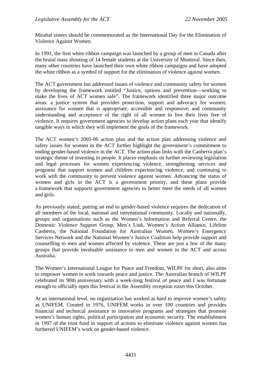Mirabal sisters should be commemorated as the International Day for the Elimination of Violence Against Women.

In 1991, the first white ribbon campaign was launched by a group of men in Canada after the brutal mass shooting of 14 female students at the University of Montreal. Since then, many other countries have launched their own white ribbon campaigns and have adopted the white ribbon as a symbol of support for the elimination of violence against women.

The ACT government has addressed issues of violence and community safety for women by developing the framework entitled "Justice, options and prevention—working to make the lives of ACT women safe". The framework identified three major outcome areas: a justice system that provides protection, support and advocacy for women; assistance for women that is appropriate, accessible and responsive; and community understanding and acceptance of the right of all women to live their lives free of violence. It requires government agencies to develop action plans each year that identify tangible ways in which they will implement the goals of the framework.

The ACT women's 2005-06 action plan and the action plan addressing violence and safety issues for women in the ACT further highlight the government's commitment to ending gender-based violence in the ACT. The action plan links with the Canberra plan's strategic theme of investing in people. It places emphasis on further reviewing legislation and legal processes for women experiencing violence, strengthening services and programs that support women and children experiencing violence, and continuing to work with the community to prevent violence against women. Advancing the status of women and girls in the ACT is a government priority, and these plans provide a framework that supports government agencies to better meet the needs of all women and girls.

As previously stated, putting an end to gender-based violence requires the dedication of all members of the local, national and international community. Locally and nationally, groups and organisations such as the Women's Information and Referral Centre, the Domestic Violence Support Group, Men's Link, Women's Action Alliance, Lifeline Canberra, the National Foundation for Australian Women, Women's Emergency Services Network and the National Women's Justice Coalition help provide support and counselling to men and women affected by violence. These are just a few of the many groups that provide invaluable assistance to men and women in the ACT and across Australia.

The Women's International League for Peace and Freedom, WILPF for short, also aims to empower women to work towards peace and justice. The Australian branch of WILPF celebrated its 90th anniversary with a week-long festival of peace and I was fortunate enough to officially open this festival in the Assembly reception room this October.

At an international level, no organisation has worked as hard to improve women's safety as UNIFEM. Created in 1976, UNIFEM works in over 100 countries and provides financial and technical assistance to innovative programs and strategies that promote women's human rights, political participation and economic security. The establishment in 1997 of the trust fund in support of actions to eliminate violence against women has furthered UNIFEM's work on gender-based violence.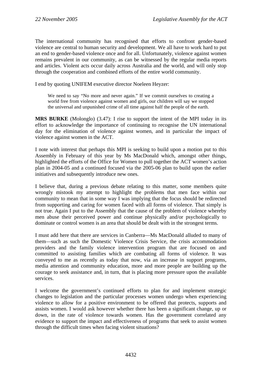The international community has recognised that efforts to confront gender-based violence are central to human security and development. We all have to work hard to put an end to gender-based violence once and for all. Unfortunately, violence against women remains prevalent in our community, as can be witnessed by the regular media reports and articles. Violent acts occur daily across Australia and the world, and will only stop through the cooperation and combined efforts of the entire world community.

I end by quoting UNIFEM executive director Noeleen Heyzer:

We need to say "No more and never again." If we commit ourselves to creating a world free from violence against women and girls, our children will say we stopped the universal and unpunished crime of all time against half the people of the earth.

**MRS BURKE** (Molonglo) (3.47): I rise to support the intent of the MPI today in its effort to acknowledge the importance of continuing to recognise the UN international day for the elimination of violence against women, and in particular the impact of violence against women in the ACT.

I note with interest that perhaps this MPI is seeking to build upon a motion put to this Assembly in February of this year by Ms MacDonald which, amongst other things, highlighted the efforts of the Office for Women to pull together the ACT women's action plan in 2004-05 and a continued focused via the 2005-06 plan to build upon the earlier initiatives and subsequently introduce new ones.

I believe that, during a previous debate relating to this matter, some members quite wrongly mistook my attempt to highlight the problems that men face within our community to mean that in some way I was implying that the focus should be redirected from supporting and caring for women faced with all forms of violence. That simply is not true. Again I put to the Assembly that the cause of the problem of violence whereby men abuse their perceived power and continue physically and/or psychologically to dominate or control women is an area that should be dealt with in the strongest terms.

I must add here that there are services in Canberra—Ms MacDonald alluded to many of them—such as such the Domestic Violence Crisis Service, the crisis accommodation providers and the family violence intervention program that are focused on and committed to assisting families which are combating all forms of violence. It was conveyed to me as recently as today that now, via an increase in support programs, media attention and community education, more and more people are building up the courage to seek assistance and, in turn, that is placing more pressure upon the available services.

I welcome the government's continued efforts to plan for and implement strategic changes to legislation and the particular processes women undergo when experiencing violence to allow for a positive environment to be offered that protects, supports and assists women. I would ask however whether there has been a significant change, up or down, in the rate of violence towards women. Has the government correlated any evidence to support the impact and effectiveness of programs that seek to assist women through the difficult times when facing violent situations?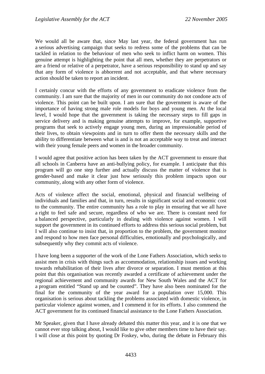We would all be aware that, since May last year, the federal government has run a serious advertising campaign that seeks to redress some of the problems that can be tackled in relation to the behaviour of men who seek to inflict harm on women. This genuine attempt is highlighting the point that all men, whether they are perpetrators or are a friend or relative of a perpetrator, have a serious responsibility to stand up and say that any form of violence is abhorrent and not acceptable, and that where necessary action should be taken to report an incident.

I certainly concur with the efforts of any government to eradicate violence from the community. I am sure that the majority of men in our community do not condone acts of violence. This point can be built upon. I am sure that the government is aware of the importance of having strong male role models for boys and young men. At the local level, I would hope that the government is taking the necessary steps to fill gaps in service delivery and is making genuine attempts to improve, for example, supportive programs that seek to actively engage young men, during an impressionable period of their lives, to obtain viewpoints and in turn to offer them the necessary skills and the ability to differentiate between what is and is not an acceptable way to treat and interact with their young female peers and women in the broader community.

I would agree that positive action has been taken by the ACT government to ensure that all schools in Canberra have an anti-bullying policy, for example. I anticipate that this program will go one step further and actually discuss the matter of violence that is gender-based and make it clear just how seriously this problem impacts upon our community, along with any other form of violence.

Acts of violence affect the social, emotional, physical and financial wellbeing of individuals and families and that, in turn, results in significant social and economic cost to the community. The entire community has a role to play in ensuring that we all have a right to feel safe and secure, regardless of who we are. There is constant need for a balanced perspective, particularly in dealing with violence against women. I will support the government in its continued efforts to address this serious social problem, but I will also continue to insist that, in proportion to the problem, the government monitor and respond to how men face personal difficulties, emotionally and psychologically, and subsequently why they commit acts of violence.

I have long been a supporter of the work of the Lone Fathers Association, which seeks to assist men in crisis with things such as accommodation, relationship issues and working towards rehabilitation of their lives after divorce or separation. I must mention at this point that this organisation was recently awarded a certificate of achievement under the regional achievement and community awards for New South Wales and the ACT for a program entitled "Stand up and be counted". They have also been nominated for the final for the community of the year award for a population over 15,000. This organisation is serious about tackling the problems associated with domestic violence, in particular violence against women, and I commend it for its efforts. I also commend the ACT government for its continued financial assistance to the Lone Fathers Association.

Mr Speaker, given that I have already debated this matter this year, and it is one that we cannot ever stop talking about, I would like to give other members time to have their say. I will close at this point by quoting Dr Foskey, who, during the debate in February this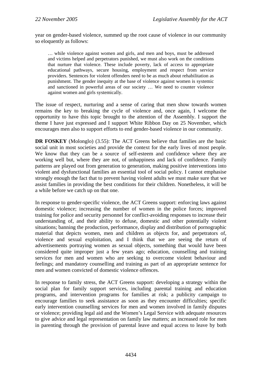year on gender-based violence, summed up the root cause of violence in our community so eloquently as follows:

… while violence against women and girls, and men and boys, must be addressed and victims helped and perpetrators punished, we must also work on the conditions that nurture that violence. These include poverty, lack of access to appropriate educational pathways, secure housing, employment and respect from service providers. Sentences for violent offenders need to be as much about rehabilitation as punishment. The gender inequity at the base of violence against women is systemic and sanctioned in powerful areas of our society … We need to counter violence against women and girls systemically.

The issue of respect, nurturing and a sense of caring that men show towards women remains the key to breaking the cycle of violence and, once again, I welcome the opportunity to have this topic brought to the attention of the Assembly. I support the theme I have just expressed and I support White Ribbon Day on 25 November, which encourages men also to support efforts to end gender-based violence in our community.

**DR FOSKEY** (Molonglo) (3.55): The ACT Greens believe that families are the basic social unit in most societies and provide the context for the early lives of most people. We know that they can be a source of self-esteem and confidence where they are working well but, where they are not, of unhappiness and lack of confidence. Family patterns are played out from generation to generation, making positive interventions into violent and dysfunctional families an essential tool of social policy. I cannot emphasise strongly enough the fact that to prevent having violent adults we must make sure that we assist families in providing the best conditions for their children. Nonetheless, it will be a while before we catch up on that one.

In response to gender-specific violence, the ACT Greens support: enforcing laws against domestic violence; increasing the number of women in the police forces; improved training for police and security personnel for conflict-avoiding responses to increase their understanding of, and their ability to defuse, domestic and other potentially violent situations; banning the production, performance, display and distribution of pornographic material that depicts women, men and children as objects for, and perpetrators of, violence and sexual exploitation, and I think that we are seeing the return of advertisements portraying women as sexual objects, something that would have been considered quite improper just a few years ago; education, counselling and training services for men and women who are seeking to overcome violent behaviour and feelings; and mandatory counselling and training as part of an appropriate sentence for men and women convicted of domestic violence offences.

In response to family stress, the ACT Greens support: developing a strategy within the social plan for family support services, including parental training and education programs, and intervention programs for families at risk; a publicity campaign to encourage families to seek assistance as soon as they encounter difficulties; specific early intervention counselling services for men and women involved in family disputes or violence; providing legal aid and the Women's Legal Service with adequate resources to give advice and legal representation on family law matters; an increased role for men in parenting through the provision of parental leave and equal access to leave by both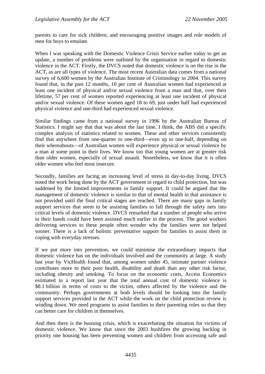parents to care for sick children; and encouraging positive images and role models of men for boys to emulate.

When I was speaking with the Domestic Violence Crisis Service earlier today to get an update, a number of problems were outlined by the organisation in regard to domestic violence in the ACT. Firstly, the DVCS noted that domestic violence is on the rise in the ACT, as are all types of violence. The most recent Australian data comes from a national survey of 6,600 women by the Australian Institute of Criminology in 2004. This survey found that, in the past 12 months, 10 per cent of Australian women had experienced at least one incident of physical and/or sexual violence from a man and that, over their lifetime, 57 per cent of women reported experiencing at least one incident of physical and/or sexual violence. Of these women aged 18 to 69, just under half had experienced physical violence and one-third had experienced sexual violence.

Similar findings came from a national survey in 1996 by the Australian Bureau of Statistics. I might say that that was about the last time, I think, the ABS did a specific complex analysis of statistics related to women. These and other services consistently find that anywhere from one-quarter to one-third—even up to one-half, depending on their whereabouts—of Australian women will experience physical or sexual violence by a man at some point in their lives. We know too that young women are at greater risk than older women, especially of sexual assault. Nonetheless, we know that it is often older women who feel most insecure.

Secondly, families are facing an increasing level of stress in day-to-day living. DVCS noted the work being done by the ACT government in regard to child protection, but was saddened by the limited improvements in family support. It could be argued that the management of domestic violence is similar to that of mental health in that assistance is not provided until the final critical stages are reached. There are many gaps in family support services that seem to be assisting families to fall through the safety nets into critical levels of domestic violence. DVCS remarked that a number of people who arrive in their hands could have been assisted much earlier in the process. The good workers delivering services to these people often wonder why the families were not helped sooner. There is a lack of holistic preventative support for families to assist them in coping with everyday stresses.

If we put more into prevention, we could minimise the extraordinary impacts that domestic violence has on the individuals involved and the community at large. A study last year by VicHealth found that, among women under 45, intimate partner violence contributes more to their poor health, disability and death than any other risk factor, including obesity and smoking. To focus on the economic costs, Access Economics estimated in a report last year that the total annual cost of domestic violence is \$8.1 billion in terms of costs to the victim, others affected by the violence and the community. Perhaps governments at both levels should be looking into the family support services provided in the ACT while the work on the child protection review is winding down. We need programs to assist families in their parenting roles so that they can better care for children in themselves.

And then there is the housing crisis, which is exacerbating the situation for victims of domestic violence. We know that since the 2003 bushfires the growing backlog in priority one housing has been preventing women and children from accessing safe and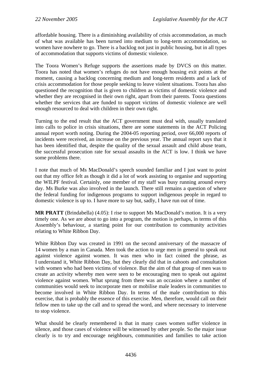affordable housing. There is a diminishing availability of crisis accommodation, as much of what was available has been turned into medium to long-term accommodation, so women have nowhere to go. There is a backlog not just in public housing, but in all types of accommodation that supports victims of domestic violence.

The Toora Women's Refuge supports the assertions made by DVCS on this matter. Toora has noted that women's refuges do not have enough housing exit points at the moment, causing a backlog concerning medium and long-term residents and a lack of crisis accommodation for those people seeking to leave violent situations. Toora has also questioned the recognition that is given to children as victims of domestic violence and whether they are recognised in their own right, apart from their parents. Toora questions whether the services that are funded to support victims of domestic violence are well enough resourced to deal with children in their own right.

Turning to the end result that the ACT government must deal with, usually translated into calls to police in crisis situations, there are some statements in the ACT Policing annual report worth noting. During the 2004-05 reporting period, over 66,000 reports of incidents were received, an increase on the previous year. The annual report says that it has been identified that, despite the quality of the sexual assault and child abuse team, the successful prosecution rate for sexual assaults in the ACT is low. I think we have some problems there.

I note that much of Ms MacDonald's speech sounded familiar and I just want to point out that my office felt as though it did a lot of work assisting to organise and supporting the WILPF festival. Certainly, one member of my staff was busy running around every day. Ms Burke was also involved in the launch. There still remains a question of where the federal funding for indigenous programs to support indigenous people in regard to domestic violence is up to. I have more to say but, sadly, I have run out of time.

**MR PRATT** (Brindabella) (4.05): I rise to support Ms MacDonald's motion. It is a very timely one. As we are about to go into a program, the motion is perhaps, in terms of this Assembly's behaviour, a starting point for our contribution to community activities relating to White Ribbon Day.

White Ribbon Day was created in 1991 on the second anniversary of the massacre of 14 women by a man in Canada. Men took the action to urge men in general to speak out against violence against women. It was men who in fact coined the phrase, as I understand it, White Ribbon Day, but they clearly did that in cahoots and consultation with women who had been victims of violence. But the aim of that group of men was to create an activity whereby men were seen to be encouraging men to speak out against violence against women. What sprung from there was an occasion where a number of communities would seek to incorporate men or mobilise male leaders in communities to become involved in White Ribbon Day. In terms of the male contribution to this exercise, that is probably the essence of this exercise. Men, therefore, would call on their fellow men to take up the call and to spread the word, and where necessary to intervene to stop violence.

What should be clearly remembered is that in many cases women suffer violence in silence, and those cases of violence will be witnessed by other people. So the major issue clearly is to try and encourage neighbours, communities and families to take action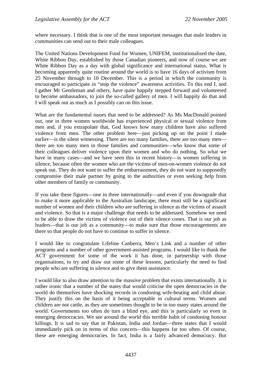where necessary. I think that is one of the most important messages that male leaders in communities can send out to their male colleagues.

The United Nations Development Fund for Women, UNIFEM, institutionalised the date, White Ribbon Day, established by those Canadian pioneers, and now of course we see White Ribbon Day as a day with global significance and international status. What is becoming apparently quite routine around the world is to have 16 days of activism from 25 November through to 10 December. This is a period in which the community is encouraged to participate in "stop the violence" awareness activities. To this end I, and I gather Mr Gentleman and others, have quite happily stepped forward and volunteered to become ambassadors, to join the so-called gallery of men. I will happily do that and I will speak out as much as I possibly can on this issue.

What are the fundamental issues that need to be addressed? As Ms MacDonald pointed out, one in three women worldwide has experienced physical or sexual violence from men and, if you extrapolate that, God knows how many children have also suffered violence from men. The other problem here—just picking up on the point I made earlier—is the silent witnessing. There are too many families, there are too many men there are too many men in those families and communities—who know that some of their colleagues deliver violence upon their women and who do nothing. So what we have in many cases—and we have seen this in recent history—is women suffering in silence, because often the women who are the victims of men-on-women violence do not speak out. They do not want to suffer the embarrassment, they do not want to supposedly compromise their male partner by going to the authorities or even seeking help from other members of family or community.

If you take these figures—one in three internationally—and even if you downgrade that to make it more applicable to the Australian landscape, there must still be a significant number of women and their children who are suffering in silence as the victims of assault and violence. So that is a major challenge that needs to be addressed. Somehow we need to be able to draw the victims of violence out of their silence cones. That is our job as leaders—that is our job as a community—to make sure that those encouragements are there so that people do not have to continue to suffer in silence.

I would like to congratulate Lifeline Canberra, Men's Link and a number of other programs and a number of other government-assisted programs. I would like to thank the ACT government for some of the work it has done, in partnership with those organisations, to try and draw out some of these lessons, particularly the need to find people who are suffering in silence and to give them assistance.

I would like to also draw attention to the massive problem that exists internationally. It is rather ironic that a number of the states that would criticise the open democracies in the world do themselves have shocking records in condoning wife-beating and child abuse. They justify this on the basis of it being acceptable in cultural terms. Women and children are not cattle, as they are sometimes thought to be in too many states around the world. Governments too often do turn a blind eye, and this is particularly so even in emerging democracies. We see around the world this terrible habit of condoning honour killings. It is sad to say that in Pakistan, India and Jordan—three states that I would immediately pick on in terms of this concern—this happens far too often. Of course, these are emerging democracies. In fact, India is a fairly advanced democracy. But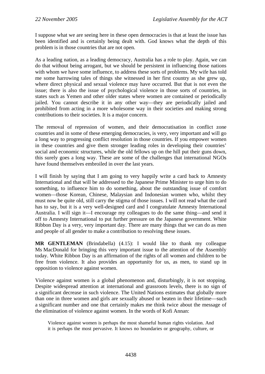I suppose what we are seeing here in these open democracies is that at least the issue has been identified and is certainly being dealt with. God knows what the depth of this problem is in those countries that are not open.

As a leading nation, as a leading democracy, Australia has a role to play. Again, we can do that without being arrogant, but we should be persistent in influencing those nations with whom we have some influence, to address these sorts of problems. My wife has told me some harrowing tales of things she witnessed in her first country as she grew up, where direct physical and sexual violence may have occurred. But that is not even the issue; there is also the issue of psychological violence in those sorts of countries, in states such as Yemen and other older states where women are contained or periodically jailed. You cannot describe it in any other way—they are periodically jailed and prohibited from acting in a more wholesome way in their societies and making strong contributions to their societies. It is a major concern.

The removal of repression of women, and their democratisation in conflict zone countries and in some of these emerging democracies, is very, very important and will go a long way to progressing conflict resolution in those countries. If you empower women in these countries and give them stronger leading roles in developing their countries' social and economic structures, while the old fellows up on the hill put their guns down, this surely goes a long way. These are some of the challenges that international NGOs have found themselves embroiled in over the last years.

I will finish by saying that I am going to very happily write a card back to Amnesty International and that will be addressed to the Japanese Prime Minister to urge him to do something, to influence him to do something, about the outstanding issue of comfort women—those Korean, Chinese, Malaysian and Indonesian women who, whilst they must now be quite old, still carry the stigma of those issues. I will not read what the card has to say, but it is a very well-designed card and I congratulate Amnesty International Australia. I will sign it—I encourage my colleagues to do the same thing—and send it off to Amnesty International to put further pressure on the Japanese government. White Ribbon Day is a very, very important day. There are many things that we can do as men and people of all gender to make a contribution to resolving these issues.

**MR GENTLEMAN** (Brindabella) (4.15): I would like to thank my colleague Ms MacDonald for bringing this very important issue to the attention of the Assembly today. White Ribbon Day is an affirmation of the rights of all women and children to be free from violence. It also provides an opportunity for us, as men, to stand up in opposition to violence against women.

Violence against women is a global phenomenon and, disturbingly, it is not stopping. Despite widespread attention at international and grassroots levels, there is no sign of a significant decrease in such violence. The United Nations estimates that globally more than one in three women and girls are sexually abused or beaten in their lifetime—such a significant number and one that certainly makes me think twice about the message of the elimination of violence against women. In the words of Kofi Annan:

Violence against women is perhaps the most shameful human rights violation. And it is perhaps the most pervasive. It knows no boundaries or geography, culture, or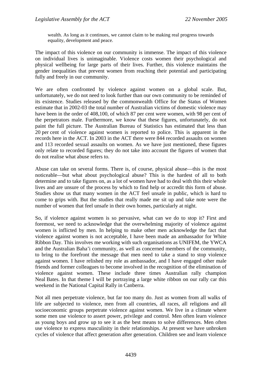wealth. As long as it continues, we cannot claim to be making real progress towards equality, development and peace.

The impact of this violence on our community is immense. The impact of this violence on individual lives is unimaginable. Violence costs women their psychological and physical wellbeing for large parts of their lives. Further, this violence maintains the gender inequalities that prevent women from reaching their potential and participating fully and freely in our community.

We are often confronted by violence against women on a global scale. But, unfortunately, we do not need to look further than our own community to be reminded of its existence. Studies released by the commonwealth Office for the Status of Women estimate that in 2002-03 the total number of Australian victims of domestic violence may have been in the order of 408,100, of which 87 per cent were women, with 98 per cent of the perpetrators male. Furthermore, we know that these figures, unfortunately, do not paint the full picture. The Australian Bureau of Statistics has estimated that less than 20 per cent of violence against women is reported to police. This is apparent in the records here in the ACT. In 2003 in the ACT there were 844 recorded assaults on women and 113 recorded sexual assaults on women. As we have just mentioned, these figures only relate to recorded figures; they do not take into account the figures of women that do not realise what abuse refers to.

Abuse can take on several forms. There is, of course, physical abuse—this is the most noticeable—but what about psychological abuse? This is the hardest of all to both determine and to take figures on, as a lot of women have had to deal with this their whole lives and are unsure of the process by which to find help or accredit this form of abuse. Studies show us that many women in the ACT feel unsafe in public, which is hard to come to grips with. But the studies that really made me sit up and take note were the number of women that feel unsafe in their own homes, particularly at night.

So, if violence against women is so pervasive, what can we do to stop it? First and foremost, we need to acknowledge that the overwhelming majority of violence against women is inflicted by men. In helping to make other men acknowledge the fact that violence against women is not acceptable, I have been made an ambassador for White Ribbon Day. This involves me working with such organisations as UNIFEM, the YWCA and the Australian Baha'i community, as well as concerned members of the community, to bring to the forefront the message that men need to take a stand to stop violence against women. I have relished my role as ambassador, and I have engaged other male friends and former colleagues to become involved in the recognition of the elimination of violence against women. These include three times Australian rally champion Neal Bates. In that theme I will be portraying a large white ribbon on our rally car this weekend in the National Capital Rally in Canberra.

Not all men perpetrate violence, but far too many do. Just as women from all walks of life are subjected to violence, men from all countries, all races, all religions and all socioeconomic groups perpetrate violence against women. We live in a climate where some men use violence to assert power, privilege and control. Men often learn violence as young boys and grow up to see it as the best means to solve differences. Men often use violence to express masculinity in their relationships. At present we have unbroken cycles of violence that affect generation after generation. Children see and learn violence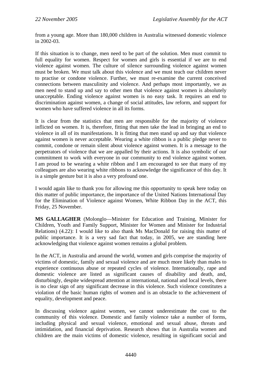from a young age. More than 180,000 children in Australia witnessed domestic violence in 2002-03.

If this situation is to change, men need to be part of the solution. Men must commit to full equality for women. Respect for women and girls is essential if we are to end violence against women. The culture of silence surrounding violence against women must be broken. We must talk about this violence and we must teach our children never to practise or condone violence. Further, we must re-examine the current conceived connections between masculinity and violence. And perhaps most importantly, we as men need to stand up and say to other men that violence against women is absolutely unacceptable. Ending violence against women is no easy task. It requires an end to discrimination against women, a change of social attitudes, law reform, and support for women who have suffered violence in all its forms.

It is clear from the statistics that men are responsible for the majority of violence inflicted on women. It is, therefore, fitting that men take the lead in bringing an end to violence in all of its manifestations. It is fitting that men stand up and say that violence against women is never acceptable. Wearing a white ribbon is a public pledge never to commit, condone or remain silent about violence against women. It is a message to the perpetrators of violence that we are appalled by their actions. It is also symbolic of our commitment to work with everyone in our community to end violence against women. I am proud to be wearing a white ribbon and I am encouraged to see that many of my colleagues are also wearing white ribbons to acknowledge the significance of this day. It is a simple gesture but it is also a very profound one.

I would again like to thank you for allowing me this opportunity to speak here today on this matter of public importance, the importance of the United Nations International Day for the Elimination of Violence against Women, White Ribbon Day in the ACT, this Friday, 25 November.

**MS GALLAGHER** (Molonglo—Minister for Education and Training, Minister for Children, Youth and Family Support, Minister for Women and Minister for Industrial Relations) (4.22): I would like to also thank Ms MacDonald for raising this matter of public importance. It is a very sad fact that today, in 2005, we are standing here acknowledging that violence against women remains a global problem.

In the ACT, in Australia and around the world, women and girls comprise the majority of victims of domestic, family and sexual violence and are much more likely than males to experience continuous abuse or repeated cycles of violence. Internationally, rape and domestic violence are listed as significant causes of disability and death, and, disturbingly, despite widespread attention at international, national and local levels, there is no clear sign of any significant decrease in this violence. Such violence constitutes a violation of the basic human rights of women and is an obstacle to the achievement of equality, development and peace.

In discussing violence against women, we cannot underestimate the cost to the community of this violence. Domestic and family violence take a number of forms, including physical and sexual violence, emotional and sexual abuse, threats and intimidation, and financial deprivation. Research shows that in Australia women and children are the main victims of domestic violence, resulting in significant social and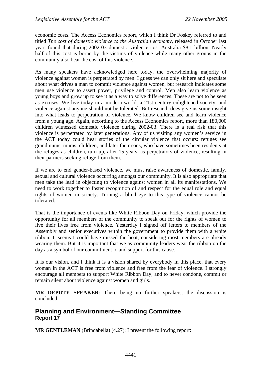economic costs. The Access Economics report, which I think Dr Foskey referred to and titled *The cost of domestic violence to the Australian economy*, released in October last year, found that during 2002-03 domestic violence cost Australia \$8.1 billion. Nearly half of this cost is borne by the victims of violence while many other groups in the community also bear the cost of this violence.

As many speakers have acknowledged here today, the overwhelming majority of violence against women is perpetrated by men. I guess we can only sit here and speculate about what drives a man to commit violence against women, but research indicates some men use violence to assert power, privilege and control. Men also learn violence as young boys and grow up to see it as a way to solve differences. These are not to be seen as excuses. We live today in a modern world, a 21st century enlightened society, and violence against anyone should not be tolerated. But research does give us some insight into what leads to perpetration of violence. We know children see and learn violence from a young age. Again, according to the Access Economics report, more than 180,000 children witnessed domestic violence during 2002-03. There is a real risk that this violence is perpetrated by later generations. Any of us visiting any women's service in the ACT today could hear stories of the circular violence that occurs: refuges see grandmums, mums, children, and later their sons, who have sometimes been residents at the refuges as children, turn up, after 15 years, as perpetrators of violence, resulting in their partners seeking refuge from them.

If we are to end gender-based violence, we must raise awareness of domestic, family, sexual and cultural violence occurring amongst our community. It is also appropriate that men take the lead in objecting to violence against women in all its manifestations. We need to work together to foster recognition of and respect for the equal role and equal rights of women in society. Turning a blind eye to this type of violence cannot be tolerated.

That is the importance of events like White Ribbon Day on Friday, which provide the opportunity for all members of the community to speak out for the rights of women to live their lives free from violence. Yesterday I signed off letters to members of the Assembly and senior executives within the government to provide them with a white ribbon. It seems I could have missed the boat, considering most members are already wearing them. But it is important that we as community leaders wear the ribbon on the day as a symbol of our commitment to and support for this cause.

It is our vision, and I think it is a vision shared by everybody in this place, that every woman in the ACT is free from violence and free from the fear of violence. I strongly encourage all members to support White Ribbon Day, and to never condone, commit or remain silent about violence against women and girls.

**MR DEPUTY SPEAKER**: There being no further speakers, the discussion is concluded.

# **Planning and Environment—Standing Committee Report 17**

**MR GENTLEMAN** (Brindabella) (4.27): I present the following report: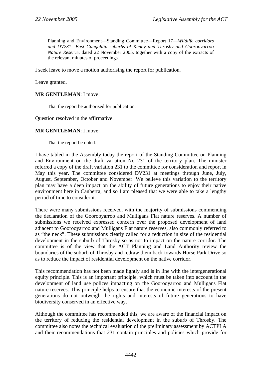Planning and Environment—Standing Committee—Report 17—*Wildlife corridors and DV231—East Gungahlin suburbs of Kenny and Throsby and Goorooyarroo Nature Reserve,* dated 22 November 2005, together with a copy of the extracts of the relevant minutes of proceedings.

I seek leave to move a motion authorising the report for publication.

Leave granted.

#### **MR GENTLEMAN**: I move:

That the report be authorised for publication.

Question resolved in the affirmative.

#### **MR GENTLEMAN**: I move:

That the report be noted.

I have tabled in the Assembly today the report of the Standing Committee on Planning and Environment on the draft variation No 231 of the territory plan. The minister referred a copy of the draft variation 231 to the committee for consideration and report in May this year. The committee considered DV231 at meetings through June, July, August, September, October and November. We believe this variation to the territory plan may have a deep impact on the ability of future generations to enjoy their native environment here in Canberra, and so I am pleased that we were able to take a lengthy period of time to consider it.

There were many submissions received, with the majority of submissions commending the declaration of the Goorooyarroo and Mulligans Flat nature reserves. A number of submissions we received expressed concern over the proposed development of land adjacent to Goorooyarroo and Mulligans Flat nature reserves, also commonly referred to as "the neck". These submissions clearly called for a reduction in size of the residential development in the suburb of Throsby so as not to impact on the nature corridor. The committee is of the view that the ACT Planning and Land Authority review the boundaries of the suburb of Throsby and redraw them back towards Horse Park Drive so as to reduce the impact of residential development on the native corridor.

This recommendation has not been made lightly and is in line with the intergenerational equity principle. This is an important principle, which must be taken into account in the development of land use polices impacting on the Goorooyarroo and Mulligans Flat nature reserves. This principle helps to ensure that the economic interests of the present generations do not outweigh the rights and interests of future generations to have biodiversity conserved in an effective way.

Although the committee has recommended this, we are aware of the financial impact on the territory of reducing the residential development in the suburb of Throsby. The committee also notes the technical evaluation of the preliminary assessment by ACTPLA and their recommendations that 231 contain principles and policies which provide for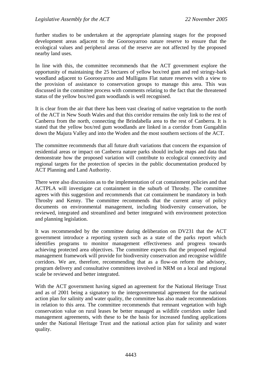further studies to be undertaken at the appropriate planning stages for the proposed development areas adjacent to the Goorooyarroo nature reserve to ensure that the ecological values and peripheral areas of the reserve are not affected by the proposed nearby land uses.

In line with this, the committee recommends that the ACT government explore the opportunity of maintaining the 25 hectares of yellow box/red gum and red stringy-bark woodland adjacent to Goorooyarroo and Mulligans Flat nature reserves with a view to the provision of assistance to conservation groups to manage this area. This was discussed in the committee process with comments relating to the fact that the threatened status of the yellow box/red gum woodlands is well recognised.

It is clear from the air that there has been vast clearing of native vegetation to the north of the ACT in New South Wales and that this corridor remains the only link to the rest of Canberra from the north, connecting the Brindabella area to the rest of Canberra. It is stated that the yellow box/red gum woodlands are linked in a corridor from Gungahlin down the Majura Valley and into the Woden and the most southern sections of the ACT.

The committee recommends that all future draft variations that concern the expansion of residential areas or impact on Canberra nature parks should include maps and data that demonstrate how the proposed variation will contribute to ecological connectivity and regional targets for the protection of species in the public documentation produced by ACT Planning and Land Authority.

There were also discussions as to the implementation of cat containment policies and that ACTPLA will investigate cat containment in the suburb of Throsby. The committee agrees with this suggestion and recommends that cat containment be mandatory in both Throsby and Kenny. The committee recommends that the current array of policy documents on environmental management, including biodiversity conservation, be reviewed, integrated and streamlined and better integrated with environment protection and planning legislation.

It was recommended by the committee during deliberation on DV231 that the ACT government introduce a reporting system such as a state of the parks report which identifies programs to monitor management effectiveness and progress towards achieving protected area objectives. The committee expects that the proposed regional management framework will provide for biodiversity conservation and recognise wildlife corridors. We are, therefore, recommending that as a flow-on reform the advisory, program delivery and consultative committees involved in NRM on a local and regional scale be reviewed and better integrated.

With the ACT government having signed an agreement for the National Heritage Trust and as of 2001 being a signatory to the intergovernmental agreement for the national action plan for salinity and water quality, the committee has also made recommendations in relation to this area. The committee recommends that remnant vegetation with high conservation value on rural leases be better managed as wildlife corridors under land management agreements, with these to be the basis for increased funding applications under the National Heritage Trust and the national action plan for salinity and water quality.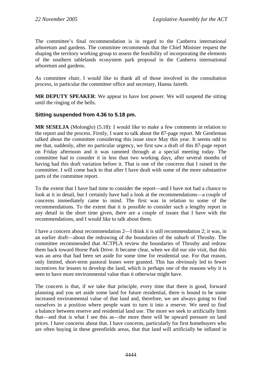The committee's final recommendation is in regard to the Canberra international arboretum and gardens. The committee recommends that the Chief Minister request the shaping the territory working group to assess the feasibility of incorporating the elements of the southern tablelands ecosystem park proposal in the Canberra international arboretum and gardens.

As committee chair, I would like to thank all of those involved in the consultation process, in particular the committee office and secretary, Hanna Jaireth.

**MR DEPUTY SPEAKER**: We appear to have lost power. We will suspend the sitting until the ringing of the bells.

# **Sitting suspended from 4.36 to 5.18 pm.**

**MR SESELJA** (Molonglo) (5.18): I would like to make a few comments in relation to the report and the process. Firstly, I want to talk about the 87-page report. Mr Gentleman talked about the committee considering this issue since May this year. It seems odd to me that, suddenly, after no particular urgency, we first saw a draft of this 87-page report on Friday afternoon and it was rammed through at a special meeting today. The committee had to consider it in less than two working days, after several months of having had this draft variation before it. That is one of the concerns that I raised in the committee. I will come back to that after I have dealt with some of the more substantive parts of the committee report.

To the extent that I have had time to consider the report—and I have not had a chance to look at it in detail, but I certainly have had a look at the recommendations—a couple of concerns immediately came to mind. The first was in relation to some of the recommendations. To the extent that it is possible to consider such a lengthy report in any detail in the short time given, there are a couple of issues that I have with the recommendations, and I would like to talk about them.

I have a concern about recommendation 2—I think it is still recommendation 2; it was, in an earlier draft—about the redrawing of the boundaries of the suburb of Throsby. The committee recommended that ACTPLA review the boundaries of Throsby and redraw them back toward Horse Park Drive. It became clear, when we did our site visit, that this was an area that had been set aside for some time for residential use. For that reason, only limited, short-term pastoral leases were granted. This has obviously led to fewer incentives for lessees to develop the land, which is perhaps one of the reasons why it is seen to have more environmental value than it otherwise might have.

The concern is that, if we take that principle, every time that there is good, forward planning and you set aside some land for future residential, there is bound to be some increased environmental value of that land and, therefore, we are always going to find ourselves in a position where people want to turn it into a reserve. We need to find a balance between reserve and residential land use. The more we seek to artificially limit that—and that is what I see this as—the more there will be upward pressure on land prices. I have concerns about that. I have concerns, particularly for first homebuyers who are often buying in these greenfields areas, that that land will artificially be inflated in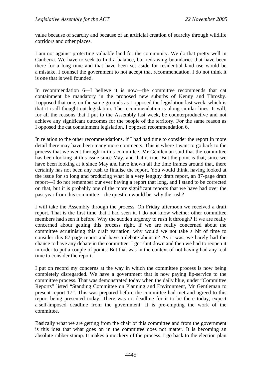value because of scarcity and because of an artificial creation of scarcity through wildlife corridors and other places.

I am not against protecting valuable land for the community. We do that pretty well in Canberra. We have to seek to find a balance, but redrawing boundaries that have been there for a long time and that have been set aside for residential land use would be a mistake. I counsel the government to not accept that recommendation. I do not think it is one that is well founded.

In recommendation 6—I believe it is now—the committee recommends that cat containment be mandatory in the proposed new suburbs of Kenny and Throsby. I opposed that one, on the same grounds as I opposed the legislation last week, which is that it is ill-thought-out legislation. The recommendation is along similar lines. It will, for all the reasons that I put to the Assembly last week, be counterproductive and not achieve any significant outcomes for the people of the territory. For the same reason as I opposed the cat containment legislation, I opposed recommendation 6.

In relation to the other recommendations, if I had had time to consider the report in more detail there may have been many more comments. This is where I want to go back to the process that we went through in this committee. Mr Gentleman said that the committee has been looking at this issue since May, and that is true. But the point is that, since we have been looking at it since May and have known all the time frames around that, there certainly has not been any rush to finalise the report. You would think, having looked at the issue for so long and producing what is a very lengthy draft report, an 87-page draft report—I do not remember our ever having a report that long, and I stand to be corrected on that, but it is probably one of the more significant reports that we have had over the past year from this committee—the question would be: why the rush?

I will take the Assembly through the process. On Friday afternoon we received a draft report. That is the first time that I had seen it. I do not know whether other committee members had seen it before. Why the sudden urgency to rush it through? If we are really concerned about getting this process right, if we are really concerned about the committee scrutinising this draft variation, why would we not take a bit of time to consider this 87-page report and have a debate about it? As it was, we barely had the chance to have any debate in the committee. I got shut down and then we had to reopen it in order to put a couple of points. But that was in the context of not having had any real time to consider the report.

I put on record my concerns at the way in which the committee process is now being completely disregarded. We have a government that is now paying lip-service to the committee process. That was demonstrated today when the daily blue, under "Committee Reports" listed "Standing Committee on Planning and Environment, Mr Gentleman to present report 17". This was prepared before the committee had met and agreed to this report being presented today. There was no deadline for it to be there today, expect a self-imposed deadline from the government. It is pre-empting the work of the committee.

Basically what we are getting from the chair of this committee and from the government is this idea that what goes on in the committee does not matter. It is becoming an absolute rubber stamp. It makes a mockery of the process. I go back to the election plan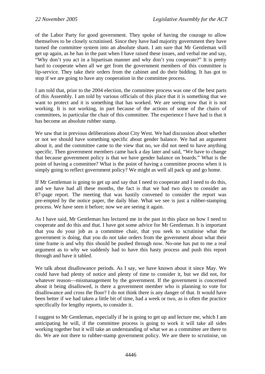of the Labor Party for good government. They spoke of having the courage to allow themselves to be closely scrutinised. Since they have had majority government they have turned the committee system into an absolute sham. I am sure that Mr Gentleman will get up again, as he has in the past when I have raised these issues, and verbal me and say, "Why don't you act in a bipartisan manner and why don't you cooperate?" It is pretty hard to cooperate when all we get from the government members of this committee is lip-service. They take their orders from the cabinet and do their bidding. It has got to stop if we are going to have any cooperation in the committee process.

I am told that, prior to the 2004 election, the committee process was one of the best parts of this Assembly. I am told by various officials of this place that it is something that we want to protect and it is something that has worked. We are seeing now that it is not working. It is not working, in part because of the actions of some of the chairs of committees, in particular the chair of this committee. The experience I have had is that it has become an absolute rubber stamp.

We saw that in previous deliberations about City West. We had discussion about whether or not we should have something specific about gender balance. We had an argument about it, and the committee came to the view that no, we did not need to have anything specific. Then government members came back a day later and said, "We have to change that because government policy is that we have gender balance on boards." What is the point of having a committee? What is the point of having a committee process when it is simply going to reflect government policy? We might as well all pack up and go home.

If Mr Gentleman is going to get up and say that I need to cooperate and I need to do this, and we have had all these months, the fact is that we had two days to consider an 87-page report. The meeting that was hastily convened to consider the report was pre-empted by the notice paper, the daily blue. What we see is just a rubber-stamping process. We have seen it before; now we are seeing it again.

As I have said, Mr Gentleman has lectured me in the past in this place on how I need to cooperate and do this and that. I have got some advice for Mr Gentleman. It is important that you do your job as a committee chair, that you seek to scrutinise what the government is doing, that you do not take orders from the government about what their time frame is and why this should be pushed through now. No-one has put to me a real argument as to why we suddenly had to have this hasty process and push this report through and have it tabled.

We talk about disallowance periods. As I say, we have known about it since May. We could have had plenty of notice and plenty of time to consider it, but we did not, for whatever reason—mismanagement by the government. If the government is concerned about it being disallowed, is there a government member who is planning to vote for disallowance and cross the floor? I do not think there is any danger of that. It would have been better if we had taken a little bit of time, had a week or two, as is often the practice specifically for lengthy reports, to consider it.

I suggest to Mr Gentleman, especially if he is going to get up and lecture me, which I am anticipating he will, if the committee process is going to work it will take all sides working together but it will take an understanding of what we as a committee are there to do. We are not there to rubber-stamp government policy. We are there to scrutinise, on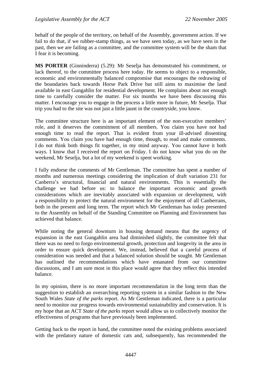behalf of the people of the territory, on behalf of the Assembly, government action. If we fail to do that, if we rubber-stamp things, as we have seen today, as we have seen in the past, then we are failing as a committee, and the committee system will be the sham that I fear it is becoming.

**MS PORTER** (Ginninderra) (5.29): Mr Seselja has demonstrated his commitment, or lack thereof, to the committee process here today. He seems to object to a responsible, economic and environmentally balanced compromise that encourages the redrawing of the boundaries back towards Horse Park Drive but still aims to maximise the land available in east Gungahlin for residential development. He complains about not enough time to carefully consider the matter. For six months we have been discussing this matter. I encourage you to engage in the process a little more in future, Mr Seselja. That trip you had to the site was not just a little jaunt in the countryside, you know.

The committee structure here is an important element of the non-executive members' role, and it deserves the commitment of all members. You claim you have not had enough time to read the report. That is evident from your ill-advised dissenting comments. You claim you have had enough time, though, to read and make comments. I do not think both things fit together, in my mind anyway. You cannot have it both ways. I know that I received the report on Friday. I do not know what you do on the weekend, Mr Seselja, but a lot of my weekend is spent working.

I fully endorse the comments of Mr Gentleman. The committee has spent a number of months and numerous meetings considering the implication of draft variation 231 for Canberra's structural, financial and natural environments. This is essentially the challenge we had before us: to balance the important economic and growth considerations which are inevitably associated with expansion or development, with a responsibility to protect the natural environment for the enjoyment of all Canberrans, both in the present and long term. The report which Mr Gentleman has today presented to the Assembly on behalf of the Standing Committee on Planning and Environment has achieved that balance.

While noting the general downturn in housing demand means that the urgency of expansion in the east Gungahlin area had diminished slightly, the committee felt that there was no need to forgo environmental growth, protection and longevity in the area in order to ensure quick development. We, instead, believed that a careful process of consideration was needed and that a balanced solution should be sought. Mr Gentleman has outlined the recommendations which have emanated from our committee discussions, and I am sure most in this place would agree that they reflect this intended balance.

In my opinion, there is no more important recommendation in the long term than the suggestion to establish an overarching reporting system in a similar fashion to the New South Wales *State of the parks* report. As Mr Gentleman indicated, there is a particular need to monitor our progress towards environmental sustainability and conservation. It is my hope that an ACT *State of the parks* report would allow us to collectively monitor the effectiveness of programs that have previously been implemented.

Getting back to the report in hand, the committee noted the existing problems associated with the predatory nature of domestic cats and, subsequently, has recommended the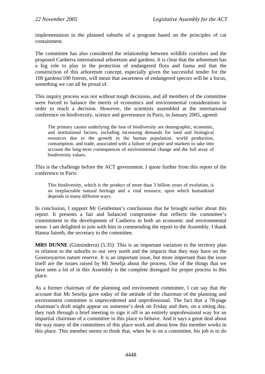implementation in the planned suburbs of a program based on the principles of cat containment.

The committee has also considered the relationship between wildlife corridors and the proposed Canberra international arboretum and gardens. It is clear that the arboretum has a big role to play in the protection of endangered flora and fauna and that the construction of this arboretum concept, especially given the successful tender for the 100 gardens/100 forests, will mean that awareness of endangered species will be a focus, something we can all be proud of.

This inquiry process was not without tough decisions, and all members of the committee were forced to balance the merits of economics and environmental considerations in order to reach a decision. However, the scientists assembled at the international conference on biodiversity, science and governance in Paris, in January 2005, agreed:

The primary causes underlying the loss of biodiversity are demographic, economic, and institutional factors, including increasing demands for land and biological resources due to the growth in the human population, world production, consumption, and trade, associated with a failure of people and markets to take into account the long-term consequences of environmental change and the full array of biodiversity values.

This is the challenge before the ACT government. I quote further from this report of the conference in Paris:

This biodiversity, which is the product of more than 3 billion years of evolution, is an irreplaceable natural heritage and a vital resource, upon which humankind depends in many different ways.

In conclusion, I support Mr Gentleman's conclusions that he brought earlier about this report. It presents a fair and balanced compromise that reflects the committee's commitment to the development of Canberra in both an economic and environmental sense. I am delighted to join with him in commending the report to the Assembly. I thank Hanna Jaireth, the secretary to the committee.

**MRS DUNNE** (Ginninderra) (5.35): This is an important variation to the territory plan in relation to the suburbs to our very north and the impacts that they may have on the Goorooyarroo nature reserve. It is an important issue, but more important than the issue itself are the issues raised by Mr Seselja about the process. One of the things that we have seen a lot of in this Assembly is the complete disregard for proper process in this place.

As a former chairman of the planning and environment committee, I can say that the account that Mr Seselja gave today of the attitude of the chairman of the planning and environment committee is unprecedented and unprofessional. The fact that a 78-page chairman's draft might appear on someone's desk on Friday and then, on a sitting day, they rush through a brief meeting to sign it off is an entirely unprofessional way for an impartial chairman of a committee in this place to behave. And it says a great deal about the way many of the committees of this place work and about how this member works in this place. This member seems to think that, when he is on a committee, his job is to do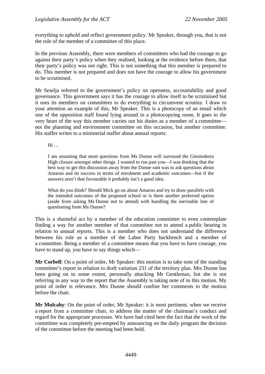everything to uphold and reflect government policy. Mr Speaker, through you, that is not the role of the member of a committee of this place.

In the previous Assembly, there were members of committees who had the courage to go against their party's policy when they realised, looking at the evidence before them, that their party's policy was not right. This is not something that this member is prepared to do. This member is not prepared and does not have the courage to allow his government to be scrutinised.

Mr Seselja referred to the government's policy on openness, accountability and good governance. This government says it has the courage to allow itself to be scrutinised but it uses its members on committees to do everything to circumvent scrutiny. I draw to your attention an example of this, Mr Speaker. This is a photocopy of an email which one of the opposition staff found lying around in a photocopying room. It goes to the very heart of the way this member carries out his duties as a member of a committee not the planning and environment committee on this occasion, but another committee. His staffer writes to a ministerial staffer about annual reports:

Hi …

I am assuming that most questions from Ms Dunne will surround the Ginninderra High closure amongst other things. I wanted to run past you—I was thinking that the best way to get this discussion away from the Dunne rant was to ask questions about Amaroo and its success in terms of enrolment and academic outcomes—but if the answers aren't that favourable it probably isn't a good idea.

What do you think? Should Mick go on about Amaroo and try to draw parallels with the intended outcomes of the proposed school or is there another preferred option (aside from asking Ms Dunne not to attend) with handling the inevitable line of questioning from Ms Dunne?

This is a shameful act by a member of the education committee to even contemplate finding a way for another member of that committee not to attend a public hearing in relation to annual reports. This is a member who does not understand the difference between his role as a member of the Labor Party backbench and a member of a committee. Being a member of a committee means that you have to have courage, you have to stand up, you have to say things which—

**Mr Corbell**: On a point of order, Mr Speaker: this motion is to take note of the standing committee's report in relation to draft variation 231 of the territory plan. Mrs Dunne has been going on to some extent, personally attacking Mr Gentleman, but she is not referring in any way to the report that the Assembly is taking note of in this motion. My point of order is relevance. Mrs Dunne should confine her comments to the motion before the chair.

**Mr Mulcahy**: On the point of order, Mr Speaker: it is most pertinent, when we receive a report from a committee chair, to address the matter of the chairman's conduct and regard for the appropriate processes. We have had cited here the fact that the work of the committee was completely pre-empted by announcing on the daily program the decision of the committee before the meeting had been held.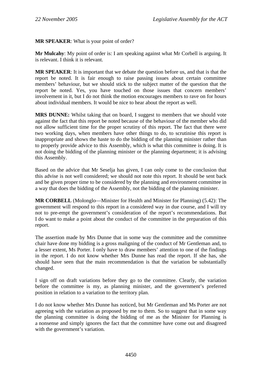## **MR SPEAKER**: What is your point of order?

**Mr Mulcahy**: My point of order is: I am speaking against what Mr Corbell is arguing. It is relevant. I think it is relevant.

**MR SPEAKER**: It is important that we debate the question before us, and that is that the report be noted. It is fair enough to raise passing issues about certain committee members' behaviour, but we should stick to the subject matter of the question that the report be noted. Yes, you have touched on those issues that concern members' involvement in it, but I do not think the motion encourages members to rave on for hours about individual members. It would be nice to hear about the report as well.

**MRS DUNNE:** Whilst taking that on board, I suggest to members that we should vote against the fact that this report be noted because of the behaviour of the member who did not allow sufficient time for the proper scrutiny of this report. The fact that there were two working days, when members have other things to do, to scrutinise this report is inappropriate and shows the haste to do the bidding of the planning minister rather than to properly provide advice to this Assembly, which is what this committee is doing. It is not doing the bidding of the planning minister or the planning department; it is advising this Assembly.

Based on the advice that Mr Seselja has given, I can only come to the conclusion that this advise is not well considered; we should not note this report. It should be sent back and be given proper time to be considered by the planning and environment committee in a way that does the bidding of the Assembly, not the bidding of the planning minister.

**MR CORBELL** (Molonglo—Minister for Health and Minister for Planning) (5.42): The government will respond to this report in a considered way in due course, and I will try not to pre-empt the government's consideration of the report's recommendations. But I do want to make a point about the conduct of the committee in the preparation of this report.

The assertion made by Mrs Dunne that in some way the committee and the committee chair have done my bidding is a gross maligning of the conduct of Mr Gentleman and, to a lesser extent, Ms Porter. I only have to draw members' attention to one of the findings in the report. I do not know whether Mrs Dunne has read the report. If she has, she should have seen that the main recommendation is that the variation be substantially changed.

I sign off on draft variations before they go to the committee. Clearly, the variation before the committee is my, as planning minister, and the government's preferred position in relation to a variation to the territory plan.

I do not know whether Mrs Dunne has noticed, but Mr Gentleman and Ms Porter are not agreeing with the variation as proposed by me to them. So to suggest that in some way the planning committee is doing the bidding of me as the Minister for Planning is a nonsense and simply ignores the fact that the committee have come out and disagreed with the government's variation.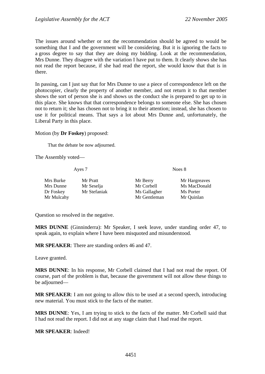The issues around whether or not the recommendation should be agreed to would be something that I and the government will be considering. But it is ignoring the facts to a gross degree to say that they are doing my bidding. Look at the recommendation, Mrs Dunne. They disagree with the variation I have put to them. It clearly shows she has not read the report because, if she had read the report, she would know that that is in there.

In passing, can I just say that for Mrs Dunne to use a piece of correspondence left on the photocopier, clearly the property of another member, and not return it to that member shows the sort of person she is and shows us the conduct she is prepared to get up to in this place. She knows that that correspondence belongs to someone else. She has chosen not to return it; she has chosen not to bring it to their attention; instead, she has chosen to use it for political means. That says a lot about Mrs Dunne and, unfortunately, the Liberal Party in this place.

## Motion (by **Dr Foskey**) proposed:

That the debate be now adjourned.

The Assembly voted—

Ayes 7 Noes 8

| Mrs Burke  | Mr Pratt     | Mr Berry     | Mr Hargreaves |
|------------|--------------|--------------|---------------|
| Mrs Dunne  | Mr Seselja   | Mr Corbell   | Ms MacDonald  |
| Dr Foskey  | Mr Stefaniak | Ms Gallagher | Ms Porter     |
| Mr Mulcahy |              | Mr Gentleman | Mr Quinlan    |

Question so resolved in the negative.

**MRS DUNNE** (Ginninderra): Mr Speaker, I seek leave, under standing order 47, to speak again, to explain where I have been misquoted and misunderstood.

**MR SPEAKER**: There are standing orders 46 and 47.

Leave granted.

**MRS DUNNE**: In his response, Mr Corbell claimed that I had not read the report. Of course, part of the problem is that, because the government will not allow these things to be adjourned—

**MR SPEAKER**: I am not going to allow this to be used at a second speech, introducing new material. You must stick to the facts of the matter.

**MRS DUNNE**: Yes, I am trying to stick to the facts of the matter. Mr Corbell said that I had not read the report. I did not at any stage claim that I had read the report.

**MR SPEAKER**: Indeed!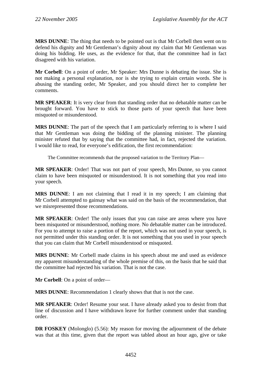**MRS DUNNE**: The thing that needs to be pointed out is that Mr Corbell then went on to defend his dignity and Mr Gentleman's dignity about my claim that Mr Gentleman was doing his bidding. He uses, as the evidence for that, that the committee had in fact disagreed with his variation.

**Mr Corbell**: On a point of order, Mr Speaker: Mrs Dunne is debating the issue. She is not making a personal explanation, nor is she trying to explain certain words. She is abusing the standing order, Mr Speaker, and you should direct her to complete her comments.

**MR SPEAKER**: It is very clear from that standing order that no debatable matter can be brought forward. You have to stick to those parts of your speech that have been misquoted or misunderstood.

**MRS DUNNE**: The part of the speech that I am particularly referring to is where I said that Mr Gentleman was doing the bidding of the planning minister. The planning minister refuted that by saying that the committee had, in fact, rejected the variation. I would like to read, for everyone's edification, the first recommendation:

The Committee recommends that the proposed variation to the Territory Plan—

**MR SPEAKER**: Order! That was not part of your speech, Mrs Dunne, so you cannot claim to have been misquoted or misunderstood. It is not something that you read into your speech.

**MRS DUNNE**: I am not claiming that I read it in my speech; I am claiming that Mr Corbell attempted to gainsay what was said on the basis of the recommendation, that we misrepresented those recommendations.

**MR SPEAKER**: Order! The only issues that you can raise are areas where you have been misquoted or misunderstood, nothing more. No debatable matter can be introduced. For you to attempt to raise a portion of the report, which was not used in your speech, is not permitted under this standing order. It is not something that you used in your speech that you can claim that Mr Corbell misunderstood or misquoted.

**MRS DUNNE**: Mr Corbell made claims in his speech about me and used as evidence my apparent misunderstanding of the whole premise of this, on the basis that he said that the committee had rejected his variation. That is not the case.

**Mr Corbell**: On a point of order—

**MRS DUNNE**: Recommendation 1 clearly shows that that is not the case.

**MR SPEAKER**: Order! Resume your seat. I have already asked you to desist from that line of discussion and I have withdrawn leave for further comment under that standing order.

**DR FOSKEY** (Molonglo) (5.56): My reason for moving the adjournment of the debate was that at this time, given that the report was tabled about an hour ago, give or take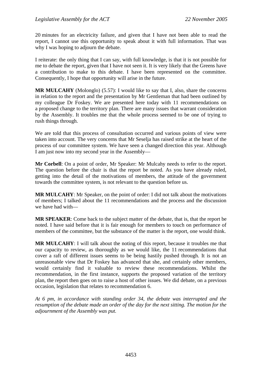20 minutes for an electricity failure, and given that I have not been able to read the report, I cannot use this opportunity to speak about it with full information. That was why I was hoping to adjourn the debate.

I reiterate: the only thing that I can say, with full knowledge, is that it is not possible for me to debate the report, given that I have not seen it. It is very likely that the Greens have a contribution to make to this debate. I have been represented on the committee. Consequently, I hope that opportunity will arise in the future.

**MR MULCAHY** (Molonglo) (5.57): I would like to say that I, also, share the concerns in relation to the report and the presentation by Mr Gentleman that had been outlined by my colleague Dr Foskey. We are presented here today with 11 recommendations on a proposed change to the territory plan. There are many issues that warrant consideration by the Assembly. It troubles me that the whole process seemed to be one of trying to rush things through.

We are told that this process of consultation occurred and various points of view were taken into account. The very concerns that Mr Seselja has raised strike at the heart of the process of our committee system. We have seen a changed direction this year. Although I am just now into my second year in the Assembly—

**Mr Corbell**: On a point of order, Mr Speaker: Mr Mulcahy needs to refer to the report. The question before the chair is that the report be noted. As you have already ruled, getting into the detail of the motivations of members, the attitude of the government towards the committee system, is not relevant to the question before us.

**MR MULCAHY**: Mr Speaker, on the point of order: I did not talk about the motivations of members; I talked about the 11 recommendations and the process and the discussion we have had with—

**MR SPEAKER**: Come back to the subject matter of the debate, that is, that the report be noted. I have said before that it is fair enough for members to touch on performance of members of the committee, but the substance of the matter is the report, one would think.

**MR MULCAHY**: I will talk about the noting of this report, because it troubles me that our capacity to review, as thoroughly as we would like, the 11 recommendations that cover a raft of different issues seems to be being hastily pushed through. It is not an unreasonable view that Dr Foskey has advanced that she, and certainly other members, would certainly find it valuable to review these recommendations. Whilst the recommendation, in the first instance, supports the proposed variation of the territory plan, the report then goes on to raise a host of other issues. We did debate, on a previous occasion, legislation that relates to recommendation 6.

*At 6 pm, in accordance with standing order 34, the debate was interrupted and the resumption of the debate made an order of the day for the next sitting. The motion for the adjournment of the Assembly was put.*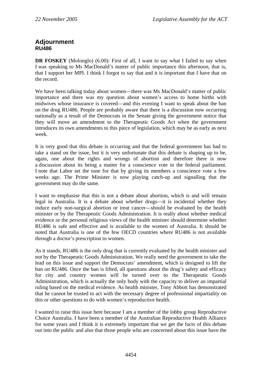# **Adjournment RU486**

**DR FOSKEY** (Molonglo) (6.00): First of all, I want to say what I failed to say when I was speaking to Ms MacDonald's matter of public importance this afternoon, that is, that I support her MPI. I think I forgot to say that and it is important that I have that on the record.

We have been talking today about women—there was Ms MacDonald's matter of public importance and there was my question about women's access to home births with midwives whose insurance is covered—and this evening I want to speak about the ban on the drug RU486. People are probably aware that there is a discussion now occurring nationally as a result of the Democrats in the Senate giving the government notice that they will move an amendment to the Therapeutic Goods Act when the government introduces its own amendments to this piece of legislation, which may be as early as next week.

It is very good that this debate is occurring and that the federal government has had to take a stand on the issue, but it is very unfortunate that this debate is shaping up to be, again, one about the rights and wrongs of abortion and therefore there is now a discussion about its being a matter for a conscience vote in the federal parliament. I note that Labor set the tone for that by giving its members a conscience vote a few weeks ago. The Prime Minister is now playing catch-up and signalling that the government may do the same.

I want to emphasise that this is not a debate about abortion, which is and will remain legal in Australia. It is a debate about whether drugs—it is incidental whether they induce early non-surgical abortion or treat cancer—should be evaluated by the health minister or by the Therapeutic Goods Administration. It is really about whether medical evidence or the personal religious views of the health minister should determine whether RU486 is safe and effective and is available to the women of Australia. It should be noted that Australia is one of the few OECD countries where RU486 is not available through a doctor's prescription to women.

As it stands, RU486 is the only drug that is currently evaluated by the health minister and not by the Therapeutic Goods Administration. We really need the government to take the lead on this issue and support the Democrats' amendment, which is designed to lift the ban on RU486. Once the ban is lifted, all questions about the drug's safety and efficacy for city and country women will be turned over to the Therapeutic Goods Administration, which is actually the only body with the capacity to deliver an impartial ruling based on the medical evidence. As health minister, Tony Abbott has demonstrated that he cannot be trusted to act with the necessary degree of professional impartiality on this or other questions to do with women's reproductive health.

I wanted to raise this issue here because I am a member of the lobby group Reproductive Choice Australia. I have been a member of the Australian Reproductive Health Alliance for some years and I think it is extremely important that we get the facts of this debate out into the public and also that those people who are concerned about this issue have the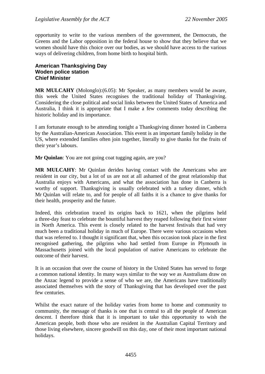opportunity to write to the various members of the government, the Democrats, the Greens and the Labor opposition in the federal house to show that they believe that we women should have this choice over our bodies, as we should have access to the various ways of delivering children, from home birth to hospital birth.

# **American Thanksgiving Day Woden police station Chief Minister**

**MR MULCAHY** (Molonglo):(6.05): Mr Speaker, as many members would be aware, this week the United States recognises the traditional holiday of Thanksgiving. Considering the close political and social links between the United States of America and Australia, I think it is appropriate that I make a few comments today describing the historic holiday and its importance.

I am fortunate enough to be attending tonight a Thanksgiving dinner hosted in Canberra by the Australian-American Association. This event is an important family holiday in the US, where extended families often join together, literally to give thanks for the fruits of their year's labours.

**Mr Quinlan**: You are not going coat tugging again, are you?

**MR MULCAHY**: Mr Quinlan derides having contact with the Americans who are resident in our city, but a lot of us are not at all ashamed of the great relationship that Australia enjoys with Americans, and what the association has done in Canberra is worthy of support. Thanksgiving is usually celebrated with a turkey dinner, which Mr Quinlan will relate to, and for people of all faiths it is a chance to give thanks for their health, prosperity and the future.

Indeed, this celebration traced its origins back to 1621, when the pilgrims held a three-day feast to celebrate the bountiful harvest they reaped following their first winter in North America. This event is closely related to the harvest festivals that had very much been a traditional holiday in much of Europe. There were various occasions when that was referred to. I thought it significant that, when this occasion took place in the first recognised gathering, the pilgrims who had settled from Europe in Plymouth in Massachusetts joined with the local population of native Americans to celebrate the outcome of their harvest.

It is an occasion that over the course of history in the United States has served to forge a common national identity. In many ways similar to the way we as Australians draw on the Anzac legend to provide a sense of who we are, the Americans have traditionally associated themselves with the story of Thanksgiving that has developed over the past few centuries.

Whilst the exact nature of the holiday varies from home to home and community to community, the message of thanks is one that is central to all the people of American descent. I therefore think that it is important to take this opportunity to wish the American people, both those who are resident in the Australian Capital Territory and those living elsewhere, sincere goodwill on this day, one of their most important national holidays.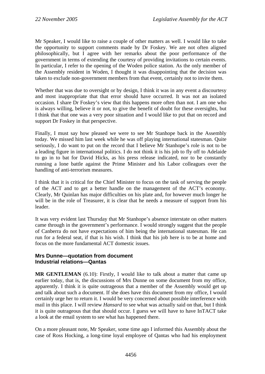Mr Speaker, I would like to raise a couple of other matters as well. I would like to take the opportunity to support comments made by Dr Foskey. We are not often aligned philosophically, but I agree with her remarks about the poor performance of the government in terms of extending the courtesy of providing invitations to certain events. In particular, I refer to the opening of the Woden police station. As the only member of the Assembly resident in Woden, I thought it was disappointing that the decision was taken to exclude non-government members from that event, certainly not to invite them.

Whether that was due to oversight or by design. I think it was in any event a discourtesy and most inappropriate that that error should have occurred. It was not an isolated occasion. I share Dr Foskey's view that this happens more often than not. I am one who is always willing, believe it or not, to give the benefit of doubt for these oversights, but I think that that one was a very poor situation and I would like to put that on record and support Dr Foskey in that perspective.

Finally, I must say how pleased we were to see Mr Stanhope back in the Assembly today. We missed him last week while he was off playing international statesman. Quite seriously, I do want to put on the record that I believe Mr Stanhope's role is not to be a leading figure in international politics. I do not think it is his job to fly off to Adelaide to go in to bat for David Hicks, as his press release indicated, nor to be constantly running a lone battle against the Prime Minister and his Labor colleagues over the handling of anti-terrorism measures.

I think that it is critical for the Chief Minister to focus on the task of serving the people of the ACT and to get a better handle on the management of the ACT's economy. Clearly, Mr Quinlan has major difficulties on his plate and, for however much longer he will be in the role of Treasurer, it is clear that he needs a measure of support from his leader.

It was very evident last Thursday that Mr Stanhope's absence interstate on other matters came through in the government's performance. I would strongly suggest that the people of Canberra do not have expectations of him being the international statesman. He can run for a federal seat, if that is his wish. I think that his job here is to be at home and focus on the more fundamental ACT domestic issues.

# **Mrs Dunne—quotation from document Industrial relations—Qantas**

**MR GENTLEMAN** (6.10): Firstly, I would like to talk about a matter that came up earlier today, that is, the discussions of Mrs Dunne on some document from my office, apparently. I think it is quite outrageous that a member of the Assembly would get up and talk about such a document. If she does have this document from my office, I would certainly urge her to return it. I would be very concerned about possible interference with mail in this place. I will review *Hansard* to see what was actually said on that, but I think it is quite outrageous that that should occur. I guess we will have to have InTACT take a look at the email system to see what has happened there.

On a more pleasant note, Mr Speaker, some time ago I informed this Assembly about the case of Ross Hocking, a long-time loyal employee of Qantas who had his employment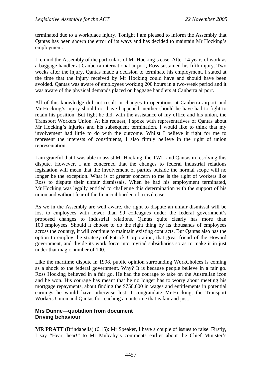terminated due to a workplace injury. Tonight I am pleased to inform the Assembly that Qantas has been shown the error of its ways and has decided to maintain Mr Hocking's employment.

I remind the Assembly of the particulars of Mr Hocking's case. After 14 years of work as a baggage handler at Canberra international airport, Ross sustained his fifth injury. Two weeks after the injury, Qantas made a decision to terminate his employment. I stated at the time that the injury received by Mr Hocking could have and should have been avoided. Qantas was aware of employees working 200 hours in a two-week period and it was aware of the physical demands placed on baggage handlers at Canberra airport.

All of this knowledge did not result in changes to operations at Canberra airport and Mr Hocking's injury should not have happened; neither should he have had to fight to retain his position. But fight he did, with the assistance of my office and his union, the Transport Workers Union. At his request, I spoke with representatives of Qantas about Mr Hocking's injuries and his subsequent termination. I would like to think that my involvement had little to do with the outcome. Whilst I believe it right for me to represent the interests of constituents, I also firmly believe in the right of union representation.

I am grateful that I was able to assist Mr Hocking, the TWU and Qantas in resolving this dispute. However, I am concerned that the changes to federal industrial relations legislation will mean that the involvement of parties outside the normal scope will no longer be the exception. What is of greater concern to me is the right of workers like Ross to dispute their unfair dismissals. When he had his employment terminated, Mr Hocking was legally entitled to challenge this determination with the support of his union and without fear of the financial burden of a civil case.

As we in the Assembly are well aware, the right to dispute an unfair dismissal will be lost to employees with fewer than 99 colleagues under the federal government's proposed changes to industrial relations. Qantas quite clearly has more than 100 employees. Should it choose to do the right thing by its thousands of employees across the country, it will continue to maintain existing contracts. But Qantas also has the option to employ the strategy of Patrick Corporation, that great friend of the Howard government, and divide its work force into myriad subsidiaries so as to make it in just under that magic number of 100.

Like the maritime dispute in 1998, public opinion surrounding WorkChoices is coming as a shock to the federal government. Why? It is because people believe in a fair go. Ross Hocking believed in a fair go. He had the courage to take on the Australian icon and he won. His courage has meant that he no longer has to worry about meeting his mortgage repayments, about finding the \$750,000 in wages and entitlements in potential earnings he would have otherwise lost. I congratulate Mr Hocking, the Transport Workers Union and Qantas for reaching an outcome that is fair and just.

# **Mrs Dunne—quotation from document Driving behaviour**

**MR PRATT** (Brindabella) (6.15): Mr Speaker, I have a couple of issues to raise. Firstly, I say "Hear, hear!" to Mr Mulcahy's comments earlier about the Chief Minister's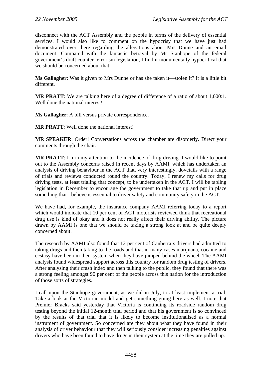disconnect with the ACT Assembly and the people in terms of the delivery of essential services. I would also like to comment on the hypocrisy that we have just had demonstrated over there regarding the allegations about Mrs Dunne and an email document. Compared with the fantastic betrayal by Mr Stanhope of the federal government's draft counter-terrorism legislation, I find it monumentally hypocritical that we should be concerned about that.

**Ms Gallagher**: Was it given to Mrs Dunne or has she taken it—stolen it? It is a little bit different.

**MR PRATT:** We are talking here of a degree of difference of a ratio of about 1,000:1. Well done the national interest!

**Ms Gallagher**: A bill versus private correspondence.

**MR PRATT**: Well done the national interest!

**MR SPEAKER**: Order! Conversations across the chamber are disorderly. Direct your comments through the chair.

**MR PRATT**: I turn my attention to the incidence of drug driving. I would like to point out to the Assembly concerns raised in recent days by AAMI, which has undertaken an analysis of driving behaviour in the ACT that, very interestingly, dovetails with a range of trials and reviews conducted round the country. Today, I renew my calls for drug driving tests, at least trialing that concept, to be undertaken in the ACT. I will be tabling legislation in December to encourage the government to take that up and put in place something that I believe is essential to driver safety and community safety in the ACT.

We have had, for example, the insurance company AAMI referring today to a report which would indicate that 10 per cent of ACT motorists reviewed think that recreational drug use is kind of okay and it does not really affect their driving ability. The picture drawn by AAMI is one that we should be taking a strong look at and be quite deeply concerned about.

The research by AAMI also found that 12 per cent of Canberra's drivers had admitted to taking drugs and then taking to the roads and that in many cases marijuana, cocaine and ecstasy have been in their system when they have jumped behind the wheel. The AAMI analysis found widespread support across this country for random drug testing of drivers. After analysing their crash index and then talking to the public, they found that there was a strong feeling amongst 90 per cent of the people across this nation for the introduction of those sorts of strategies.

I call upon the Stanhope government, as we did in July, to at least implement a trial. Take a look at the Victorian model and get something going here as well. I note that Premier Bracks said yesterday that Victoria is continuing its roadside random drug testing beyond the initial 12-month trial period and that his government is so convinced by the results of that trial that it is likely to become institutionalised as a normal instrument of government. So concerned are they about what they have found in their analysis of driver behaviour that they will seriously consider increasing penalties against drivers who have been found to have drugs in their system at the time they are pulled up.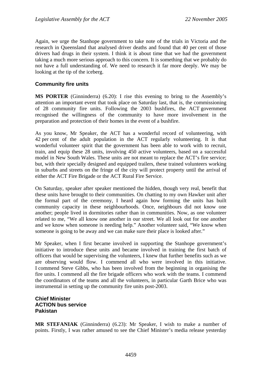Again, we urge the Stanhope government to take note of the trials in Victoria and the research in Queensland that analysed driver deaths and found that 40 per cent of those drivers had drugs in their system. I think it is about time that we had the government taking a much more serious approach to this concern. It is something that we probably do not have a full understanding of. We need to research it far more deeply. We may be looking at the tip of the iceberg.

# **Community fire units**

**MS PORTER** (Ginninderra) (6.20): I rise this evening to bring to the Assembly's attention an important event that took place on Saturday last, that is, the commissioning of 28 community fire units. Following the 2003 bushfires, the ACT government recognised the willingness of the community to have more involvement in the preparation and protection of their homes in the event of a bushfire.

As you know, Mr Speaker, the ACT has a wonderful record of volunteering, with 42 per cent of the adult population in the ACT regularly volunteering. It is that wonderful volunteer spirit that the government has been able to work with to recruit, train, and equip these 28 units, involving 450 active volunteers, based on a successful model in New South Wales. These units are not meant to replace the ACT's fire service; but, with their specially designed and equipped trailers, these trained volunteers working in suburbs and streets on the fringe of the city will protect property until the arrival of either the ACT Fire Brigade or the ACT Rural Fire Service.

On Saturday, speaker after speaker mentioned the hidden, though very real, benefit that these units have brought to their communities. On chatting to my own Hawker unit after the formal part of the ceremony, I heard again how forming the units has built community capacity in these neighbourhoods. Once, neighbours did not know one another; people lived in dormitories rather than in communities. Now, as one volunteer related to me, "We all know one another in our street. We all look out for one another and we know when someone is needing help." Another volunteer said, "We know when someone is going to be away and we can make sure their place is looked after."

Mr Speaker, when I first became involved in supporting the Stanhope government's initiative to introduce these units and became involved in training the first batch of officers that would be supervising the volunteers, I knew that further benefits such as we are observing would flow. I commend all who were involved in this initiative. I commend Steve Gibbs, who has been involved from the beginning in organising the fire units. I commend all the fire brigade officers who work with the teams. I commend the coordinators of the teams and all the volunteers, in particular Garth Brice who was instrumental in setting up the community fire units post-2003.

# **Chief Minister ACTION bus service Pakistan**

**MR STEFANIAK** (Ginninderra) (6.23): Mr Speaker, I wish to make a number of points. Firstly, I was rather amused to see the Chief Minister's media release yesterday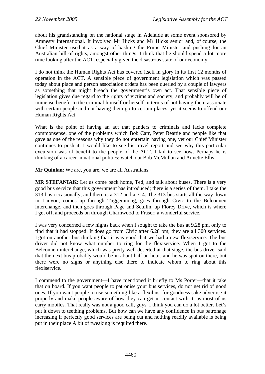about his grandstanding on the national stage in Adelaide at some event sponsored by Amnesty International. It involved Mr Hicks and Mr Hicks senior and, of course, the Chief Minister used it as a way of bashing the Prime Minister and pushing for an Australian bill of rights, amongst other things. I think that he should spend a lot more time looking after the ACT, especially given the disastrous state of our economy.

I do not think the Human Rights Act has covered itself in glory in its first 12 months of operation in the ACT. A sensible piece of government legislation which was passed today about place and person association orders has been queried by a couple of lawyers as something that might breach the government's own act. That sensible piece of legislation gives due regard to the rights of victims and society, and probably will be of immense benefit to the criminal himself or herself in terms of not having them associate with certain people and not having them go to certain places, yet it seems to offend our Human Rights Act.

What is the point of having an act that panders to criminals and lacks complete commonsense, one of the problems which Bob Carr, Peter Beattie and people like that gave as one of the reasons why they do not entertain having one, yet our Chief Minister continues to push it. I would like to see his travel report and see why this particular excursion was of benefit to the people of the ACT. I fail to see how. Perhaps he is thinking of a career in national politics: watch out Bob McMullan and Annette Ellis!

**Mr Quinlan**: We are, you are, we are all Australians.

**MR STEFANIAK**: Let us come back home, Ted, and talk about buses. There is a very good bus service that this government has introduced; there is a series of them. I take the 313 bus occasionally, and there is a 312 and a 314. The 313 bus starts all the way down in Lanyon, comes up through Tuggeranong, goes through Civic to the Belconnen interchange, and then goes through Page and Scullin, up Florey Drive, which is where I get off, and proceeds on through Charnwood to Fraser; a wonderful service.

I was very concerned a few nights back when I sought to take the bus at 9.28 pm, only to find that it had stopped. It does go from Civic after 6.28 pm; they are all 300 services. I got on another bus thinking that it was good that we had a new flexiservice. The bus driver did not know what number to ring for the flexiservice. When I got to the Belconnen interchange, which was pretty well deserted at that stage, the bus driver said that the next bus probably would be in about half an hour, and he was spot on there, but there were no signs or anything else there to indicate whom to ring about this flexiservice.

I commend to the government—I have mentioned it briefly to Ms Porter—that it take that on board. If you want people to patronise your bus services, do not get rid of good ones. If you want people to use something like a flexibus, for goodness sake advertise it properly and make people aware of how they can get in contact with it, as most of us carry mobiles. That really was not a good call, guys. I think you can do a lot better. Let's put it down to teething problems. But how can we have any confidence in bus patronage increasing if perfectly good services are being cut and nothing readily available is being put in their place A bit of tweaking is required there.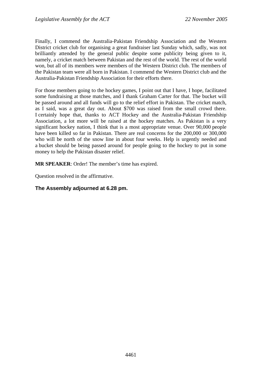Finally, I commend the Australia-Pakistan Friendship Association and the Western District cricket club for organising a great fundraiser last Sunday which, sadly, was not brilliantly attended by the general public despite some publicity being given to it, namely, a cricket match between Pakistan and the rest of the world. The rest of the world won, but all of its members were members of the Western District club. The members of the Pakistan team were all born in Pakistan. I commend the Western District club and the Australia-Pakistan Friendship Association for their efforts there.

For those members going to the hockey games, I point out that I have, I hope, facilitated some fundraising at those matches, and I thank Graham Carter for that. The bucket will be passed around and all funds will go to the relief effort in Pakistan. The cricket match, as I said, was a great day out. About \$700 was raised from the small crowd there. I certainly hope that, thanks to ACT Hockey and the Australia-Pakistan Friendship Association, a lot more will be raised at the hockey matches. As Pakistan is a very significant hockey nation, I think that is a most appropriate venue. Over 90,000 people have been killed so far in Pakistan. There are real concerns for the 200,000 or 300,000 who will be north of the snow line in about four weeks. Help is urgently needed and a bucket should be being passed around for people going to the hockey to put in some money to help the Pakistan disaster relief.

**MR SPEAKER**: Order! The member's time has expired.

Question resolved in the affirmative.

# **The Assembly adjourned at 6.28 pm.**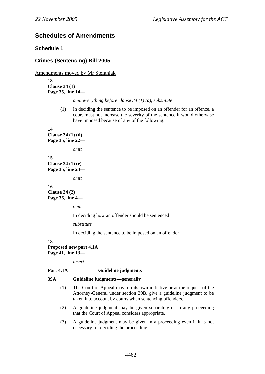# **Schedules of Amendments**

# **Schedule 1**

# **Crimes (Sentencing) Bill 2005**

Amendments moved by Mr Stefaniak

**13 Clause 34 (1) Page 35, line 14—** 

*omit everything before clause 34 (1) (a), substitute* 

(1) In deciding the sentence to be imposed on an offender for an offence, a court must not increase the severity of the sentence it would otherwise have imposed because of any of the following:

**14** 

**Clause 34 (1) (d) Page 35, line 22—** 

*omit* 

**15 Clause 34 (1) (e) Page 35, line 24—** 

*omit* 

## **16 Clause 34 (2)**

**Page 36, line 4—** 

*omit* 

In deciding how an offender should be sentenced

*substitute* 

In deciding the sentence to be imposed on an offender

### **18 Proposed new part 4.1A Page 41, line 13—**

*insert* 

# **Part 4.1A Guideline judgments**

## **39A Guideline judgments—generally**

- (1) The Court of Appeal may, on its own initiative or at the request of the Attorney-General under section 39B, give a guideline judgment to be taken into account by courts when sentencing offenders.
- (2) A guideline judgment may be given separately or in any proceeding that the Court of Appeal considers appropriate.
- (3) A guideline judgment may be given in a proceeding even if it is not necessary for deciding the proceeding.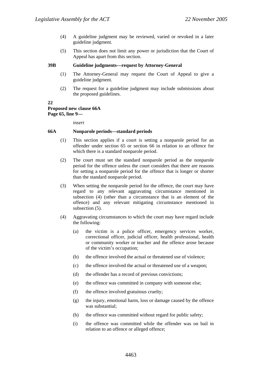- (4) A guideline judgment may be reviewed, varied or revoked in a later guideline judgment.
- (5) This section does not limit any power or jurisdiction that the Court of Appeal has apart from this section.

## **39B Guideline judgments—request by Attorney-General**

- (1) The Attorney-General may request the Court of Appeal to give a guideline judgment.
- (2) The request for a guideline judgment may include submissions about the proposed guidelines.

## **22**

## **Proposed new clause 66A Page 65, line 9—**

*insert* 

## **66A Nonparole periods—standard periods**

- (1) This section applies if a court is setting a nonparole period for an offender under section 65 or section 66 in relation to an offence for which there is a standard nonparole period.
- (2) The court must set the standard nonparole period as the nonparole period for the offence unless the court considers that there are reasons for setting a nonparole period for the offence that is longer or shorter than the standard nonparole period.
- (3) When setting the nonparole period for the offence, the court may have regard to any relevant aggravating circumstance mentioned in subsection (4) (other than a circumstance that is an element of the offence) and any relevant mitigating circumstance mentioned in subsection  $(5)$ .
- (4) Aggravating circumstances to which the court may have regard include the following:
	- (a) the victim is a police officer, emergency services worker, correctional officer, judicial officer, health professional, health or community worker or teacher and the offence arose because of the victim's occupation;
	- (b) the offence involved the actual or threatened use of violence;
	- (c) the offence involved the actual or threatened use of a weapon;
	- (d) the offender has a record of previous convictions;
	- (e) the offence was committed in company with someone else;
	- (f) the offence involved gratuitous cruelty;
	- (g) the injury, emotional harm, loss or damage caused by the offence was substantial;
	- (h) the offence was committed without regard for public safety;
	- (i) the offence was committed while the offender was on bail in relation to an offence or alleged offence;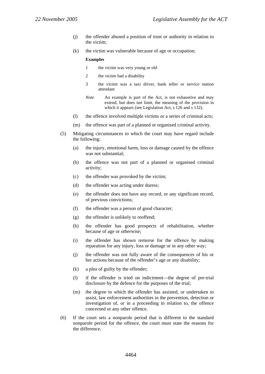- (j) the offender abused a position of trust or authority in relation to the victim;
- (k) the victim was vulnerable because of age or occupation;

#### **Examples**

- 1 the victim was very young or old
- 2 the victim had a disability
- 3 the victim was a taxi driver, bank teller or service station attendant
- *Note* An example is part of the Act, is not exhaustive and may extend, but does not limit, the meaning of the provision in which it appears (see Legislation Act, s 126 and s 132).
- (l) the offence involved multiple victims or a series of criminal acts;
- (m) the offence was part of a planned or organised criminal activity.
- (5) Mitigating circumstances to which the court may have regard include the following:
	- (a) the injury, emotional harm, loss or damage caused by the offence was not substantial;
	- (b) the offence was not part of a planned or organised criminal activity;
	- (c) the offender was provoked by the victim;
	- (d) the offender was acting under duress;
	- (e) the offender does not have any record, or any significant record, of previous convictions;
	- (f) the offender was a person of good character;
	- (g) the offender is unlikely to reoffend;
	- (h) the offender has good prospects of rehabilitation, whether because of age or otherwise;
	- (i) the offender has shown remorse for the offence by making reparation for any injury, loss or damage or in any other way;
	- (j) the offender was not fully aware of the consequences of his or her actions because of the offender's age or any disability;
	- (k) a plea of guilty by the offender;
	- (l) if the offender is tried on indictment—the degree of pre-trial disclosure by the defence for the purposes of the trial;
	- (m) the degree to which the offender has assisted, or undertaken to assist, law enforcement authorities in the prevention, detection or investigation of, or in a proceeding in relation to, the offence concerned or any other offence.
- (6) If the court sets a nonparole period that is different to the standard nonparole period for the offence, the court must state the reasons for the difference.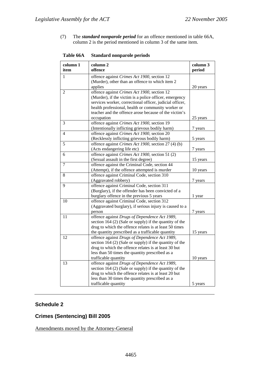(7) The *standard nonparole period* for an offence mentioned in table 66A, column 2 is the period mentioned in column 3 of the same item.

| column 1<br>item | column <sub>2</sub><br>offence                                                                                                                                                                                                                                                   | column 3<br>period  |
|------------------|----------------------------------------------------------------------------------------------------------------------------------------------------------------------------------------------------------------------------------------------------------------------------------|---------------------|
| 1                | offence against Crimes Act 1900, section 12<br>(Murder), other than an offence to which item 2<br>applies                                                                                                                                                                        | 20 years            |
| 2                | offence against Crimes Act 1900, section 12<br>(Murder), if the victim is a police officer, emergency<br>services worker, correctional officer, judicial officer,<br>health professional, health or community worker or<br>teacher and the offence arose because of the victim's |                     |
| 3                | occupation<br>offence against Crimes Act 1900, section 19<br>(Intentionally inflicting grievous bodily harm)                                                                                                                                                                     | 25 years<br>7 years |
| 4                | offence against Crimes Act 1900, section 20<br>(Recklessly inflicting grievous bodily harm)                                                                                                                                                                                      | 5 years             |
| 5                | offence against Crimes Act 1900, section 27 (4) (b)<br>(Acts endangering life etc)                                                                                                                                                                                               | 7 years             |
| 6                | offence against Crimes Act 1900, section 51 (2)<br>(Sexual assault in the first degree)                                                                                                                                                                                          | 15 years            |
| 7                | offence against the Criminal Code, section 44<br>(Attempt), if the offence attempted is murder                                                                                                                                                                                   | 10 years            |
| 8                | offence against Criminal Code, section 310<br>(Aggravated robbery)                                                                                                                                                                                                               | 7 years             |
| 9                | offence against Criminal Code, section 311<br>(Burglary), if the offender has been convicted of a<br>burglary offence in the previous 5 years                                                                                                                                    | 1 year              |
| 10               | offence against Criminal Code, section 312<br>(Aggravated burglary), if serious injury is caused to a<br>person                                                                                                                                                                  | 7 years             |
| 11               | offence against Drugs of Dependence Act 1989,<br>section $164$ (2) (Sale or supply) if the quantity of the<br>drug to which the offence relates is at least 50 times<br>the quantity prescribed as a trafficable quantity                                                        | 15 years            |
| 12               | offence against Drugs of Dependence Act 1989,<br>section $164$ (2) (Sale or supply) if the quantity of the<br>drug to which the offence relates is at least 30 but<br>less than 50 times the quantity prescribed as a<br>trafficable quantity                                    | 10 years            |
| 13               | offence against Drugs of Dependence Act 1989,<br>section $164$ (2) (Sale or supply) if the quantity of the<br>drug to which the offence relates is at least 20 but<br>less than 30 times the quantity prescribed as a<br>trafficable quantity                                    | 5 years             |
|                  |                                                                                                                                                                                                                                                                                  |                     |

**Table 66A Standard nonparole periods** 

# **Schedule 2**

# **Crimes (Sentencing) Bill 2005**

Amendments moved by the Attorney-General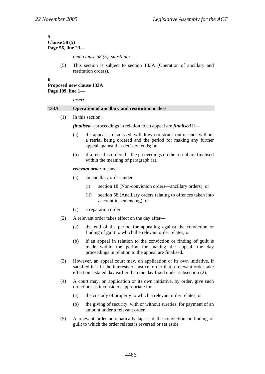#### **5 Clause 58 (5) Page 56, line 23—**

*omit clause 58 (5), substitute* 

(5) This section is subject to section 133A (Operation of ancillary and restitution orders).

# **6**

# **Proposed new clause 133A**

**Page 109, line 1—** 

*insert* 

## **133A Operation of ancillary and restitution orders**

(1) In this section:

*finalised*—proceedings in relation to an appeal are *finalised* if—

- (a) the appeal is dismissed, withdrawn or struck out or ends without a retrial being ordered and the period for making any further appeal against that decision ends; or
- (b) if a retrial is ordered—the proceedings on the retrial are finalised within the meaning of paragraph (a).

*relevant order* means—

- (a) an ancillary order under—
	- (i) section 18 (Non-conviction orders—ancillary orders); or
	- (ii) section 58 (Ancillary orders relating to offences taken into account in sentencing); or
- (c) a reparation order.
- (2) A relevant order takes effect on the day after—
	- (a) the end of the period for appealing against the conviction or finding of guilt to which the relevant order relates; or
	- (b) if an appeal in relation to the conviction or finding of guilt is made within the period for making the appeal—the day proceedings in relation to the appeal are finalised.
- (3) However, an appeal court may, on application or its own initiative, if satisfied it is in the interests of justice, order that a relevant order take effect on a stated day earlier than the day fixed under subsection (2).
- (4) A court may, on application or its own initiative, by order, give such directions as it considers appropriate for—
	- (a) the custody of property to which a relevant order relates; or
	- (b) the giving of security, with or without sureties, for payment of an amount under a relevant order.
- (5) A relevant order automatically lapses if the conviction or finding of guilt to which the order relates is reversed or set aside.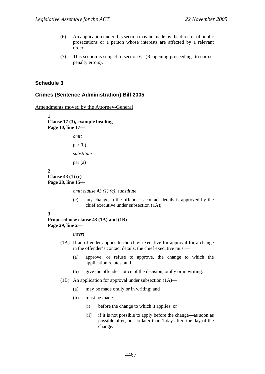- (6) An application under this section may be made by the director of public prosecutions or a person whose interests are affected by a relevant order.
- (7) This section is subject to section 61 (Reopening proceedings to correct penalty errors).

## **Schedule 3**

## **Crimes (Sentence Administration) Bill 2005**

Amendments moved by the Attorney-General

**1 Clause 17 (3), example heading Page 10, line 17**  *omit*  par (b) *substitute*  par (a)

#### **2 Clause 43 (1) (c) Page 28, line 15—**

*omit clause 43 (1) (c), substitute* 

(c) any change in the offender's contact details is approved by the chief executive under subsection (1A);

## **3**

## **Proposed new clause 43 (1A) and (1B) Page 29, line 2—**

*insert* 

- (1A) If an offender applies to the chief executive for approval for a change in the offender's contact details, the chief executive must—
	- (a) approve, or refuse to approve, the change to which the application relates; and
	- (b) give the offender notice of the decision, orally or in writing.
- (1B) An application for approval under subsection (1A)—
	- (a) may be made orally or in writing; and
	- (b) must be made—
		- (i) before the change to which it applies; or
		- (ii) if it is not possible to apply before the change—as soon as possible after, but no later than 1 day after, the day of the change.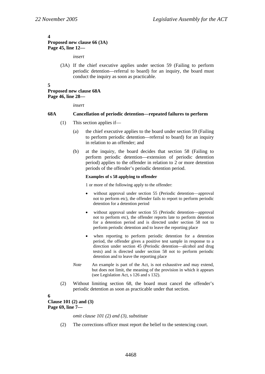## **4**

# **Proposed new clause 66 (3A) Page 45, line 12—**

*insert* 

(3A) If the chief executive applies under section 59 (Failing to perform periodic detention—referral to board) for an inquiry, the board must conduct the inquiry as soon as practicable.

#### **5**

## **Proposed new clause 68A Page 46, line 28—**

*insert* 

## **68A Cancellation of periodic detention—repeated failures to perform**

- (1) This section applies if—
	- (a) the chief executive applies to the board under section 59 (Failing to perform periodic detention—referral to board) for an inquiry in relation to an offender; and
	- (b) at the inquiry, the board decides that section 58 (Failing to perform periodic detention—extension of periodic detention period) applies to the offender in relation to 2 or more detention periods of the offender's periodic detention period.

## **Examples of s 58 applying to offender**

1 or more of the following apply to the offender:

- without approval under section 55 (Periodic detention—approval not to perform etc), the offender fails to report to perform periodic detention for a detention period
- without approval under section 55 (Periodic detention—approval not to perform etc), the offender reports late to perform detention for a detention period and is directed under section 58 not to perform periodic detention and to leave the reporting place
- when reporting to perform periodic detention for a detention period, the offender gives a positive test sample in response to a direction under section 45 (Periodic detention—alcohol and drug tests) and is directed under section 58 not to perform periodic detention and to leave the reporting place
- *Note* An example is part of the Act, is not exhaustive and may extend, but does not limit, the meaning of the provision in which it appears (see Legislation Act, s 126 and s 132).
- (2) Without limiting section 68, the board must cancel the offender's periodic detention as soon as practicable under that section.

**6** 

## **Clause 101 (2) and (3) Page 69, line 7—**

*omit clause 101 (2) and (3), substitute* 

(2) The corrections officer must report the belief to the sentencing court.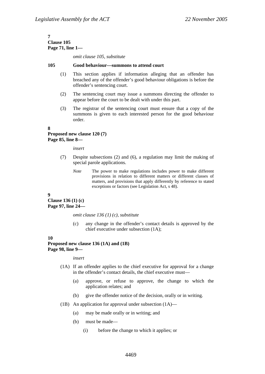#### **7 Clause 105 Page 71, line 1—**

*omit clause 105, substitute* 

#### **105 Good behaviour—summons to attend court**

- (1) This section applies if information alleging that an offender has breached any of the offender's good behaviour obligations is before the offender's sentencing court.
- (2) The sentencing court may issue a summons directing the offender to appear before the court to be dealt with under this part.
- (3) The registrar of the sentencing court must ensure that a copy of the summons is given to each interested person for the good behaviour order.

**8** 

## **Proposed new clause 120 (7) Page 85, line 8—**

*insert* 

- (7) Despite subsections (2) and (6), a regulation may limit the making of special parole applications.
	- *Note* The power to make regulations includes power to make different provisions in relation to different matters or different classes of matters, and provisions that apply differently by reference to stated exceptions or factors (see Legislation Act, s 48).

#### **9**

**Clause 136 (1) (c) Page 97, line 24—** 

*omit clause 136 (1) (c), substitute* 

(c) any change in the offender's contact details is approved by the chief executive under subsection (1A);

#### **10**

**Proposed new clause 136 (1A) and (1B) Page 98, line 9—** 

#### *insert*

- (1A) If an offender applies to the chief executive for approval for a change in the offender's contact details, the chief executive must—
	- (a) approve, or refuse to approve, the change to which the application relates; and
	- (b) give the offender notice of the decision, orally or in writing.
- (1B) An application for approval under subsection (1A)—
	- (a) may be made orally or in writing; and
	- (b) must be made—
		- (i) before the change to which it applies; or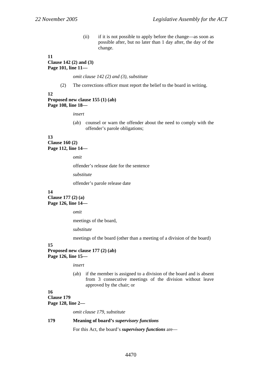(ii) if it is not possible to apply before the change—as soon as possible after, but no later than 1 day after, the day of the change.

## **11 Clause 142 (2) and (3) Page 101, line 11—**

*omit clause 142 (2) and (3), substitute* 

(2) The corrections officer must report the belief to the board in writing.

## **12 Proposed new clause 155 (1) (ab) Page 108, line 18—**

*insert* 

(ab) counsel or warn the offender about the need to comply with the offender's parole obligations;

## **13 Clause 160 (2) Page 112, line 14—**

*omit* 

offender's release date for the sentence

*substitute* 

offender's parole release date

## **14**

**Clause 177 (2) (a) Page 126, line 14—** 

*omit* 

meetings of the board,

*substitute* 

meetings of the board (other than a meeting of a division of the board)

## **15**

**Proposed new clause 177 (2) (ab) Page 126, line 15—** 

*insert* 

(ab) if the member is assigned to a division of the board and is absent from 3 consecutive meetings of the division without leave approved by the chair; or

# **16**

**Clause 179 Page 128, line 2—** 

*omit clause 179, substitute* 

## **179 Meaning of board's** *supervisory functions*

For this Act, the board's *supervisory functions* are—